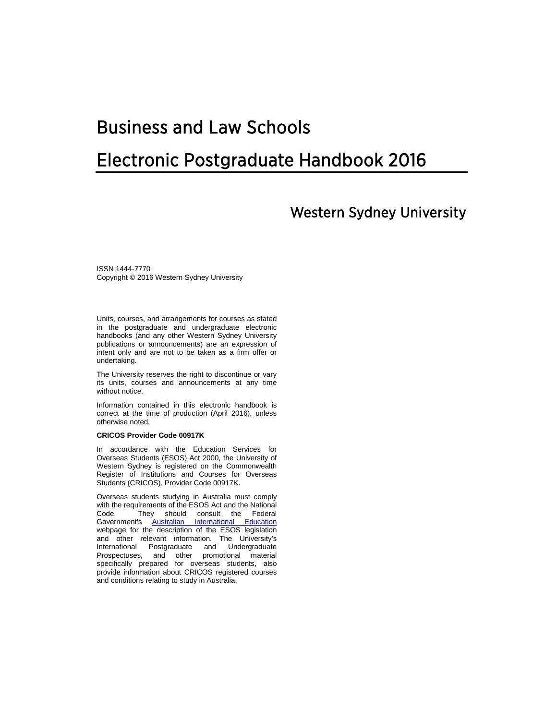# Business and Law Schools

# Electronic Postgraduate Handbook 2016

## Western Sydney University

ISSN 1444-7770 Copyright © 2016 Western Sydney University

Units, courses, and arrangements for courses as stated in the postgraduate and undergraduate electronic handbooks (and any other Western Sydney University publications or announcements) are an expression of intent only and are not to be taken as a firm offer or undertaking.

The University reserves the right to discontinue or vary its units, courses and announcements at any time without notice.

Information contained in this electronic handbook is correct at the time of production (April 2016), unless otherwise noted.

#### **CRICOS Provider Code 00917K**

In accordance with the Education Services for Overseas Students (ESOS) Act 2000, the University of Western Sydney is registered on the Commonwealth Register of Institutions and Courses for Overseas Students (CRICOS), Provider Code 00917K.

Overseas students studying in Australia must comply with the requirements of the ESOS Act and the National Code. They should consult the Federal Government's [Australian International Education](https://internationaleducation.gov.au/) webpage for the description of the ESOS legislation and other relevant information. The University's International Postgraduate and Undergraduate Prospectuses, and other promotional material specifically prepared for overseas students, also provide information about CRICOS registered courses and conditions relating to study in Australia.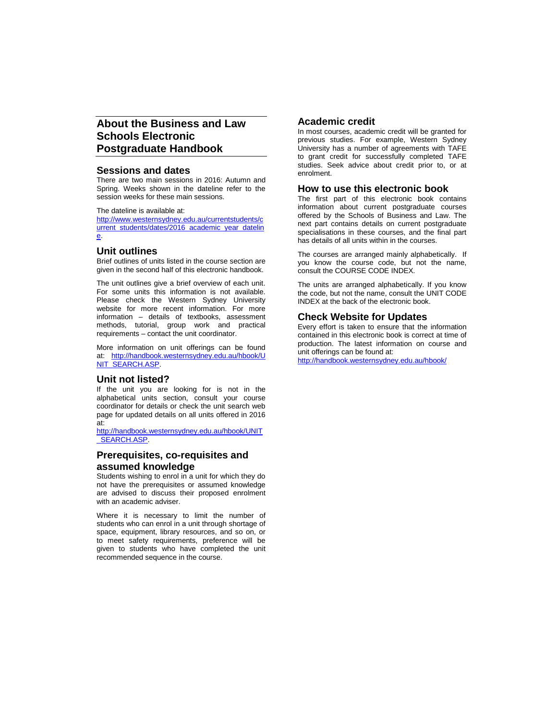## **About the Business and Law Schools Electronic Postgraduate Handbook**

#### **Sessions and dates**

There are two main sessions in 2016: Autumn and Spring. Weeks shown in the dateline refer to the session weeks for these main sessions.

The dateline is available at:

[http://www.westernsydney.edu.au/currentstudents/c](http://www.westernsydney.edu.au/currentstudents/current_students/dates/2016_academic_year_dateline) [urrent\\_students/dates/2016\\_academic\\_year\\_datelin](http://www.westernsydney.edu.au/currentstudents/current_students/dates/2016_academic_year_dateline) [e.](http://www.westernsydney.edu.au/currentstudents/current_students/dates/2016_academic_year_dateline)

#### **Unit outlines**

Brief outlines of units listed in the course section are given in the second half of this electronic handbook.

The unit outlines give a brief overview of each unit. For some units this information is not available. Please check the Western Sydney University website for more recent information. For more information – details of textbooks, assessment methods, tutorial, group work and practical requirements – contact the unit coordinator.

More information on unit offerings can be found at: [http://handbook.westernsydney.edu.au/hbook/U](http://handbook.westernsydney.edu.au/hbook/UNIT_SEARCH.ASP) [NIT\\_SEARCH.ASP.](http://handbook.westernsydney.edu.au/hbook/UNIT_SEARCH.ASP)

#### **Unit not listed?**

If the unit you are looking for is not in the alphabetical units section, consult your course coordinator for details or check the unit search web page for updated details on all units offered in 2016 at:

[http://handbook.westernsydney.edu.au/hbook/UNIT](http://handbook.westernsydney.edu.au/hbook/UNIT_SEARCH.ASP) SEARCH.ASP.

### **Prerequisites, co-requisites and assumed knowledge**

Students wishing to enrol in a unit for which they do not have the prerequisites or assumed knowledge are advised to discuss their proposed enrolment with an academic adviser.

Where it is necessary to limit the number of students who can enrol in a unit through shortage of space, equipment, library resources, and so on, or to meet safety requirements, preference will be given to students who have completed the unit recommended sequence in the course.

#### **Academic credit**

In most courses, academic credit will be granted for previous studies. For example, Western Sydney University has a number of agreements with TAFE to grant credit for successfully completed TAFE studies. Seek advice about credit prior to, or at enrolment.

#### **How to use this electronic book**

The first part of this electronic book contains information about current postgraduate courses offered by the Schools of Business and Law. The next part contains details on current postgraduate specialisations in these courses, and the final part has details of all units within in the courses.

The courses are arranged mainly alphabetically. If you know the course code, but not the name, consult the COURSE CODE INDEX.

The units are arranged alphabetically. If you know the code, but not the name, consult the UNIT CODE INDEX at the back of the electronic book.

#### **Check Website for Updates**

Every effort is taken to ensure that the information contained in this electronic book is correct at time of production. The latest information on course and unit offerings can be found at:

<http://handbook.westernsydney.edu.au/hbook/>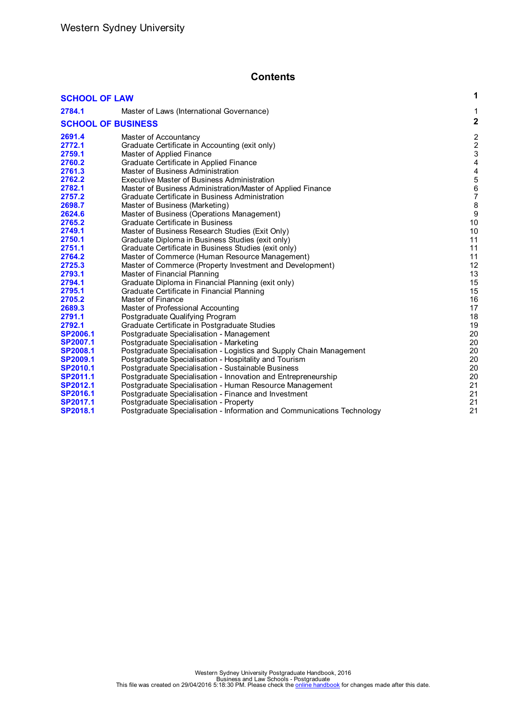## **Contents**

| <b>SCHOOL OF LAW</b> |                                                                         |                                       |
|----------------------|-------------------------------------------------------------------------|---------------------------------------|
| 2784.1               | Master of Laws (International Governance)                               | 1                                     |
|                      | <b>SCHOOL OF BUSINESS</b>                                               | $\mathbf 2$                           |
| 2691.4               | Master of Accountancy                                                   | $\frac{2}{2}$                         |
| 2772.1               | Graduate Certificate in Accounting (exit only)                          |                                       |
| 2759.1               | Master of Applied Finance                                               | $\mathsf 3$                           |
| 2760.2               | Graduate Certificate in Applied Finance                                 | 4                                     |
| 2761.3               | Master of Business Administration                                       | 4                                     |
| 2762.2               | Executive Master of Business Administration                             |                                       |
| 2782.1               | Master of Business Administration/Master of Applied Finance             | $\begin{array}{c} 5 \\ 6 \end{array}$ |
| 2757.2               | Graduate Certificate in Business Administration                         | $\overline{\mathcal{I}}$              |
| 2698.7               | Master of Business (Marketing)                                          | $\begin{array}{c} 8 \\ 9 \end{array}$ |
| 2624.6               | Master of Business (Operations Management)                              |                                       |
| 2765.2               | Graduate Certificate in Business                                        | 10                                    |
| 2749.1               | Master of Business Research Studies (Exit Only)                         | 10                                    |
| 2750.1               | Graduate Diploma in Business Studies (exit only)                        | 11                                    |
| 2751.1               | Graduate Certificate in Business Studies (exit only)                    | 11                                    |
| 2764.2               | Master of Commerce (Human Resource Management)                          | 11                                    |
| 2725.3               | Master of Commerce (Property Investment and Development)                | 12                                    |
| 2793.1               | Master of Financial Planning                                            | 13                                    |
| 2794.1               | Graduate Diploma in Financial Planning (exit only)                      | 15                                    |
| 2795.1               | Graduate Certificate in Financial Planning                              | 15                                    |
| 2705.2               | Master of Finance                                                       | 16                                    |
| 2689.3               | Master of Professional Accounting                                       | 17                                    |
| 2791.1               | Postgraduate Qualifying Program                                         | 18                                    |
| 2792.1               | Graduate Certificate in Postgraduate Studies                            | 19                                    |
| <b>SP2006.1</b>      | Postgraduate Specialisation - Management                                | 20                                    |
| <b>SP2007.1</b>      | Postgraduate Specialisation - Marketing                                 | 20                                    |
| <b>SP2008.1</b>      | Postgraduate Specialisation - Logistics and Supply Chain Management     | 20                                    |
| <b>SP2009.1</b>      | Postgraduate Specialisation - Hospitality and Tourism                   | 20                                    |
| <b>SP2010.1</b>      | Postgraduate Specialisation - Sustainable Business                      | 20                                    |
| SP2011.1             | Postgraduate Specialisation - Innovation and Entrepreneurship           | 20                                    |
| SP2012.1             | Postgraduate Specialisation - Human Resource Management                 | 21                                    |
| SP2016.1             | Postgraduate Specialisation - Finance and Investment                    | 21                                    |
| <b>SP2017.1</b>      | Postgraduate Specialisation - Property                                  | 21                                    |
| <b>SP2018.1</b>      | Postgraduate Specialisation - Information and Communications Technology | 21                                    |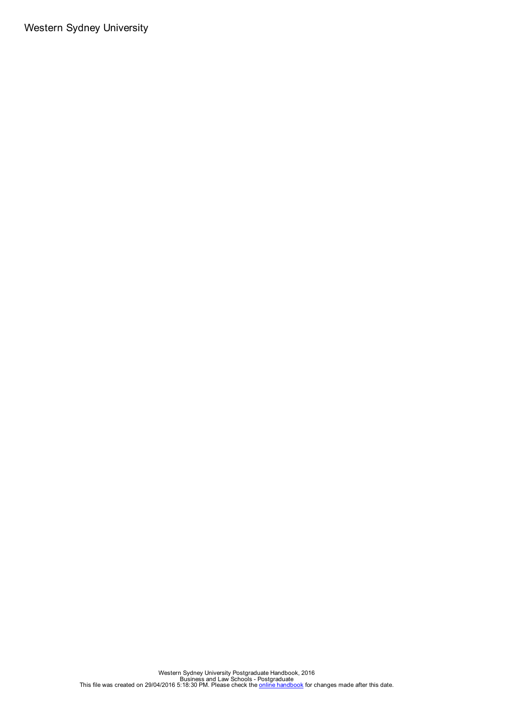Western Sydney University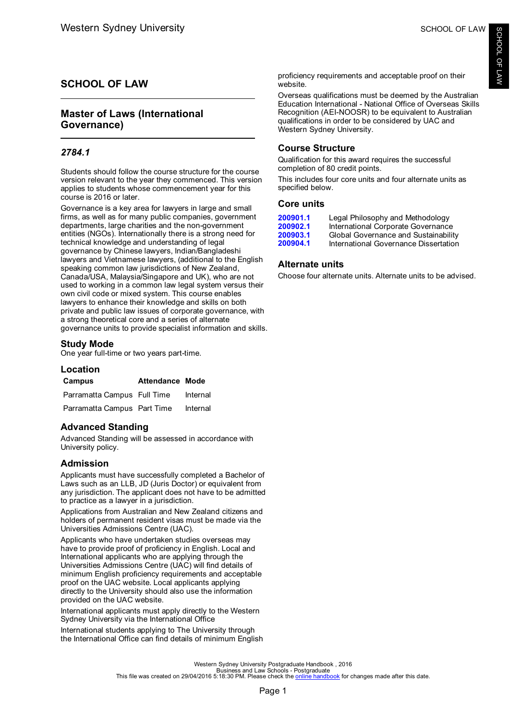## <span id="page-4-0"></span>**SCHOOL OF LAW**

## **Master of Laws (International Governance)**

## *2784.1*

Students should follow the course structure for the course version relevant to the year they commenced. This version applies to students whose commencement year for this course is 2016 or later.

Governance is a key area for lawyers in large and small firms, as well as for many public companies, government departments, large charities and the non-government entities (NGOs). Internationally there is a strong need for technical knowledge and understanding of legal governance by Chinese lawyers, Indian/Bangladeshi lawyers and Vietnamese lawyers, (additional to the English speaking common law jurisdictions of New Zealand, Canada/USA, Malaysia/Singapore and UK), who are not used to working in a common law legal system versus their own civil code or mixed system. This course enables lawyers to enhance their knowledge and skills on both private and public law issues of corporate governance, with a strong theoretical core and a series of alternate governance units to provide specialist information and skills.

### **Study Mode**

One year full-time or two years part-time.

### **Location**

| Campus                      | <b>Attendance Mode</b> |          |
|-----------------------------|------------------------|----------|
| Parramatta Campus Full Time |                        | Internal |
| Parramatta Campus Part Time |                        | Internal |

### **Advanced Standing**

Advanced Standing will be assessed in accordance with University policy.

### **Admission**

Applicants must have successfully completed a Bachelor of Laws such as an LLB, JD (Juris Doctor) or equivalent from any jurisdiction. The applicant does not have to be admitted to practice as a lawyer in a jurisdiction.

Applications from Australian and New Zealand citizens and holders of permanent resident visas must be made via the Universities Admissions Centre (UAC).

Applicants who have undertaken studies overseas may have to provide proof of proficiency in English. Local and International applicants who are applying through the Universities Admissions Centre (UAC) will find details of minimum English proficiency requirements and acceptable proof on the UAC website. Local applicants applying directly to the University should also use the information provided on the UAC website.

International applicants must apply directly to the Western Sydney University via the International Office

International students applying to The University through the International Office can find details of minimum English SCHOOL

<u>ር</u> LAW

proficiency requirements and acceptable proof on their website.

Overseas qualifications must be deemed by the Australian Education International - National Office of Overseas Skills Recognition (AEI-NOOSR) to be equivalent to Australian qualifications in order to be considered by UAC and Western Sydney University.

### **Course Structure**

Qualification for this award requires the successful completion of 80 credit points.

This includes four core units and four alternate units as specified below.

### **Core units**

| 200901.1 | Legal Philosophy and Methodology      |
|----------|---------------------------------------|
| 200902.1 | International Corporate Governance    |
| 200903.1 | Global Governance and Sustainability  |
| 200904.1 | International Governance Dissertation |

### **Alternate units**

Choose four alternate units. Alternate units to be advised.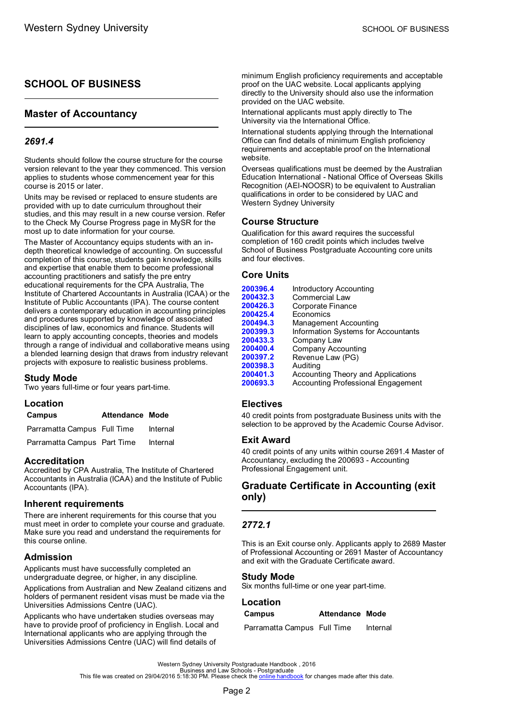## <span id="page-5-0"></span>**SCHOOL OF BUSINESS**

## **Master of Accountancy**

## *2691.4*

Students should follow the course structure for the course version relevant to the year they commenced. This version applies to students whose commencement year for this course is 2015 or later.

Units may be revised or replaced to ensure students are provided with up to date curriculum throughout their studies, and this may result in a new course version. Refer to the Check My Course Progress page in MySR for the most up to date information for your course.

The Master of Accountancy equips students with an indepth theoretical knowledge of accounting. On successful completion of this course, students gain knowledge, skills and expertise that enable them to become professional accounting practitioners and satisfy the pre entry educational requirements for the CPA Australia, The Institute of Chartered Accountants in Australia (ICAA) or the Institute of Public Accountants (IPA). The course content delivers a contemporary education in accounting principles and procedures supported by knowledge of associated disciplines of law, economics and finance. Students will learn to apply accounting concepts, theories and models through a range of individual and collaborative means using a blended learning design that draws from industry relevant projects with exposure to realistic business problems.

### **Study Mode**

Two years full-time or four years part-time.

### **Location**

| Campus                      | <b>Attendance Mode</b> |          |
|-----------------------------|------------------------|----------|
| Parramatta Campus Full Time |                        | Internal |
| Parramatta Campus Part Time |                        | Internal |

### **Accreditation**

Accredited by CPA Australia, The Institute of Chartered Accountants in Australia (ICAA) and the Institute of Public Accountants (IPA).

### **Inherent requirements**

There are inherent requirements for this course that you must meet in order to complete your course and graduate. Make sure you read and understand the requirements for this course online.

### **Admission**

Applicants must have successfully completed an undergraduate degree, or higher, in any discipline.

Applications from Australian and New Zealand citizens and holders of permanent resident visas must be made via the Universities Admissions Centre (UAC).

Applicants who have undertaken studies overseas may have to provide proof of proficiency in English. Local and International applicants who are applying through the Universities Admissions Centre (UAC) will find details of

minimum English proficiency requirements and acceptable proof on the UAC website. Local applicants applying directly to the University should also use the information provided on the UAC website.

International applicants must apply directly to The University via the International Office.

International students applying through the International Office can find details of minimum English proficiency requirements and acceptable proof on the International website.

Overseas qualifications must be deemed by the Australian Education International - National Office of Overseas Skills Recognition (AEI-NOOSR) to be equivalent to Australian qualifications in order to be considered by UAC and Western Sydney University

## **Course Structure**

Qualification for this award requires the successful completion of 160 credit points which includes twelve School of Business Postgraduate Accounting core units and four electives.

### **Core Units**

| 200396.4 | Introductory Accounting                    |
|----------|--------------------------------------------|
| 200432.3 | Commercial Law                             |
| 200426.3 | Corporate Finance                          |
| 200425.4 | Economics                                  |
| 200494.3 | Management Accounting                      |
| 200399.3 | <b>Information Systems for Accountants</b> |
| 200433.3 | Company Law                                |
| 200400.4 | Company Accounting                         |
| 200397.2 | Revenue Law (PG)                           |
| 200398.3 | Auditing                                   |
| 200401.3 | Accounting Theory and Applications         |
| 200693.3 | Accounting Professional Engagement         |

### **Electives**

40 credit points from postgraduate Business units with the selection to be approved by the Academic Course Advisor.

### **Exit Award**

40 credit points of any units within course 2691.4 Master of Accountancy, excluding the 200693 - Accounting Professional Engagement unit.

## **Graduate Certificate in Accounting (exit only)**

### *2772.1*

This is an Exit course only. Applicants apply to 2689 Master of Professional Accounting or 2691 Master of Accountancy and exit with the Graduate Certificate award.

### **Study Mode**

Six months full-time or one year part-time.

### **Location**

| Campus                      | <b>Attendance Mode</b> |          |
|-----------------------------|------------------------|----------|
| Parramatta Campus Full Time |                        | Internal |

Western Sydney University Postgraduate Handbook , 2016<br>Business and Law Schools - Paus Postgraduate<br>This file was created on 29/04/2016 5:18:30 PM. Please check the <u>online [handbook](http://handbook.westernsydney.edu.au/hbook/)</u> for changes made after this date.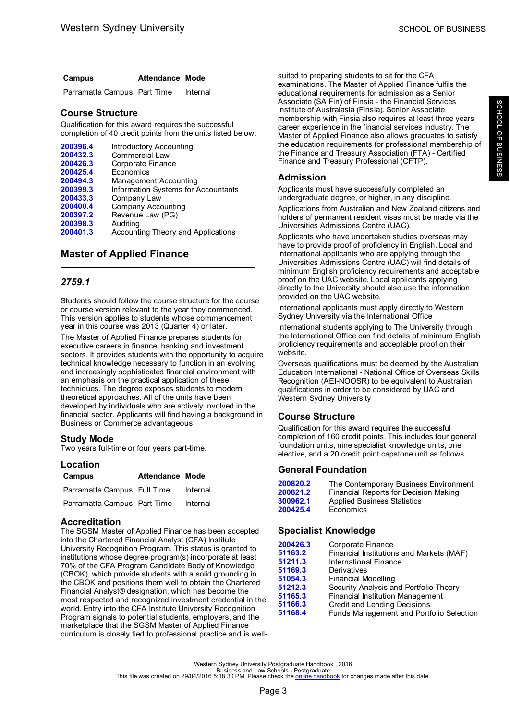<span id="page-6-0"></span>

| Campus | Attendance Mode |  |
|--------|-----------------|--|
|        |                 |  |

Parramatta Campus Part Time Internal

### **Course Structure**

Qualification for this award requires the successful completion of 40 credit points from the units listed below.

| 200396.4 | Introductory Accounting             |
|----------|-------------------------------------|
| 200432.3 | Commercial Law                      |
| 200426.3 | Corporate Finance                   |
| 200425.4 | Economics                           |
| 200494.3 | Management Accounting               |
| 200399.3 | Information Systems for Accountants |
| 200433.3 | Company Law                         |
| 200400.4 | Company Accounting                  |
| 200397.2 | Revenue Law (PG)                    |
| 200398.3 | Auditing                            |
| 200401.3 | Accounting Theory and Applications  |

## **Master of Applied Finance**

## *2759.1*

Students should follow the course structure for the course or course version relevant to the year they commenced. This version applies to students whose commencement year in this course was 2013 (Quarter 4) or later.

The Master of Applied Finance prepares students for executive careers in finance, banking and investment sectors. It provides students with the opportunity to acquire technical knowledge necessary to function in an evolving and increasingly sophisticated financial environment with an emphasis on the practical application of these techniques. The degree exposes students to modern theoretical approaches. All of the units have been developed by individuals who are actively involved in the financial sector. Applicants will find having a background in Business or Commerce advantageous.

### **Study Mode**

Two years full-time or four years part-time.

## **Location Campus Attendance Mode** Parramatta Campus Full Time Internal

Parramatta Campus Part Time Internal

### **Accreditation**

The SGSM Master of Applied Finance has been accepted into the Chartered Financial Analyst (CFA) Institute University Recognition Program. This status is granted to institutions whose degree program(s) incorporate at least 70% of the CFA Program Candidate Body of Knowledge (CBOK), which provide students with a solid grounding in the CBOK and positions them well to obtain the Chartered Financial Analyst® designation, which has become the most respected and recognized investment credential in the world. Entry into the CFA Institute University Recognition Program signals to potential students, employers, and the marketplace that the SGSM Master of Applied Finance curriculum is closely tied to professional practice and is well-

suited to preparing students to sit for the CFA examinations. The Master of Applied Finance fulfils the educational requirements for admission as a Senior Associate (SA Fin) of Finsia - the Financial Services Institute of Australasia (Finsia). Senior Associate membership with Finsia also requires at least three years career experience in the financial services industry. The Master of Applied Finance also allows graduates to satisfy the education requirements for professional membership of the Finance and Treasury Association (FTA) - Certified Finance and Treasury Professional (CFTP).

### **Admission**

Applicants must have successfully completed an undergraduate degree, or higher, in any discipline.

Applications from Australian and New Zealand citizens and holders of permanent resident visas must be made via the Universities Admissions Centre (UAC).

Applicants who have undertaken studies overseas may have to provide proof of proficiency in English. Local and International applicants who are applying through the Universities Admissions Centre (UAC) will find details of minimum English proficiency requirements and acceptable proof on the UAC website. Local applicants applying directly to the University should also use the information provided on the UAC website.

International applicants must apply directly to Western Sydney University via the International Office

International students applying to The University through the International Office can find details of minimum English proficiency requirements and acceptable proof on their website.

Overseas qualifications must be deemed by the Australian Education International - National Office of Overseas Skills Recognition (AEI-NOOSR) to be equivalent to Australian qualifications in order to be considered by UAC and Western Sydney University

### **Course Structure**

Qualification for this award requires the successful completion of 160 credit points. This includes four general foundation units, nine specialist knowledge units, one elective, and a 20 credit point capstone unit as follows.

### **General Foundation**

| 200820.2 | The Contemporary Business Environment |
|----------|---------------------------------------|
| 200821.2 | Financial Reports for Decision Making |
| 300962.1 | <b>Applied Business Statistics</b>    |
| 200425.4 | Economics                             |
|          |                                       |

### **Specialist Knowledge**

| 200426.3 | Corporate Finance                        |
|----------|------------------------------------------|
| 51163.2  | Financial Institutions and Markets (MAF) |
| 51211.3  | International Finance                    |
| 51169.3  | Derivatives                              |
| 51054.3  | <b>Financial Modelling</b>               |
| 51212.3  | Security Analysis and Portfolio Theory   |
| 51165.3  | <b>Financial Institution Management</b>  |
| 51166.3  | Credit and Lending Decisions             |
| 51168.4  | Funds Management and Portfolio Selection |
|          |                                          |

SCHOOL

SCHOOL OF BUSINESS

BUSINESS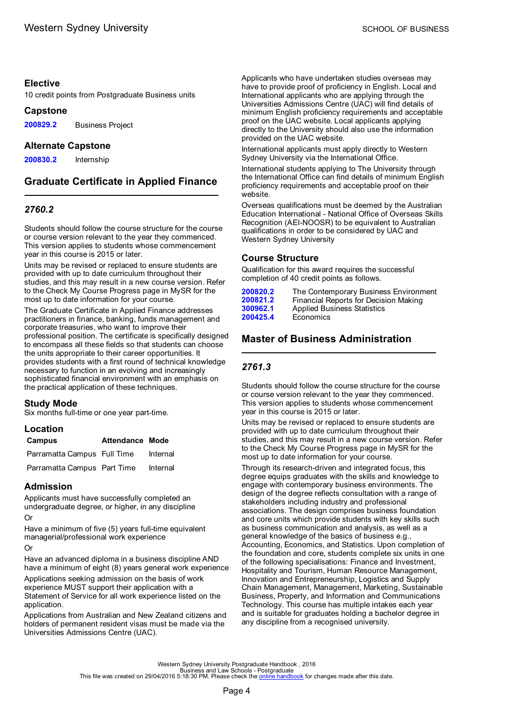### <span id="page-7-0"></span>**Elective**

10 credit points from Postgraduate Business units

### **Capstone**

**[200829.2](#page-27-0)** Business Project

### **Alternate Capstone**

**[200830.2](#page-39-0)** Internship

## **Graduate Certificate in Applied Finance**

## *2760.2*

Students should follow the course structure for the course or course version relevant to the year they commenced. This version applies to students whose commencement year in this course is 2015 or later.

Units may be revised or replaced to ensure students are provided with up to date curriculum throughout their studies, and this may result in a new course version. Refer to the Check My Course Progress page in MySR for the most up to date information for your course.

The Graduate Certificate in Applied Finance addresses practitioners in finance, banking, funds management and corporate treasuries, who want to improve their professional position. The certificate is specifically designed to encompass all these fields so that students can choose the units appropriate to their career opportunities. It provides students with a first round of technical knowledge necessary to function in an evolving and increasingly sophisticated financial environment with an emphasis on the practical application of these techniques.

### **Study Mode**

Six months full-time or one year part-time.

### **Location**

| <b>Campus</b>               | Attendance Mode |          |
|-----------------------------|-----------------|----------|
| Parramatta Campus Full Time |                 | Internal |
| Parramatta Campus Part Time |                 | Internal |

### **Admission**

Applicants must have successfully completed an undergraduate degree, or higher, in any discipline Or

Have a minimum of five (5) years full-time equivalent managerial/professional work experience

#### Or

Have an advanced diploma in a business discipline AND have a minimum of eight (8) years general work experience

Applications seeking admission on the basis of work experience MUST support their application with a Statement of Service for all work experience listed on the application.

Applications from Australian and New Zealand citizens and holders of permanent resident visas must be made via the Universities Admissions Centre (UAC).

Applicants who have undertaken studies overseas may have to provide proof of proficiency in English. Local and International applicants who are applying through the Universities Admissions Centre (UAC) will find details of minimum English proficiency requirements and acceptable proof on the UAC website. Local applicants applying directly to the University should also use the information provided on the UAC website.

International applicants must apply directly to Western Sydney University via the International Office.

International students applying to The University through the International Office can find details of minimum English proficiency requirements and acceptable proof on their website.

Overseas qualifications must be deemed by the Australian Education International - National Office of Overseas Skills Recognition (AEI-NOOSR) to be equivalent to Australian qualifications in order to be considered by UAC and Western Sydney University

## **Course Structure**

Qualification for this award requires the successful completion of 40 credit points as follows.

| 200820.2 | The Contemporary Business Environment |
|----------|---------------------------------------|
| 200821.2 | Financial Reports for Decision Making |
| 300962.1 | <b>Applied Business Statistics</b>    |
| 200425.4 | Economics                             |

## **Master of Business Administration**

## *2761.3*

Students should follow the course structure for the course or course version relevant to the year they commenced. This version applies to students whose commencement year in this course is 2015 or later.

Units may be revised or replaced to ensure students are provided with up to date curriculum throughout their studies, and this may result in a new course version. Refer to the Check My Course Progress page in MySR for the most up to date information for your course.

Through its research-driven and integrated focus, this degree equips graduates with the skills and knowledge to engage with contemporary business environments. The design of the degree reflects consultation with a range of stakeholders including industry and professional associations. The design comprises business foundation and core units which provide students with key skills such as business communication and analysis, as well as a general knowledge of the basics of business e.g., Accounting, Economics, and Statistics. Upon completion of the foundation and core, students complete six units in one of the following specialisations: Finance and Investment, Hospitality and Tourism, Human Resource Management, Innovation and Entrepreneurship, Logistics and Supply Chain Management, Management, Marketing, Sustainable Business, Property, and Information and Communications Technology. This course has multiple intakes each year and is suitable for graduates holding a bachelor degree in any discipline from a recognised university.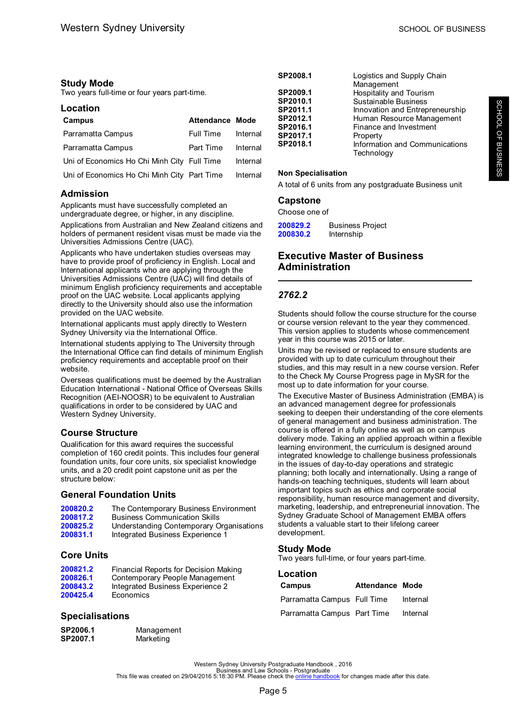<span id="page-8-0"></span>

Two years full-time or four years part-time.

| Location                                    |                        |          |  |
|---------------------------------------------|------------------------|----------|--|
| Campus                                      | <b>Attendance Mode</b> |          |  |
| Parramatta Campus                           | Full Time              | Internal |  |
| Parramatta Campus                           | Part Time              | Internal |  |
| Uni of Economics Ho Chi Minh City Full Time |                        | Internal |  |
| Uni of Economics Ho Chi Minh City Part Time |                        | Internal |  |

### **Admission**

Applicants must have successfully completed an undergraduate degree, or higher, in any discipline.

Applications from Australian and New Zealand citizens and holders of permanent resident visas must be made via the Universities Admissions Centre (UAC).

Applicants who have undertaken studies overseas may have to provide proof of proficiency in English. Local and International applicants who are applying through the Universities Admissions Centre (UAC) will find details of minimum English proficiency requirements and acceptable proof on the UAC website. Local applicants applying directly to the University should also use the information provided on the UAC website.

International applicants must apply directly to Western Sydney University via the International Office.

International students applying to The University through the International Office can find details of minimum English proficiency requirements and acceptable proof on their website.

Overseas qualifications must be deemed by the Australian Education International - National Office of Overseas Skills Recognition (AEI-NOOSR) to be equivalent to Australian qualifications in order to be considered by UAC and Western Sydney University.

### **Course Structure**

Qualification for this award requires the successful completion of 160 credit points. This includes four general foundation units, four core units, six specialist knowledge units, and a 20 credit point capstone unit as per the structure below:

### **General Foundation Units**

| 200820.2 | The Contemporary Business Environment    |
|----------|------------------------------------------|
| 200817.2 | <b>Business Communication Skills</b>     |
| 200825.2 | Understanding Contemporary Organisations |
| 200831.1 | Integrated Business Experience 1         |

### **Core Units**

| 200821.2 | Financial Reports for Decision Making |
|----------|---------------------------------------|
| 200826.1 | Contemporary People Management        |
| 200843.2 | Integrated Business Experience 2      |
| 200425.4 | Economics                             |

### **Specialisations**

| SP2006.1 | Management |
|----------|------------|
| SP2007.1 | Marketing  |

| SP2008.1 | Logistics and Supply Chain<br>Management |
|----------|------------------------------------------|
| SP2009.1 | Hospitality and Tourism                  |
| SP2010.1 | Sustainable Business                     |
| SP2011.1 | Innovation and Entrepreneurship          |
| SP2012.1 | Human Resource Management                |
| SP2016.1 | Finance and Investment                   |
| SP2017.1 | Property                                 |
| SP2018.1 | Information and Communications           |
|          | Technology                               |

#### **Non Specialisation**

A total of 6 units from any postgraduate Business unit

#### **Capstone**

Choose one of

[200829.2](#page-27-0) Business Project<br>200830.2 Internship **[200830.2](#page-39-0)** Internship

## **Executive Master of Business Administration**

### *2762.2*

Students should follow the course structure for the course or course version relevant to the year they commenced. This version applies to students whose commencement year in this course was 2015 or later.

Units may be revised or replaced to ensure students are provided with up to date curriculum throughout their studies, and this may result in a new course version. Refer to the Check My Course Progress page in MySR for the most up to date information for your course.

The Executive Master of Business Administration (EMBA) is an advanced management degree for professionals seeking to deepen their understanding of the core elements of general management and business administration. The course is offered in a fully online as well as on campus delivery mode. Taking an applied approach within a flexible learning environment, the curriculum is designed around integrated knowledge to challenge business professionals in the issues of day-to-day operations and strategic planning; both locally and internationally. Using a range of hands-on teaching techniques, students will learn about important topics such as ethics and corporate social responsibility, human resource management and diversity, marketing, leadership, and entrepreneurial innovation. The Sydney Graduate School of Management EMBA offers students a valuable start to their lifelong career development.

### **Study Mode**

Two years full-time, or four years part-time.

#### **Location**

| Campus                      | Attendance Mode |          |
|-----------------------------|-----------------|----------|
| Parramatta Campus Full Time |                 | Internal |
| Parramatta Campus Part Time |                 | Internal |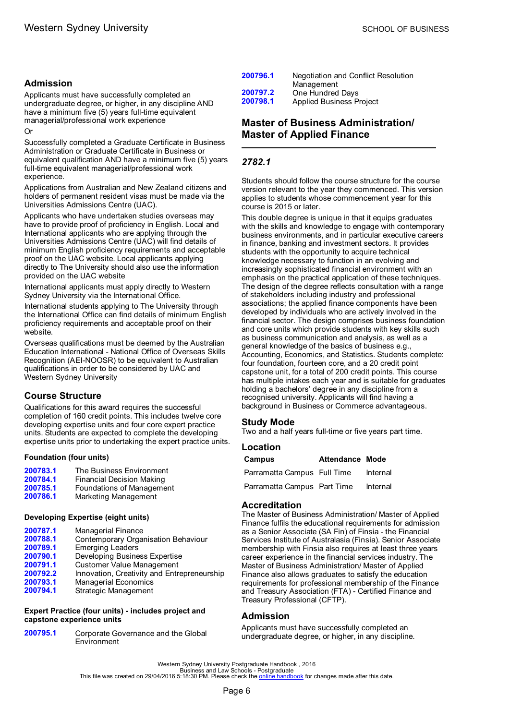## <span id="page-9-0"></span>**Admission**

Applicants must have successfully completed an undergraduate degree, or higher, in any discipline AND have a minimum five (5) years full-time equivalent managerial/professional work experience Or

Successfully completed a Graduate Certificate in Business Administration or Graduate Certificate in Business or equivalent qualification AND have a minimum five (5) years full-time equivalent managerial/professional work experience.

Applications from Australian and New Zealand citizens and holders of permanent resident visas must be made via the Universities Admissions Centre (UAC).

Applicants who have undertaken studies overseas may have to provide proof of proficiency in English. Local and International applicants who are applying through the Universities Admissions Centre (UAC) will find details of minimum English proficiency requirements and acceptable proof on the UAC website. Local applicants applying directly to The University should also use the information provided on the UAC website

International applicants must apply directly to Western Sydney University via the International Office.

International students applying to The University through the International Office can find details of minimum English proficiency requirements and acceptable proof on their website.

Overseas qualifications must be deemed by the Australian Education International - National Office of Overseas Skills Recognition (AEI-NOOSR) to be equivalent to Australian qualifications in order to be considered by UAC and Western Sydney University

## **Course Structure**

Qualifications for this award requires the successful completion of 160 credit points. This includes twelve core developing expertise units and four core expert practice units. Students are expected to complete the developing expertise units prior to undertaking the expert practice units.

### **Foundation (four units)**

| 200783.1 | The Business Environment  |
|----------|---------------------------|
| 200784.1 | Financial Decision Making |
| 200785.1 | Foundations of Management |
| 200786.1 | Marketing Management      |

### **Developing Expertise (eight units)**

#### **Expert Practice (four units) - includes project and capstone experience units**

| 200795.1 | Corporate Governance and the Global |
|----------|-------------------------------------|
|          | Environment                         |

| 200796.1 | Negotiation and Conflict Resolution<br>Management |
|----------|---------------------------------------------------|
| 200797.2 | One Hundred Days                                  |
| 200798.1 | <b>Applied Business Project</b>                   |

## **Master of Business Administration/ Master of Applied Finance**

### *2782.1*

Students should follow the course structure for the course version relevant to the year they commenced. This version applies to students whose commencement year for this course is 2015 or later.

This double degree is unique in that it equips graduates with the skills and knowledge to engage with contemporary business environments, and in particular executive careers in finance, banking and investment sectors. It provides students with the opportunity to acquire technical knowledge necessary to function in an evolving and increasingly sophisticated financial environment with an emphasis on the practical application of these techniques. The design of the degree reflects consultation with a range of stakeholders including industry and professional associations; the applied finance components have been developed by individuals who are actively involved in the financial sector. The design comprises business foundation and core units which provide students with key skills such as business communication and analysis, as well as a general knowledge of the basics of business e.g., Accounting, Economics, and Statistics. Students complete: four foundation, fourteen core, and a 20 credit point capstone unit, for a total of 200 credit points. This course has multiple intakes each year and is suitable for graduates holding a bachelors' degree in any discipline from a recognised university. Applicants will find having a background in Business or Commerce advantageous.

### **Study Mode**

Two and a half years full-time or five years part time.

| Location                    |                        |          |  |
|-----------------------------|------------------------|----------|--|
| Campus                      | <b>Attendance Mode</b> |          |  |
| Parramatta Campus Full Time |                        | Internal |  |
| Parramatta Campus Part Time |                        | Internal |  |

### **Accreditation**

The Master of Business Administration/ Master of Applied Finance fulfils the educational requirements for admission as a Senior Associate (SA Fin) of Finsia - the Financial Services Institute of Australasia (Finsia). Senior Associate membership with Finsia also requires at least three years career experience in the financial services industry. The Master of Business Administration/ Master of Applied Finance also allows graduates to satisfy the education requirements for professional membership of the Finance and Treasury Association (FTA) - Certified Finance and Treasury Professional (CFTP).

### **Admission**

Applicants must have successfully completed an undergraduate degree, or higher, in any discipline.

Western Sydney University Postgraduate Handbook , 2016<br>Business and Law Schools - Paus Postgraduate<br>This file was created on 29/04/2016 5:18:30 PM. Please check the <u>online [handbook](http://handbook.westernsydney.edu.au/hbook/)</u> for changes made after this date.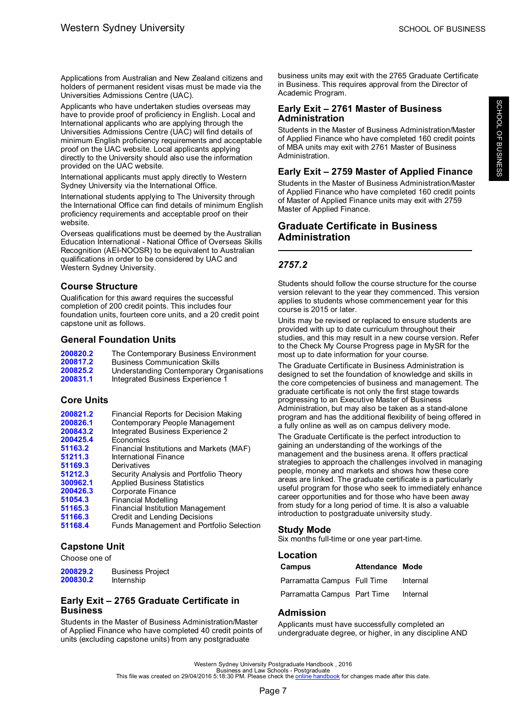<span id="page-10-0"></span>Applications from Australian and New Zealand citizens and holders of permanent resident visas must be made via the Universities Admissions Centre (UAC).

Applicants who have undertaken studies overseas may have to provide proof of proficiency in English. Local and International applicants who are applying through the Universities Admissions Centre (UAC) will find details of minimum English proficiency requirements and acceptable proof on the UAC website. Local applicants applying directly to the University should also use the information provided on the UAC website.

International applicants must apply directly to Western Sydney University via the International Office.

International students applying to The University through the International Office can find details of minimum English proficiency requirements and acceptable proof on their website.

Overseas qualifications must be deemed by the Australian Education International - National Office of Overseas Skills Recognition (AEI-NOOSR) to be equivalent to Australian qualifications in order to be considered by UAC and Western Sydney University.

## **Course Structure**

Qualification for this award requires the successful completion of 200 credit points. This includes four foundation units, fourteen core units, and a 20 credit point capstone unit as follows.

## **General Foundation Units**

| 200820.2 | The Contemporary Business Environment    |
|----------|------------------------------------------|
| 200817.2 | <b>Business Communication Skills</b>     |
| 200825.2 | Understanding Contemporary Organisations |
| 200831.1 | Integrated Business Experience 1         |

## **Core Units**

| 200821.2 | Financial Reports for Decision Making           |
|----------|-------------------------------------------------|
| 200826.1 | Contemporary People Management                  |
| 200843.2 | Integrated Business Experience 2                |
| 200425.4 | Economics                                       |
| 51163.2  | Financial Institutions and Markets (MAF)        |
| 51211.3  | International Finance                           |
| 51169.3  | Derivatives                                     |
| 51212.3  | Security Analysis and Portfolio Theory          |
| 300962.1 | <b>Applied Business Statistics</b>              |
| 200426.3 | Corporate Finance                               |
| 51054.3  | <b>Financial Modelling</b>                      |
| 51165.3  | <b>Financial Institution Management</b>         |
| 51166.3  | Credit and Lending Decisions                    |
| 51168.4  | <b>Funds Management and Portfolio Selection</b> |

## **Capstone Unit**

Choose one of

| 200829.2 | <b>Business Project</b> |
|----------|-------------------------|
| 200830.2 | Internship              |

### **Early Exit – 2765 Graduate Certificate in Business**

Students in the Master of Business Administration/Master of Applied Finance who have completed 40 credit points of units (excluding capstone units) from any postgraduate

business units may exit with the 2765 Graduate Certificate in Business. This requires approval from the Director of Academic Program.

### **Early Exit – 2761 Master of Business Administration**

Students in the Master of Business Administration/Master of Applied Finance who have completed 160 credit points of MBA units may exit with 2761 Master of Business Administration.

## **Early Exit – 2759 Master of Applied Finance**

Students in the Master of Business Administration/Master of Applied Finance who have completed 160 credit points of Master of Applied Finance units may exit with 2759 Master of Applied Finance.

## **Graduate Certificate in Business Administration**

## *2757.2*

Students should follow the course structure for the course version relevant to the year they commenced. This version applies to students whose commencement year for this course is 2015 or later.

Units may be revised or replaced to ensure students are provided with up to date curriculum throughout their studies, and this may result in a new course version. Refer to the Check My Course Progress page in MySR for the most up to date information for your course.

The Graduate Certificate in Business Administration is designed to set the foundation of knowledge and skills in the core competencies of business and management. The graduate certificate is not only the first stage towards progressing to an Executive Master of Business Administration, but may also be taken as a stand-alone program and has the additional flexibility of being offered in a fully online as well as on campus delivery mode.

The Graduate Certificate is the perfect introduction to gaining an understanding of the workings of the management and the business arena. It offers practical strategies to approach the challenges involved in managing people, money and markets and shows how these core areas are linked. The graduate certificate is a particularly useful program for those who seek to immediately enhance career opportunities and for those who have been away from study for a long period of time. It is also a valuable introduction to postgraduate university study.

## **Study Mode**

Six months full-time or one year part-time.

## **Location**

| Campus                      | <b>Attendance Mode</b> |          |
|-----------------------------|------------------------|----------|
| Parramatta Campus Full Time |                        | Internal |
| Parramatta Campus Part Time |                        | Internal |

### **Admission**

Applicants must have successfully completed an undergraduate degree, or higher, in any discipline AND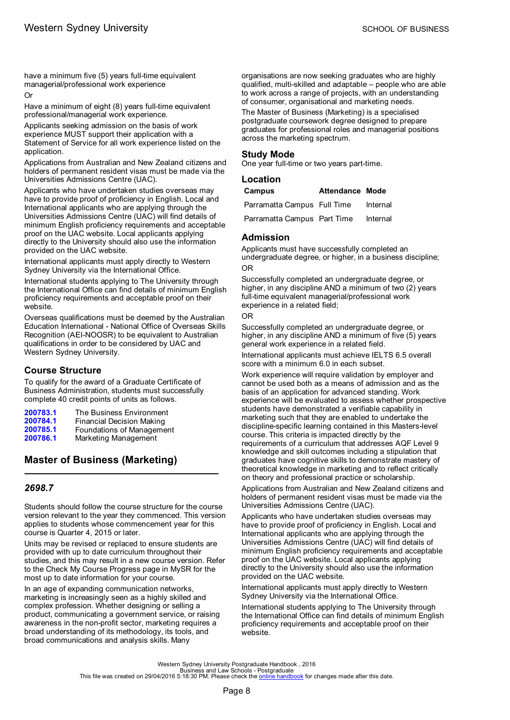<span id="page-11-0"></span>have a minimum five (5) years full-time equivalent managerial/professional work experience

#### Or

Have a minimum of eight (8) years full-time equivalent professional/managerial work experience.

Applicants seeking admission on the basis of work experience MUST support their application with a Statement of Service for all work experience listed on the application.

Applications from Australian and New Zealand citizens and holders of permanent resident visas must be made via the Universities Admissions Centre (UAC).

Applicants who have undertaken studies overseas may have to provide proof of proficiency in English. Local and International applicants who are applying through the Universities Admissions Centre (UAC) will find details of minimum English proficiency requirements and acceptable proof on the UAC website. Local applicants applying directly to the University should also use the information provided on the UAC website.

International applicants must apply directly to Western Sydney University via the International Office.

International students applying to The University through the International Office can find details of minimum English proficiency requirements and acceptable proof on their website.

Overseas qualifications must be deemed by the Australian Education International - National Office of Overseas Skills Recognition (AEI-NOOSR) to be equivalent to Australian qualifications in order to be considered by UAC and Western Sydney University.

### **Course Structure**

To qualify for the award of a Graduate Certificate of Business Administration, students must successfully complete 40 credit points of units as follows.

| 200783.1 | The Business Environment  |
|----------|---------------------------|
| 200784.1 | Financial Decision Making |
| 200785.1 | Foundations of Management |
| 200786.1 | Marketing Management      |

## **Master of Business (Marketing)**

## *2698.7*

Students should follow the course structure for the course version relevant to the year they commenced. This version applies to students whose commencement year for this course is Quarter 4, 2015 or later.

Units may be revised or replaced to ensure students are provided with up to date curriculum throughout their studies, and this may result in a new course version. Refer to the Check My Course Progress page in MySR for the most up to date information for your course.

In an age of expanding communication networks, marketing is increasingly seen as a highly skilled and complex profession. Whether designing or selling a product, communicating a government service, or raising awareness in the non-profit sector, marketing requires a broad understanding of its methodology, its tools, and broad communications and analysis skills. Many

organisations are now seeking graduates who are highly qualified, multi-skilled and adaptable – people who are able to work across a range of projects, with an understanding of consumer, organisational and marketing needs.

The Master of Business (Marketing) is a specialised postgraduate coursework degree designed to prepare graduates for professional roles and managerial positions across the marketing spectrum.

### **Study Mode**

One year full-time or two years part-time.

## **Location Campus Attendance Mode** Parramatta Campus Full Time Internal

| Parramatta Campus Part Time | Internal |
|-----------------------------|----------|

## **Admission**

Applicants must have successfully completed an undergraduate degree, or higher, in a business discipline; OR

Successfully completed an undergraduate degree, or higher, in any discipline AND a minimum of two (2) years full-time equivalent managerial/professional work experience in a related field;

OR

Successfully completed an undergraduate degree, or higher, in any discipline AND a minimum of five (5) years general work experience in a related field.

International applicants must achieve IELTS 6.5 overall score with a minimum 6.0 in each subset.

Work experience will require validation by employer and cannot be used both as a means of admission and as the basis of an application for advanced standing. Work experience will be evaluated to assess whether prospective students have demonstrated a verifiable capability in marketing such that they are enabled to undertake the discipline-specific learning contained in this Masters-level course. This criteria is impacted directly by the requirements of a curriculum that addresses AQF Level 9 knowledge and skill outcomes including a stipulation that graduates have cognitive skills to demonstrate mastery of theoretical knowledge in marketing and to reflect critically on theory and professional practice or scholarship.

Applications from Australian and New Zealand citizens and holders of permanent resident visas must be made via the Universities Admissions Centre (UAC).

Applicants who have undertaken studies overseas may have to provide proof of proficiency in English. Local and International applicants who are applying through the Universities Admissions Centre (UAC) will find details of minimum English proficiency requirements and acceptable proof on the UAC website. Local applicants applying directly to the University should also use the information provided on the UAC website.

International applicants must apply directly to Western Sydney University via the International Office.

International students applying to The University through the International Office can find details of minimum English proficiency requirements and acceptable proof on their website.

Western Sydney University Postgraduate Handbook , 2016<br>Business and Law Schools - Paus Postgraduate<br>This file was created on 29/04/2016 5:18:30 PM. Please check the <u>online [handbook](http://handbook.westernsydney.edu.au/hbook/)</u> for changes made after this date.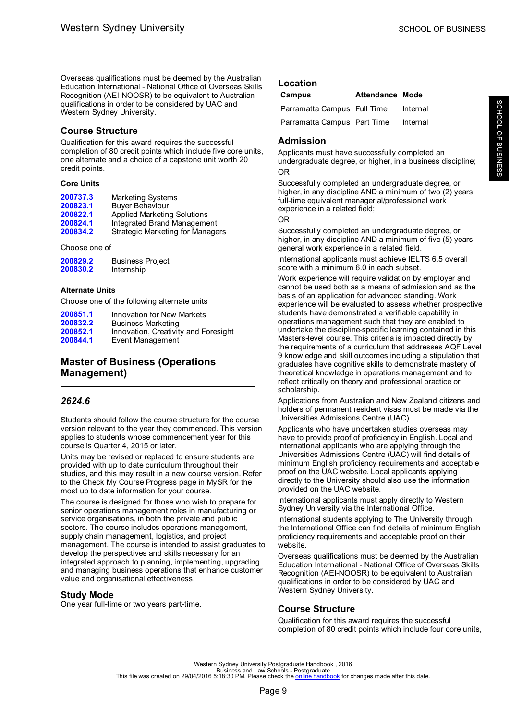SCHOOL

SCHOOL OF BUSINESS

BUSINESS

<span id="page-12-0"></span>Overseas qualifications must be deemed by the Australian Education International - National Office of Overseas Skills Recognition (AEI-NOOSR) to be equivalent to Australian qualifications in order to be considered by UAC and Western Sydney University.

### **Course Structure**

Qualification for this award requires the successful completion of 80 credit points which include five core units, one alternate and a choice of a capstone unit worth 20 credit points.

#### **Core Units**

| 200737.3 | <b>Marketing Systems</b>                |
|----------|-----------------------------------------|
| 200823.1 | <b>Buver Behaviour</b>                  |
| 200822.1 | <b>Applied Marketing Solutions</b>      |
| 200824.1 | Integrated Brand Management             |
| 200834.2 | <b>Strategic Marketing for Managers</b> |

#### Choose one of

| 200829.2 | <b>Business Project</b> |
|----------|-------------------------|
| 200830.2 | Internship              |

#### **Alternate Units**

Choose one of the following alternate units

| 200851.1 | Innovation for New Markets           |
|----------|--------------------------------------|
| 200832.2 | <b>Business Marketing</b>            |
| 200852.1 | Innovation, Creativity and Foresight |
| 200844.1 | Event Management                     |

## **Master of Business (Operations Management)**

### *2624.6*

Students should follow the course structure for the course version relevant to the year they commenced. This version applies to students whose commencement year for this course is Quarter 4, 2015 or later.

Units may be revised or replaced to ensure students are provided with up to date curriculum throughout their studies, and this may result in a new course version. Refer to the Check My Course Progress page in MySR for the most up to date information for your course.

The course is designed for those who wish to prepare for senior operations management roles in manufacturing or service organisations, in both the private and public sectors. The course includes operations management, supply chain management, logistics, and project management. The course is intended to assist graduates to develop the perspectives and skills necessary for an integrated approach to planning, implementing, upgrading and managing business operations that enhance customer value and organisational effectiveness.

### **Study Mode**

One year full-time or two years part-time.

### **Location**

| <b>Campus</b>               | <b>Attendance Mode</b> |          |
|-----------------------------|------------------------|----------|
| Parramatta Campus Full Time |                        | Internal |
| Parramatta Campus Part Time |                        | Internal |

## **Admission**

Applicants must have successfully completed an undergraduate degree, or higher, in a business discipline; OR

Successfully completed an undergraduate degree, or higher, in any discipline AND a minimum of two (2) years full-time equivalent managerial/professional work experience in a related field;

OR

Successfully completed an undergraduate degree, or higher, in any discipline AND a minimum of five (5) years general work experience in a related field.

International applicants must achieve IELTS 6.5 overall score with a minimum 6.0 in each subset.

Work experience will require validation by employer and cannot be used both as a means of admission and as the basis of an application for advanced standing. Work experience will be evaluated to assess whether prospective students have demonstrated a verifiable capability in operations management such that they are enabled to undertake the discipline-specific learning contained in this Masters-level course. This criteria is impacted directly by the requirements of a curriculum that addresses AQF Level 9 knowledge and skill outcomes including a stipulation that graduates have cognitive skills to demonstrate mastery of theoretical knowledge in operations management and to reflect critically on theory and professional practice or scholarship.

Applications from Australian and New Zealand citizens and holders of permanent resident visas must be made via the Universities Admissions Centre (UAC).

Applicants who have undertaken studies overseas may have to provide proof of proficiency in English. Local and International applicants who are applying through the Universities Admissions Centre (UAC) will find details of minimum English proficiency requirements and acceptable proof on the UAC website. Local applicants applying directly to the University should also use the information provided on the UAC website.

International applicants must apply directly to Western Sydney University via the International Office.

International students applying to The University through the International Office can find details of minimum English proficiency requirements and acceptable proof on their website.

Overseas qualifications must be deemed by the Australian Education International - National Office of Overseas Skills Recognition (AEI-NOOSR) to be equivalent to Australian qualifications in order to be considered by UAC and Western Sydney University.

### **Course Structure**

Qualification for this award requires the successful completion of 80 credit points which include four core units,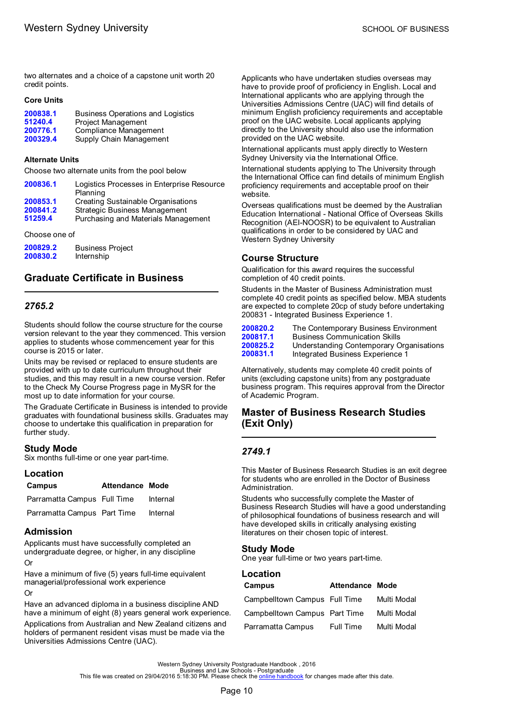<span id="page-13-0"></span>two alternates and a choice of a capstone unit worth 20 credit points.

#### **Core Units**

| 200838.1 | <b>Business Operations and Logistics</b> |
|----------|------------------------------------------|
| 51240.4  | Project Management                       |
| 200776.1 | Compliance Management                    |
| 200329.4 | Supply Chain Management                  |

#### **Alternate Units**

Choose two alternate units from the pool below

| 200836.1 | Logistics Processes in Enterprise Resource<br>Planning |
|----------|--------------------------------------------------------|
| 200853.1 | Creating Sustainable Organisations                     |
| 200841.2 | <b>Strategic Business Management</b>                   |
| 51259.4  | Purchasing and Materials Management                    |
|          |                                                        |

Choose one of

| 200829.2 | <b>Business Project</b> |
|----------|-------------------------|
| 200830.2 | Internship              |

## **Graduate Certificate in Business**

## *2765.2*

Students should follow the course structure for the course version relevant to the year they commenced. This version applies to students whose commencement year for this course is 2015 or later.

Units may be revised or replaced to ensure students are provided with up to date curriculum throughout their studies, and this may result in a new course version. Refer to the Check My Course Progress page in MySR for the most up to date information for your course.

The Graduate Certificate in Business is intended to provide graduates with foundational business skills. Graduates may choose to undertake this qualification in preparation for further study.

### **Study Mode**

Six months full-time or one year part-time.

### **Location**

| Campus                      | <b>Attendance Mode</b> |          |
|-----------------------------|------------------------|----------|
| Parramatta Campus Full Time |                        | Internal |
| Parramatta Campus Part Time |                        | Internal |

### **Admission**

Applicants must have successfully completed an undergraduate degree, or higher, in any discipline

 $\Omega$ 

Have a minimum of five (5) years full-time equivalent managerial/professional work experience

#### Or

Have an advanced diploma in a business discipline AND have a minimum of eight (8) years general work experience. Applications from Australian and New Zealand citizens and holders of permanent resident visas must be made via the Universities Admissions Centre (UAC).

Applicants who have undertaken studies overseas may have to provide proof of proficiency in English. Local and International applicants who are applying through the Universities Admissions Centre (UAC) will find details of minimum English proficiency requirements and acceptable proof on the UAC website. Local applicants applying directly to the University should also use the information provided on the UAC website.

International applicants must apply directly to Western Sydney University via the International Office.

International students applying to The University through the International Office can find details of minimum English proficiency requirements and acceptable proof on their website.

Overseas qualifications must be deemed by the Australian Education International - National Office of Overseas Skills Recognition (AEI-NOOSR) to be equivalent to Australian qualifications in order to be considered by UAC and Western Sydney University

### **Course Structure**

Qualification for this award requires the successful completion of 40 credit points.

Students in the Master of Business Administration must complete 40 credit points as specified below. MBA students are expected to complete 20cp of study before undertaking 200831 - Integrated Business Experience 1.

| 200820.2 | The Contemporary Business Environment    |
|----------|------------------------------------------|
| 200817.1 | <b>Business Communication Skills</b>     |
| 200825.2 | Understanding Contemporary Organisations |
| 200831.1 | Integrated Business Experience 1         |

Alternatively, students may complete 40 credit points of units (excluding capstone units) from any postgraduate business program. This requires approval from the Director of Academic Program.

## **Master of Business Research Studies (Exit Only)**

## *2749.1*

This Master of Business Research Studies is an exit degree for students who are enrolled in the Doctor of Business Administration.

Students who successfully complete the Master of Business Research Studies will have a good understanding of philosophical foundations of business research and will have developed skills in critically analysing existing literatures on their chosen topic of interest.

### **Study Mode**

One year full-time or two years part-time.

## **Location**

| Campus                        | <b>Attendance Mode</b> |             |
|-------------------------------|------------------------|-------------|
| Campbelltown Campus Full Time |                        | Multi Modal |
| Campbelltown Campus Part Time |                        | Multi Modal |
| Parramatta Campus             | <b>Full Time</b>       | Multi Modal |

Western Sydney University Postgraduate Handbook , 2016<br>Business and Law Schools - Paus Postgraduate<br>This file was created on 29/04/2016 5:18:30 PM. Please check the <u>online [handbook](http://handbook.westernsydney.edu.au/hbook/)</u> for changes made after this date.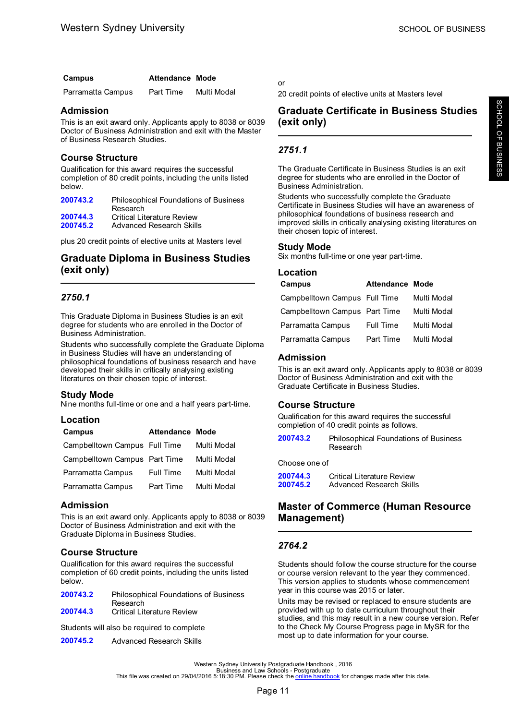<span id="page-14-0"></span>

| Campus            | <b>Attendance Mode</b> |             |
|-------------------|------------------------|-------------|
| Parramatta Campus | Part Time              | Multi Modal |

### **Admission**

This is an exit award only. Applicants apply to 8038 or 8039 Doctor of Business Administration and exit with the Master of Business Research Studies.

## **Course Structure**

Qualification for this award requires the successful completion of 80 credit points, including the units listed below.

| 200743.2 | <b>Philosophical Foundations of Business</b><br>Research |
|----------|----------------------------------------------------------|
| 200744.3 | Critical Literature Review                               |
| 200745.2 | <b>Advanced Research Skills</b>                          |

plus 20 credit points of elective units at Masters level

## **Graduate Diploma in Business Studies (exit only)**

## *2750.1*

This Graduate Diploma in Business Studies is an exit degree for students who are enrolled in the Doctor of Business Administration.

Students who successfully complete the Graduate Diploma in Business Studies will have an understanding of philosophical foundations of business research and have developed their skills in critically analysing existing literatures on their chosen topic of interest.

### **Study Mode**

Nine months full-time or one and a half years part-time.

| Location                      |                 |             |
|-------------------------------|-----------------|-------------|
| Campus                        | Attendance Mode |             |
| Campbelltown Campus Full Time |                 | Multi Modal |
| Campbelltown Campus Part Time |                 | Multi Modal |
| Parramatta Campus             | Full Time       | Multi Modal |
| Parramatta Campus             | Part Time       | Multi Modal |

## **Admission**

This is an exit award only. Applicants apply to 8038 or 8039 Doctor of Business Administration and exit with the Graduate Diploma in Business Studies.

## **Course Structure**

Qualification for this award requires the successful completion of 60 credit points, including the units listed below.

| 200743.2 | Philosophical Foundations of Business |
|----------|---------------------------------------|
|          | Research                              |
| 200744.3 | <b>Critical Literature Review</b>     |

Students will also be required to complete

**[200745.2](#page-25-0)** Advanced Research Skills

### or

20 credit points of elective units at Masters level

## **Graduate Certificate in Business Studies (exit only)**

## *2751.1*

The Graduate Certificate in Business Studies is an exit degree for students who are enrolled in the Doctor of Business Administration.

Students who successfully complete the Graduate Certificate in Business Studies will have an awareness of philosophical foundations of business research and improved skills in critically analysing existing literatures on their chosen topic of interest.

### **Study Mode**

Six months full-time or one year part-time.

### **Location**

| <b>Campus</b>                 | <b>Attendance Mode</b> |             |
|-------------------------------|------------------------|-------------|
| Campbelltown Campus Full Time |                        | Multi Modal |
| Campbelltown Campus Part Time |                        | Multi Modal |
| Parramatta Campus             | Full Time              | Multi Modal |
| Parramatta Campus             | Part Time              | Multi Modal |

### **Admission**

This is an exit award only. Applicants apply to 8038 or 8039 Doctor of Business Administration and exit with the Graduate Certificate in Business Studies.

### **Course Structure**

Qualification for this award requires the successful completion of 40 credit points as follows.

**[200743.2](#page-43-0)** Philosophical Foundations of Business Research

Choose one of

| 200744.3 | Critical Literature Review      |
|----------|---------------------------------|
| 200745.2 | <b>Advanced Research Skills</b> |

## **Master of Commerce (Human Resource Management)**

## *2764.2*

Students should follow the course structure for the course or course version relevant to the year they commenced. This version applies to students whose commencement year in this course was 2015 or later.

Units may be revised or replaced to ensure students are provided with up to date curriculum throughout their studies, and this may result in a new course version. Refer to the Check My Course Progress page in MySR for the most up to date information for your course.

Western Sydney University Postgraduate Handbook , 2016 Business and Law Schools - Postgraduate This file was created on 29/04/2016 5:18:30 PM. Please check the online [handbook](http://handbook.westernsydney.edu.au/hbook/) for changes made after this date.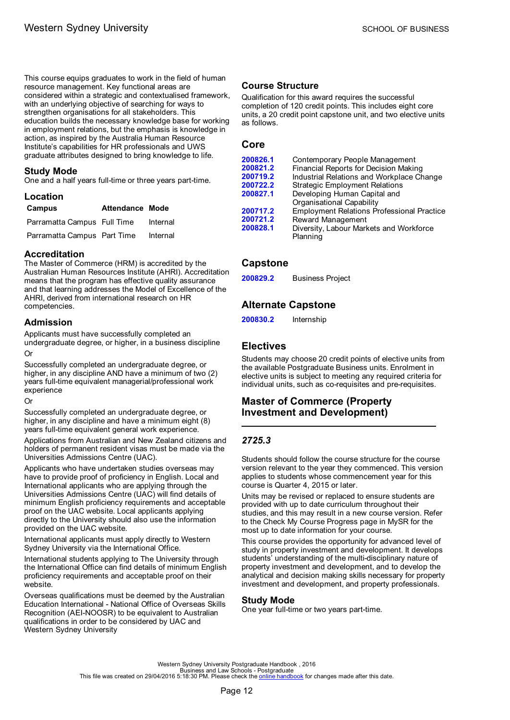<span id="page-15-0"></span>This course equips graduates to work in the field of human resource management. Key functional areas are considered within a strategic and contextualised framework, with an underlying objective of searching for ways to strengthen organisations for all stakeholders. This education builds the necessary knowledge base for working in employment relations, but the emphasis is knowledge in action, as inspired by the Australia Human Resource Institute's capabilities for HR professionals and UWS graduate attributes designed to bring knowledge to life.

## **Study Mode**

One and a half years full-time or three years part-time.

| Location                    |                        |          |
|-----------------------------|------------------------|----------|
| Campus                      | <b>Attendance Mode</b> |          |
| Parramatta Campus Full Time |                        | Internal |
| Parramatta Campus Part Time |                        | Internal |

### **Accreditation**

The Master of Commerce (HRM) is accredited by the Australian Human Resources Institute (AHRI). Accreditation means that the program has effective quality assurance and that learning addresses the Model of Excellence of the AHRI, derived from international research on HR competencies.

## **Admission**

Applicants must have successfully completed an undergraduate degree, or higher, in a business discipline Or

Successfully completed an undergraduate degree, or higher, in any discipline AND have a minimum of two (2) years full-time equivalent managerial/professional work experience

Or

Successfully completed an undergraduate degree, or higher, in any discipline and have a minimum eight (8) years full-time equivalent general work experience.

Applications from Australian and New Zealand citizens and holders of permanent resident visas must be made via the Universities Admissions Centre (UAC).

Applicants who have undertaken studies overseas may have to provide proof of proficiency in English. Local and International applicants who are applying through the Universities Admissions Centre (UAC) will find details of minimum English proficiency requirements and acceptable proof on the UAC website. Local applicants applying directly to the University should also use the information provided on the UAC website.

International applicants must apply directly to Western Sydney University via the International Office.

International students applying to The University through the International Office can find details of minimum English proficiency requirements and acceptable proof on their website.

Overseas qualifications must be deemed by the Australian Education International - National Office of Overseas Skills Recognition (AEI-NOOSR) to be equivalent to Australian qualifications in order to be considered by UAC and Western Sydney University

### **Course Structure**

Qualification for this award requires the successful completion of 120 credit points. This includes eight core units, a 20 credit point capstone unit, and two elective units as follows.

### **Core**

| 200826.1 | Contemporary People Management                    |
|----------|---------------------------------------------------|
| 200821.2 | Financial Reports for Decision Making             |
| 200719.2 | Industrial Relations and Workplace Change         |
| 200722.2 | <b>Strategic Employment Relations</b>             |
| 200827.1 | Developing Human Capital and                      |
|          | Organisational Capability                         |
| 200717.2 | <b>Employment Relations Professional Practice</b> |
| 200721.2 | Reward Management                                 |
| 200828.1 | Diversity, Labour Markets and Workforce           |
|          | Planning                                          |
|          |                                                   |

## **Capstone**

**[200829.2](#page-27-0)** Business Project

## **Alternate Capstone**

**[200830.2](#page-39-0)** Internship

## **Electives**

Students may choose 20 credit points of elective units from the available Postgraduate Business units. Enrolment in elective units is subject to meeting any required criteria for individual units, such as co-requisites and pre-requisites.

## **Master of Commerce (Property Investment and Development)**

## *2725.3*

Students should follow the course structure for the course version relevant to the year they commenced. This version applies to students whose commencement year for this course is Quarter 4, 2015 or later.

Units may be revised or replaced to ensure students are provided with up to date curriculum throughout their studies, and this may result in a new course version. Refer to the Check My Course Progress page in MySR for the most up to date information for your course.

This course provides the opportunity for advanced level of study in property investment and development. It develops students' understanding of the multi-disciplinary nature of property investment and development, and to develop the analytical and decision making skills necessary for property investment and development, and property professionals.

### **Study Mode**

One year full-time or two years part-time.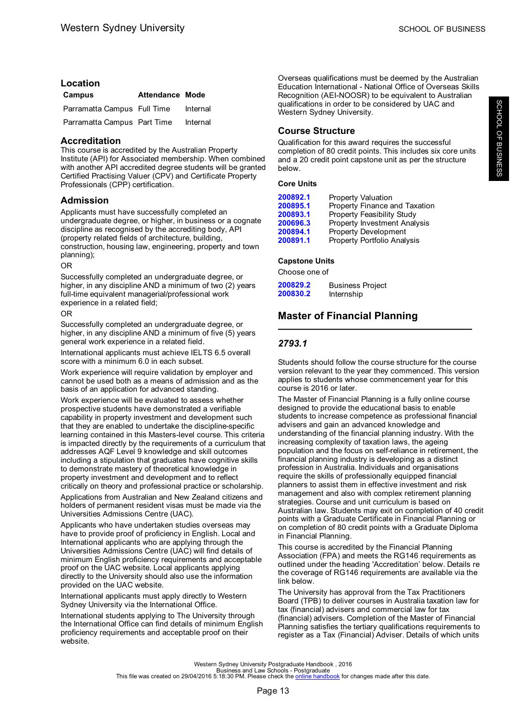## <span id="page-16-0"></span>**Location**

| Campus                      | <b>Attendance Mode</b> |          |
|-----------------------------|------------------------|----------|
| Parramatta Campus Full Time |                        | Internal |
| Parramatta Campus Part Time |                        | Internal |

### **Accreditation**

This course is accredited by the Australian Property Institute (API) for Associated membership. When combined with another API accredited degree students will be granted Certified Practising Valuer (CPV) and Certificate Property Professionals (CPP) certification.

## **Admission**

Applicants must have successfully completed an undergraduate degree, or higher, in business or a cognate discipline as recognised by the accrediting body, API (property related fields of architecture, building, construction, housing law, engineering, property and town planning);

OR

Successfully completed an undergraduate degree, or higher, in any discipline AND a minimum of two (2) years full-time equivalent managerial/professional work experience in a related field;

OR

Successfully completed an undergraduate degree, or higher, in any discipline AND a minimum of five (5) years general work experience in a related field.

International applicants must achieve IELTS 6.5 overall score with a minimum 6.0 in each subset.

Work experience will require validation by employer and cannot be used both as a means of admission and as the basis of an application for advanced standing.

Work experience will be evaluated to assess whether prospective students have demonstrated a verifiable capability in property investment and development such that they are enabled to undertake the discipline-specific learning contained in this Masters-level course. This criteria is impacted directly by the requirements of a curriculum that addresses AQF Level 9 knowledge and skill outcomes including a stipulation that graduates have cognitive skills to demonstrate mastery of theoretical knowledge in property investment and development and to reflect critically on theory and professional practice or scholarship.

Applications from Australian and New Zealand citizens and holders of permanent resident visas must be made via the Universities Admissions Centre (UAC).

Applicants who have undertaken studies overseas may have to provide proof of proficiency in English. Local and International applicants who are applying through the Universities Admissions Centre (UAC) will find details of minimum English proficiency requirements and acceptable proof on the UAC website. Local applicants applying directly to the University should also use the information provided on the UAC website.

International applicants must apply directly to Western Sydney University via the International Office.

International students applying to The University through the International Office can find details of minimum English proficiency requirements and acceptable proof on their website.

Overseas qualifications must be deemed by the Australian Education International - National Office of Overseas Skills Recognition (AEI-NOOSR) to be equivalent to Australian qualifications in order to be considered by UAC and Western Sydney University.

## **Course Structure**

Qualification for this award requires the successful completion of 80 credit points. This includes six core units and a 20 credit point capstone unit as per the structure below.

### **Core Units**

| 200892.1 | <b>Property Valuation</b>            |
|----------|--------------------------------------|
| 200895.1 | <b>Property Finance and Taxation</b> |
| 200893.1 | Property Feasibility Study           |
| 200696.3 | <b>Property Investment Analysis</b>  |
| 200894.1 | <b>Property Development</b>          |
| 200891.1 | Property Portfolio Analysis          |

### **Capstone Units**

Choose one of

| 200829.2 | <b>Business Project</b> |
|----------|-------------------------|
| 200830.2 | Internship              |

## **Master of Financial Planning**

## *2793.1*

Students should follow the course structure for the course version relevant to the year they commenced. This version applies to students whose commencement year for this course is 2016 or later.

The Master of Financial Planning is a fully online course designed to provide the educational basis to enable students to increase competence as professional financial advisers and gain an advanced knowledge and understanding of the financial planning industry. With the increasing complexity of taxation laws, the ageing population and the focus on self-reliance in retirement, the financial planning industry is developing as a distinct profession in Australia. Individuals and organisations require the skills of professionally equipped financial planners to assist them in effective investment and risk management and also with complex retirement planning strategies. Course and unit curriculum is based on Australian law. Students may exit on completion of 40 credit points with a Graduate Certificate in Financial Planning or on completion of 80 credit points with a Graduate Diploma in Financial Planning.

This course is accredited by the Financial Planning Association (FPA) and meets the RG146 requirements as outlined under the heading 'Accreditation' below. Details re the coverage of RG146 requirements are available via the link below.

The University has approval from the Tax Practitioners Board (TPB) to deliver courses in Australia taxation law for tax (financial) advisers and commercial law for tax (financial) advisers. Completion of the Master of Financial Planning satisfies the tertiary qualifications requirements to register as a Tax (Financial) Adviser. Details of which units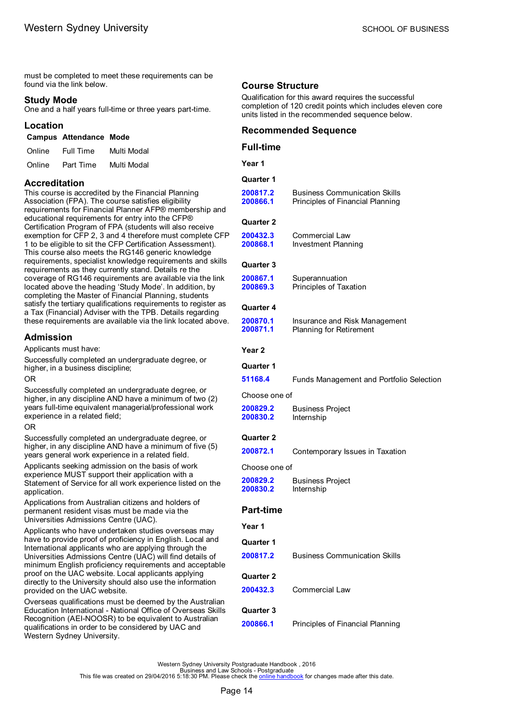must be completed to meet these requirements can be found via the link below.

### **Study Mode**

One and a half years full-time or three years part-time.

### **Location**

### **Campus Attendance Mode**

| Online | Full Time | Multi Modal |
|--------|-----------|-------------|
| Online | Part Time | Multi Modal |

### **Accreditation**

This course is accredited by the Financial Planning Association (FPA). The course satisfies eligibility requirements for Financial Planner AFP® membership and educational requirements for entry into the CFP® Certification Program of FPA (students will also receive exemption for CFP 2, 3 and 4 therefore must complete CFP 1 to be eligible to sit the CFP Certification Assessment). This course also meets the RG146 generic knowledge requirements, specialist knowledge requirements and skills requirements as they currently stand. Details re the coverage of RG146 requirements are available via the link located above the heading 'Study Mode'. In addition, by completing the Master of Financial Planning, students satisfy the tertiary qualifications requirements to register as a Tax (Financial) Adviser with the TPB. Details regarding these requirements are available via the link located above.

## **Admission**

Applicants must have:

Successfully completed an undergraduate degree, or higher, in a business discipline;

#### OR

Successfully completed an undergraduate degree, or higher, in any discipline AND have a minimum of two (2) years full-time equivalent managerial/professional work experience in a related field;

### OR

Successfully completed an undergraduate degree, or higher, in any discipline AND have a minimum of five (5) years general work experience in a related field.

Applicants seeking admission on the basis of work experience MUST support their application with a Statement of Service for all work experience listed on the application.

Applications from Australian citizens and holders of permanent resident visas must be made via the Universities Admissions Centre (UAC).

Applicants who have undertaken studies overseas may have to provide proof of proficiency in English. Local and International applicants who are applying through the Universities Admissions Centre (UAC) will find details of minimum English proficiency requirements and acceptable proof on the UAC website. Local applicants applying directly to the University should also use the information provided on the UAC website.

Overseas qualifications must be deemed by the Australian Education International - National Office of Overseas Skills Recognition (AEI-NOOSR) to be equivalent to Australian qualifications in order to be considered by UAC and Western Sydney University.

### **Course Structure**

Qualification for this award requires the successful completion of 120 credit points which includes eleven core units listed in the recommended sequence below.

### **Recommended Sequence**

### **Full-time**

**Year 1**

- **Quarter 1**
- **[200817.2](#page-27-0)** Business Communication Skills<br>**200866.1** Principles of Financial Planning **[200866.1](#page-43-0)** Principles of Financial Planning

### **Quarter 2**

| 200432.3 | Commercial Law      |
|----------|---------------------|
| 200868.1 | Investment Planning |

### **Quarter 3**

**[200867.1](#page-47-0)** Superannuation<br>**200869.3** Principles of Tax **200869.3** Principles of Taxation

### **Quarter 4**

**[200870.1](#page-37-0)** Insurance and Risk Management **Planning for Retirement** 

### **Year 2**

# **Quarter 1**

**[51168.4](#page-35-0)** Funds Management and Portfolio Selection

Choose one of

| 200829.2 | <b>Business Project</b> |
|----------|-------------------------|
| 200830.2 | Internship              |

### **Quarter 2**

[200872.1](#page-29-0) Contemporary Issues in Taxation

Choose one of

**[200829.2](#page-27-0)** Business Project **[200830.2](#page-39-0)** Internship

### **Part-time**

| Year 1           |  |
|------------------|--|
| <b>Quarter 1</b> |  |

**[200817.2](#page-27-0)** Business Communication Skills

**Quarter 2**

**[200432.3](#page-28-0)** Commercial Law

## **Quarter 3**

**[200866.1](#page-43-0)** Principles of Financial Planning

Western Sydney University Postgraduate Handbook , 2016<br>Business and Law Schools - Paus Postgraduate<br>This file was created on 29/04/2016 5:18:30 PM. Please check the <u>online [handbook](http://handbook.westernsydney.edu.au/hbook/)</u> for changes made after this date.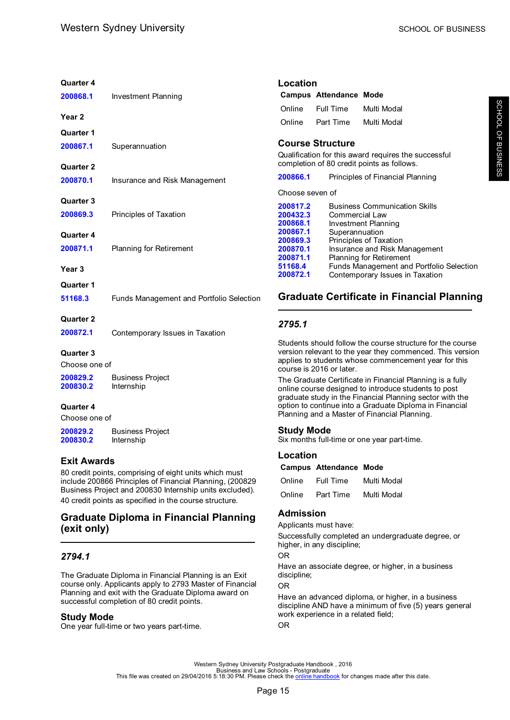<span id="page-18-0"></span>

| <b>Quarter 4</b>     |                                          | Location             |                               |                                                                                                                         |
|----------------------|------------------------------------------|----------------------|-------------------------------|-------------------------------------------------------------------------------------------------------------------------|
| 200868.1             | <b>Investment Planning</b>               |                      | <b>Campus Attendance Mode</b> |                                                                                                                         |
|                      |                                          | Online               | Full Time                     | Multi Modal                                                                                                             |
| Year 2               |                                          | Online               | Part Time                     | Multi Modal                                                                                                             |
| Quarter 1            |                                          |                      |                               |                                                                                                                         |
| 200867.1             | Superannuation                           |                      | <b>Course Structure</b>       |                                                                                                                         |
|                      |                                          |                      |                               | Qualification for this award requires the successful                                                                    |
| Quarter 2            |                                          |                      |                               | completion of 80 credit points as follows.                                                                              |
| 200870.1             | Insurance and Risk Management            | 200866.1             |                               | Principles of Financial Planning                                                                                        |
|                      |                                          | Choose seven of      |                               |                                                                                                                         |
| <b>Quarter 3</b>     |                                          | 200817.2             |                               | <b>Business Communication Skills</b>                                                                                    |
| 200869.3             | Principles of Taxation                   | 200432.3             | Commercial Law                |                                                                                                                         |
|                      |                                          | 200868.1<br>200867.1 | Superannuation                | Investment Planning                                                                                                     |
| Quarter 4            |                                          | 200869.3             |                               | Principles of Taxation                                                                                                  |
| 200871.1             | Planning for Retirement                  | 200870.1             |                               | Insurance and Risk Management                                                                                           |
|                      |                                          | 200871.1<br>51168.4  |                               | Planning for Retirement<br>Funds Management and Portfolio Selection                                                     |
| Year 3               |                                          | 200872.1             |                               | Contemporary Issues in Taxation                                                                                         |
| Quarter 1            |                                          |                      |                               |                                                                                                                         |
| 51168.3              | Funds Management and Portfolio Selection |                      |                               | <b>Graduate Certificate in Financial Planning</b>                                                                       |
|                      |                                          |                      |                               |                                                                                                                         |
| Quarter 2            |                                          | 2795.1               |                               |                                                                                                                         |
| 200872.1             | Contemporary Issues in Taxation          |                      |                               |                                                                                                                         |
| <b>Quarter 3</b>     |                                          |                      |                               | Students should follow the course structure for the course<br>version relevant to the year they commenced. This version |
| Choose one of        |                                          |                      |                               | applies to students whose commencement year for this                                                                    |
|                      |                                          |                      | course is 2016 or later.      |                                                                                                                         |
| 200829.2<br>200830.2 | <b>Business Project</b><br>Internship    |                      |                               | The Graduate Certificate in Financial Planning is a fully                                                               |
|                      |                                          |                      |                               | online course designed to introduce students to post<br>graduate study in the Financial Planning sector with the        |
| Quarter 4            |                                          |                      |                               | option to continue into a Graduate Diploma in Financial                                                                 |

Choose one of

**[200829.2](#page-27-0)** Business Project **[200830.2](#page-39-0)** Internship

### **Exit Awards**

80 credit points, comprising of eight units which must include 200866 Principles of Financial Planning, (200829 Business Project and 200830 Internship units excluded). 40 credit points as specified in the course structure.

## **Graduate Diploma in Financial Planning (exit only)**

## *2794.1*

The Graduate Diploma in Financial Planning is an Exit course only. Applicants apply to 2793 Master of Financial Planning and exit with the Graduate Diploma award on successful completion of 80 credit points.

### **Study Mode**

One year full-time or two years part-time.

## **Study Mode**

Six months full-time or one year part-time.

Planning and a Master of Financial Planning.

### **Location**

#### **Campus Attendance Mode**

| Online | Full Time | Multi Modal |
|--------|-----------|-------------|
| Online | Part Time | Multi Modal |

### **Admission**

Applicants must have:

Successfully completed an undergraduate degree, or higher, in any discipline;

OR

Have an associate degree, or higher, in a business discipline;

OR

Have an advanced diploma, or higher, in a business discipline AND have a minimum of five (5) years general work experience in a related field; OR

SCHOOL

BUSINESS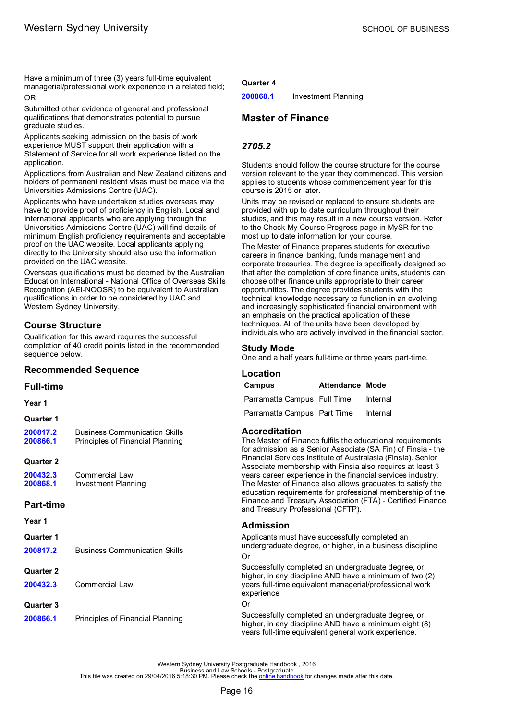<span id="page-19-0"></span>Have a minimum of three (3) years full-time equivalent managerial/professional work experience in a related field;

#### OR

Submitted other evidence of general and professional qualifications that demonstrates potential to pursue graduate studies.

Applicants seeking admission on the basis of work experience MUST support their application with a Statement of Service for all work experience listed on the application.

Applications from Australian and New Zealand citizens and holders of permanent resident visas must be made via the Universities Admissions Centre (UAC).

Applicants who have undertaken studies overseas may have to provide proof of proficiency in English. Local and International applicants who are applying through the Universities Admissions Centre (UAC) will find details of minimum English proficiency requirements and acceptable proof on the UAC website. Local applicants applying directly to the University should also use the information provided on the UAC website.

Overseas qualifications must be deemed by the Australian Education International - National Office of Overseas Skills Recognition (AEI-NOOSR) to be equivalent to Australian qualifications in order to be considered by UAC and Western Sydney University.

## **Course Structure**

Qualification for this award requires the successful completion of 40 credit points listed in the recommended sequence below.

### **Recommended Sequence**

### **Full-time**

**Year 1**

| <b>Quarter 1</b> |                                      |
|------------------|--------------------------------------|
| 200817.2         | <b>Business Communication Skills</b> |
| 200866.1         | Principles of Financial Planning     |

## **Quarter 2**

| 200432.3 | Commercial Law      |
|----------|---------------------|
| 200868.1 | Investment Planning |

## **Part-time**

| Year 1                       |                                      | <b>Admission</b>                                                                     |
|------------------------------|--------------------------------------|--------------------------------------------------------------------------------------|
| <b>Quarter 1</b><br>200817.2 | <b>Business Communication Skills</b> | Applicants must have successfully compl<br>undergraduate degree, or higher, in a but |
|                              |                                      | Or                                                                                   |
| <b>Quarter 2</b>             |                                      | Successfully completed an undergraduat<br>higher, in any discipline AND have a mini  |
| 200432.3                     | <b>Commercial Law</b>                | years full-time equivalent managerial/pro-<br>experience                             |
| <b>Quarter 3</b>             |                                      | Or                                                                                   |
| 200866.1                     | Principles of Financial Planning     | Successfully completed an undergraduat<br>higher, in any discipline AND have a mini  |

**Quarter 4**

**[200868.1](#page-39-0)** Investment Planning

## **Master of Finance**

## *2705.2*

Students should follow the course structure for the course version relevant to the year they commenced. This version applies to students whose commencement year for this course is 2015 or later.

Units may be revised or replaced to ensure students are provided with up to date curriculum throughout their studies, and this may result in a new course version. Refer to the Check My Course Progress page in MySR for the most up to date information for your course.

The Master of Finance prepares students for executive careers in finance, banking, funds management and corporate treasuries. The degree is specifically designed so that after the completion of core finance units, students can choose other finance units appropriate to their career opportunities. The degree provides students with the technical knowledge necessary to function in an evolving and increasingly sophisticated financial environment with an emphasis on the practical application of these techniques. All of the units have been developed by individuals who are actively involved in the financial sector.

### **Study Mode**

**Location**

One and a half years full-time or three years part-time.

| Internal                                                                             |
|--------------------------------------------------------------------------------------|
| Internal                                                                             |
| <b>Attendance Mode</b><br>Parramatta Campus Full Time<br>Parramatta Campus Part Time |

### **Accreditation**

The Master of Finance fulfils the educational requirements for admission as a Senior Associate (SA Fin) of Finsia - the Financial Services Institute of Australasia (Finsia). Senior Associate membership with Finsia also requires at least 3 years career experience in the financial services industry. The Master of Finance also allows graduates to satisfy the education requirements for professional membership of the Finance and Treasury Association (FTA) - Certified Finance and Treasury Professional (CFTP).

leted an siness discipline

e degree, or.  $mum$  of two (2) fessional work

te degree, or  $imum$  eight (8) years full-time equivalent general work experience.

Western Sydney University Postgraduate Handbook , 2016<br>Business and Law Schools - Paus Postgraduate<br>This file was created on 29/04/2016 5:18:30 PM. Please check the <u>online [handbook](http://handbook.westernsydney.edu.au/hbook/)</u> for changes made after this date.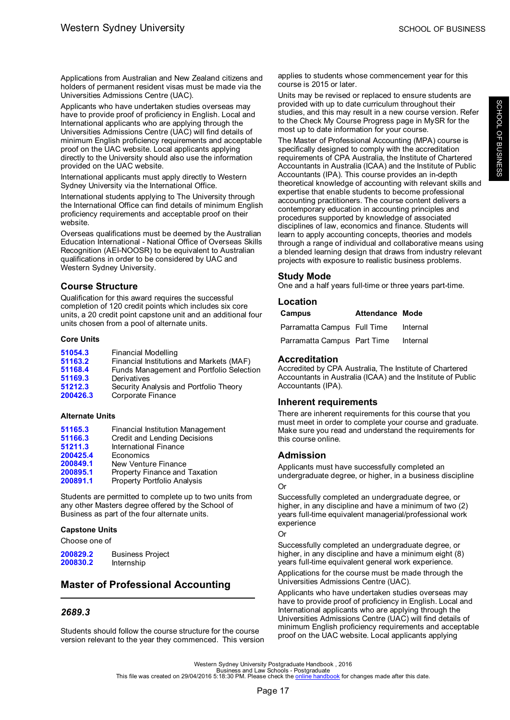SCHOOL OF OF BUSINESS

<span id="page-20-0"></span>Applications from Australian and New Zealand citizens and holders of permanent resident visas must be made via the Universities Admissions Centre (UAC).

Applicants who have undertaken studies overseas may have to provide proof of proficiency in English. Local and International applicants who are applying through the Universities Admissions Centre (UAC) will find details of minimum English proficiency requirements and acceptable proof on the UAC website. Local applicants applying directly to the University should also use the information provided on the UAC website.

International applicants must apply directly to Western Sydney University via the International Office.

International students applying to The University through the International Office can find details of minimum English proficiency requirements and acceptable proof on their website.

Overseas qualifications must be deemed by the Australian Education International - National Office of Overseas Skills Recognition (AEI-NOOSR) to be equivalent to Australian qualifications in order to be considered by UAC and Western Sydney University.

### **Course Structure**

Qualification for this award requires the successful completion of 120 credit points which includes six core units, a 20 credit point capstone unit and an additional four units chosen from a pool of alternate units.

#### **Core Units**

| 51054.3  | Financial Modelling                      |
|----------|------------------------------------------|
| 51163.2  | Financial Institutions and Markets (MAF) |
| 51168.4  | Funds Management and Portfolio Selection |
| 51169.3  | Derivatives                              |
| 51212.3  | Security Analysis and Portfolio Theory   |
| 200426.3 | Corporate Finance                        |

### **Alternate Units**

| 51165.3  | Financial Institution Management |
|----------|----------------------------------|
| 51166.3  | Credit and Lending Decisions     |
| 51211.3  | International Finance            |
| 200425.4 | Economics                        |
| 200849.1 | New Venture Finance              |
| 200895.1 | Property Finance and Taxation    |
| 200891.1 | Property Portfolio Analysis      |

Students are permitted to complete up to two units from any other Masters degree offered by the School of Business as part of the four alternate units.

### **Capstone Units**

Choose one of

| 200829.2 | <b>Business Project</b> |
|----------|-------------------------|
| 200830.2 | Internship              |

## **Master of Professional Accounting**

## *2689.3*

Students should follow the course structure for the course version relevant to the year they commenced. This version applies to students whose commencement year for this course is 2015 or later.

Units may be revised or replaced to ensure students are provided with up to date curriculum throughout their studies, and this may result in a new course version. Refer to the Check My Course Progress page in MySR for the most up to date information for your course.

The Master of Professional Accounting (MPA) course is specifically designed to comply with the accreditation requirements of CPA Australia, the Institute of Chartered Accountants in Australia (ICAA) and the Institute of Public Accountants (IPA). This course provides an in-depth theoretical knowledge of accounting with relevant skills and expertise that enable students to become professional accounting practitioners. The course content delivers a contemporary education in accounting principles and procedures supported by knowledge of associated disciplines of law, economics and finance. Students will learn to apply accounting concepts, theories and models through a range of individual and collaborative means using a blended learning design that draws from industry relevant projects with exposure to realistic business problems.

## **Study Mode**

One and a half years full-time or three years part-time.

### **Location**

| Campus                      | Attendance Mode |          |
|-----------------------------|-----------------|----------|
| Parramatta Campus Full Time |                 | Internal |
| Parramatta Campus Part Time |                 | Internal |

### **Accreditation**

Accredited by CPA Australia, The Institute of Chartered Accountants in Australia (ICAA) and the Institute of Public Accountants (IPA).

### **Inherent requirements**

There are inherent requirements for this course that you must meet in order to complete your course and graduate. Make sure you read and understand the requirements for this course online.

### **Admission**

Applicants must have successfully completed an undergraduate degree, or higher, in a business discipline

Or

Successfully completed an undergraduate degree, or higher, in any discipline and have a minimum of two (2) years full-time equivalent managerial/professional work **experience** 

### Or

Successfully completed an undergraduate degree, or higher, in any discipline and have a minimum eight (8) years full-time equivalent general work experience.

Applications for the course must be made through the Universities Admissions Centre (UAC).

Applicants who have undertaken studies overseas may have to provide proof of proficiency in English. Local and International applicants who are applying through the Universities Admissions Centre (UAC) will find details of minimum English proficiency requirements and acceptable proof on the UAC website. Local applicants applying

Western Sydney University Postgraduate Handbook , 2016 Business and Law Schools - Postgraduate This file was created on 29/04/2016 5:18:30 PM. Please check the online [handbook](http://handbook.westernsydney.edu.au/hbook/) for changes made after this date.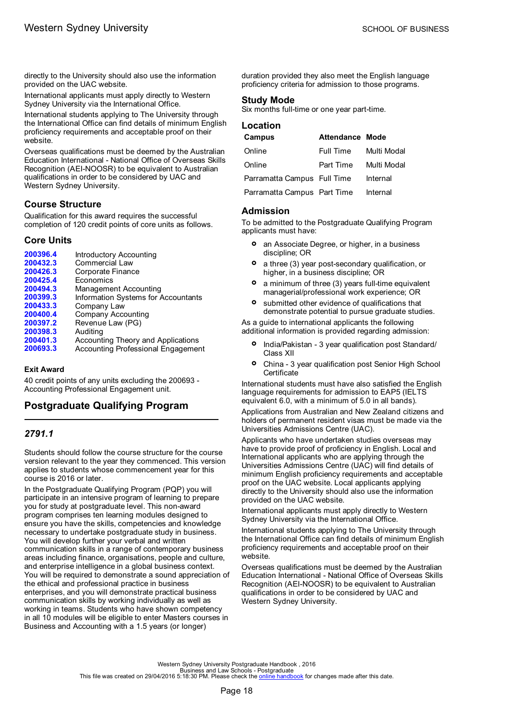<span id="page-21-0"></span>directly to the University should also use the information provided on the UAC website.

International applicants must apply directly to Western Sydney University via the International Office.

International students applying to The University through the International Office can find details of minimum English proficiency requirements and acceptable proof on their website.

Overseas qualifications must be deemed by the Australian Education International - National Office of Overseas Skills Recognition (AEI-NOOSR) to be equivalent to Australian qualifications in order to be considered by UAC and Western Sydney University.

## **Course Structure**

Qualification for this award requires the successful completion of 120 credit points of core units as follows.

### **Core Units**

| 200396.4 | Introductory Accounting                    |
|----------|--------------------------------------------|
| 200432.3 | Commercial Law                             |
| 200426.3 | Corporate Finance                          |
| 200425.4 | Economics                                  |
| 200494.3 | Management Accounting                      |
| 200399.3 | <b>Information Systems for Accountants</b> |
| 200433.3 | Company Law                                |
| 200400.4 | Company Accounting                         |
| 200397.2 | Revenue Law (PG)                           |
| 200398.3 | Auditing                                   |
| 200401.3 | Accounting Theory and Applications         |
| 200693.3 | <b>Accounting Professional Engagement</b>  |
|          |                                            |

### **Exit Award**

40 credit points of any units excluding the 200693 - Accounting Professional Engagement unit.

## **Postgraduate Qualifying Program**

## *2791.1*

Students should follow the course structure for the course version relevant to the year they commenced. This version applies to students whose commencement year for this course is 2016 or later.

In the Postgraduate Qualifying Program (PQP) you will participate in an intensive program of learning to prepare you for study at postgraduate level. This non-award program comprises ten learning modules designed to ensure you have the skills, competencies and knowledge necessary to undertake postgraduate study in business. You will develop further your verbal and written communication skills in a range of contemporary business areas including finance, organisations, people and culture, and enterprise intelligence in a global business context. You will be required to demonstrate a sound appreciation of the ethical and professional practice in business enterprises, and you will demonstrate practical business communication skills by working individually as well as working in teams. Students who have shown competency in all 10 modules will be eligible to enter Masters courses in Business and Accounting with a 1.5 years (or longer)

duration provided they also meet the English language proficiency criteria for admission to those programs.

### **Study Mode**

**Location**

Six months full-time or one year part-time.

| Lucalium                    |                 |             |  |
|-----------------------------|-----------------|-------------|--|
| Campus                      | Attendance Mode |             |  |
| Online                      | Full Time       | Multi Modal |  |
| Online                      | Part Time       | Multi Modal |  |
| Parramatta Campus Full Time |                 | Internal    |  |
| Parramatta Campus Part Time |                 | Internal    |  |

### **Admission**

To be admitted to the Postgraduate Qualifying Program applicants must have:

- **•** an Associate Degree, or higher, in a business discipline: OR discipline; OR
- **•** a three (3) year post-secondary qualification, or higher in a business discipling: OR higher, in a business discipline; OR
- **°** a minimum of three (3) years full-time equivalent managerial/professional work experience; OR
- **°** submitted other evidence of qualifications that demonstrate potential to pursue graduate studies.

As a guide to international applicants the following additional information is provided regarding admission:

- **°** India/Pakistan - 3 year qualification post Standard/ Class XII
- **°** China - 3 year qualification post Senior High School **Certificate**

International students must have also satisfied the English language requirements for admission to EAP5 (IELTS equivalent 6.0, with a minimum of 5.0 in all bands).

Applications from Australian and New Zealand citizens and holders of permanent resident visas must be made via the Universities Admissions Centre (UAC).

Applicants who have undertaken studies overseas may have to provide proof of proficiency in English. Local and International applicants who are applying through the Universities Admissions Centre (UAC) will find details of minimum English proficiency requirements and acceptable proof on the UAC website. Local applicants applying directly to the University should also use the information provided on the UAC website.

International applicants must apply directly to Western Sydney University via the International Office.

International students applying to The University through the International Office can find details of minimum English proficiency requirements and acceptable proof on their website.

Overseas qualifications must be deemed by the Australian Education International - National Office of Overseas Skills Recognition (AEI-NOOSR) to be equivalent to Australian qualifications in order to be considered by UAC and Western Sydney University.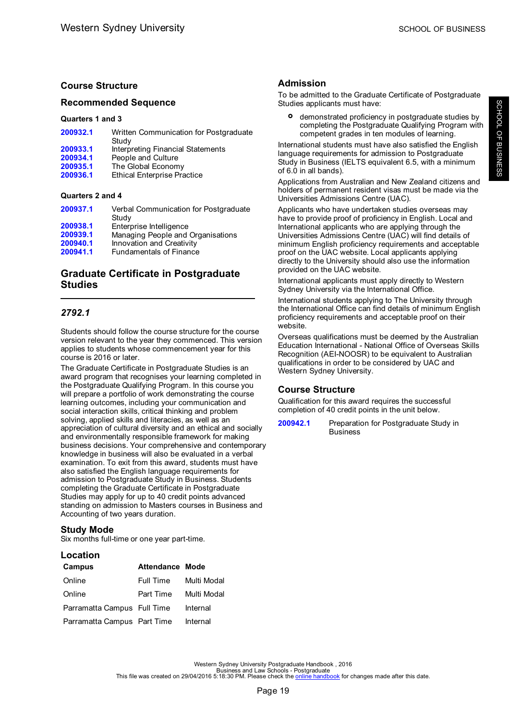## <span id="page-22-0"></span>**Course Structure**

### **Recommended Sequence**

#### **Quarters 1 and 3**

| 200932.1 | Written Communication for Postgraduate<br>Study |
|----------|-------------------------------------------------|
| 200933.1 | Interpreting Financial Statements               |
| 200934.1 | People and Culture                              |
| 200935.1 | The Global Economy                              |
| 200936.1 | <b>Ethical Enterprise Practice</b>              |

### **Quarters 2 and 4**

| 200937.1 | Verbal Communication for Postgraduate<br>Study |
|----------|------------------------------------------------|
| 200938.1 | Enterprise Intelligence                        |
| 200939.1 | Managing People and Organisations              |
| 200940.1 | Innovation and Creativity                      |
| 200941.1 | <b>Fundamentals of Finance</b>                 |
|          |                                                |

## **Graduate Certificate in Postgraduate Studies**

## *2792.1*

Students should follow the course structure for the course version relevant to the year they commenced. This version applies to students whose commencement year for this course is 2016 or later.

The Graduate Certificate in Postgraduate Studies is an award program that recognises your learning completed in the Postgraduate Qualifying Program. In this course you will prepare a portfolio of work demonstrating the course learning outcomes, including your communication and social interaction skills, critical thinking and problem solving, applied skills and literacies, as well as an appreciation of cultural diversity and an ethical and socially and environmentally responsible framework for making business decisions. Your comprehensive and contemporary knowledge in business will also be evaluated in a verbal examination. To exit from this award, students must have also satisfied the English language requirements for admission to Postgraduate Study in Business. Students completing the Graduate Certificate in Postgraduate Studies may apply for up to 40 credit points advanced standing on admission to Masters courses in Business and Accounting of two years duration.

### **Study Mode**

Six months full-time or one year part-time.

## **Location**

| Campus                      | <b>Attendance Mode</b> |             |
|-----------------------------|------------------------|-------------|
| Online                      | Full Time              | Multi Modal |
| Online                      | Part Time              | Multi Modal |
| Parramatta Campus Full Time |                        | Internal    |
| Parramatta Campus Part Time |                        | Internal    |

## **Admission**

To be admitted to the Graduate Certificate of Postgraduate Studies applicants must have:

**•** demonstrated proficiency in postgraduate studies by<br>
completing the Postgraduate Qualifying Program with completing the Postgraduate Qualifying Program with competent grades in ten modules of learning.

International students must have also satisfied the English language requirements for admission to Postgraduate Study in Business (IELTS equivalent 6.5, with a minimum of 6.0 in all bands).

Applications from Australian and New Zealand citizens and holders of permanent resident visas must be made via the Universities Admissions Centre (UAC).

Applicants who have undertaken studies overseas may have to provide proof of proficiency in English. Local and International applicants who are applying through the Universities Admissions Centre (UAC) will find details of minimum English proficiency requirements and acceptable proof on the UAC website. Local applicants applying directly to the University should also use the information provided on the UAC website.

International applicants must apply directly to Western Sydney University via the International Office.

International students applying to The University through the International Office can find details of minimum English proficiency requirements and acceptable proof on their website.

Overseas qualifications must be deemed by the Australian Education International - National Office of Overseas Skills Recognition (AEI-NOOSR) to be equivalent to Australian qualifications in order to be considered by UAC and Western Sydney University.

### **Course Structure**

Qualification for this award requires the successful completion of 40 credit points in the unit below.

**[200942.1](#page-43-0)** Preparation for Postgraduate Study in **Business**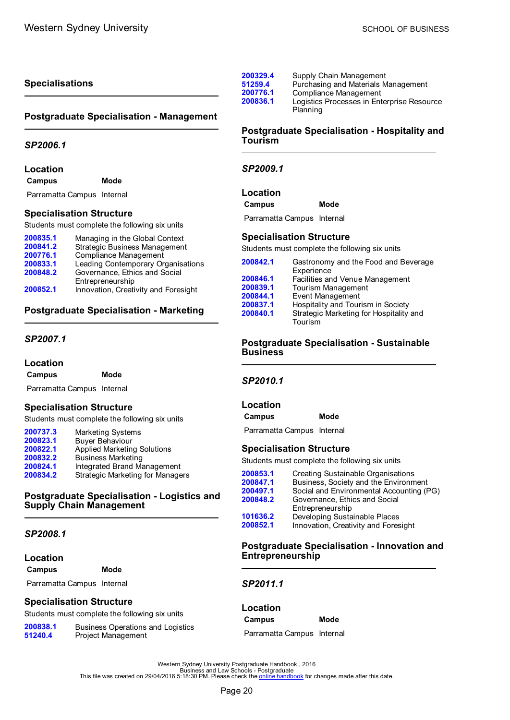## <span id="page-23-0"></span>**Specialisations**

### **Postgraduate Specialisation - Management**

### *SP2006.1*

| Location |      |
|----------|------|
| Campus   | Mode |

Parramatta Campus Internal

### **Specialisation Structure**

Students must complete the following six units

| 200835.1 | Managing in the Global Context       |
|----------|--------------------------------------|
| 200841.2 | <b>Strategic Business Management</b> |
| 200776.1 | Compliance Management                |
| 200833.1 | Leading Contemporary Organisations   |
| 200848.2 | Governance, Ethics and Social        |
|          | Entrepreneurship                     |
| 200852.1 | Innovation, Creativity and Foresight |

## **Postgraduate Specialisation - Marketing**

### *SP2007.1*

### **Location**

**Campus Mode**

Parramatta Campus Internal

### **Specialisation Structure**

Students must complete the following six units

| 200737.3 | <b>Marketing Systems</b>           |
|----------|------------------------------------|
| 200823.1 | <b>Buyer Behaviour</b>             |
| 200822.1 | <b>Applied Marketing Solutions</b> |
| 200832.2 | <b>Business Marketing</b>          |
| 200824.1 | Integrated Brand Management        |
| 200834.2 | Strategic Marketing for Managers   |

### **Postgraduate Specialisation - Logistics and Supply Chain Management**

### *SP2008.1*

| <b>Location</b> |      |
|-----------------|------|
| Campus          | Mode |

Parramatta Campus Internal

### **Specialisation Structure**

| 200838.1 |  |
|----------|--|
| 51240.4  |  |

**[200838.1](#page-27-0)** Business Operations and Logistics **[51240.4](#page-44-0)** Project Management

**[200329.4](#page-47-0)** Supply Chain Management<br>51259.4 Purchasing and Materials M **[51259.4](#page-45-0)** Purchasing and Materials Management **[200776.1](#page-29-0)** Compliance Management **[200836.1](#page-40-0)** Logistics Processes in Enterprise Resource Planning

### **Postgraduate Specialisation - Hospitality and Tourism**

### *SP2009.1*

**Location**

**Campus Mode**

Parramatta Campus Internal

### **Specialisation Structure**

Students must complete the following six units

| 200842.1 | Gastronomy and the Food and Beverage<br>Experience |
|----------|----------------------------------------------------|
| 200846.1 | Facilities and Venue Management                    |
| 200839.1 | Tourism Management                                 |
| 200844.1 | <b>Event Management</b>                            |
| 200837.1 | Hospitality and Tourism in Society                 |
| 200840.1 | Strategic Marketing for Hospitality and<br>Tourism |
|          |                                                    |

### **Postgraduate Specialisation - Sustainable Business**

### *SP2010.1*

### **Location**

**Campus Mode**

Parramatta Campus Internal

### **Specialisation Structure**

Students must complete the following six units

| 200853.1 | Creating Sustainable Organisations       |
|----------|------------------------------------------|
| 200847.1 | Business, Society and the Environment    |
| 200497.1 | Social and Environmental Accounting (PG) |
| 200848.2 | Governance, Ethics and Social            |
|          | Entrepreneurship                         |
| 101636.2 | Developing Sustainable Places            |
| 200852.1 | Innovation, Creativity and Foresight     |

### **Postgraduate Specialisation - Innovation and Entrepreneurship**

*SP2011.1*

| Location                   |      |
|----------------------------|------|
| Campus                     | Mode |
| Parramatta Campus Internal |      |

Western Sydney University Postgraduate Handbook , 2016<br>Business and Law Schools - Paus Postgraduate<br>This file was created on 29/04/2016 5:18:30 PM. Please check the <u>online [handbook](http://handbook.westernsydney.edu.au/hbook/)</u> for changes made after this date.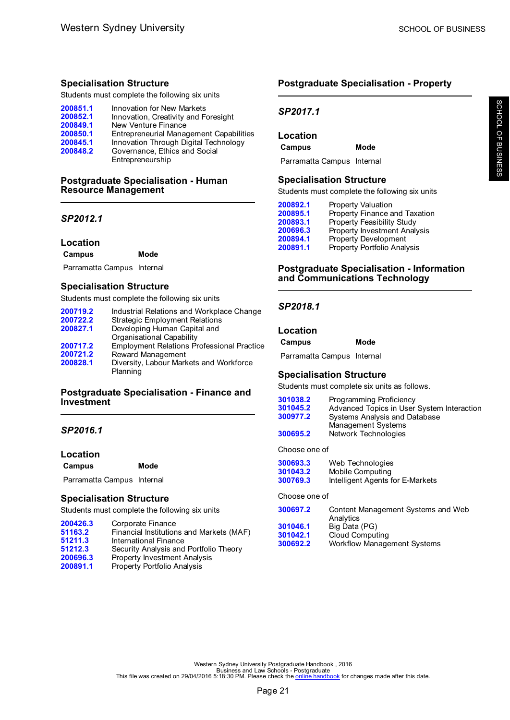## <span id="page-24-0"></span>**Specialisation Structure**

Students must complete the following six units

| 200851.1 | Innovation for New Markets              |
|----------|-----------------------------------------|
| 200852.1 | Innovation, Creativity and Foresight    |
| 200849.1 | New Venture Finance                     |
| 200850.1 | Entrepreneurial Management Capabilities |
| 200845.1 | Innovation Through Digital Technology   |
| 200848.2 | Governance, Ethics and Social           |
|          | Entrepreneurship                        |

### **Postgraduate Specialisation - Human Resource Management**

## *SP2012.1*

### **Location**

**Campus Mode**

Parramatta Campus Internal

## **Specialisation Structure**

Students must complete the following six units

| 200719.2<br>200722.2 | Industrial Relations and Workplace Change<br><b>Strategic Employment Relations</b> |
|----------------------|------------------------------------------------------------------------------------|
| 200827.1             | Developing Human Capital and<br>Organisational Capability                          |
| 200717.2<br>200721.2 | <b>Employment Relations Professional Practice</b>                                  |
| 200828.1             | Reward Management<br>Diversity, Labour Markets and Workforce                       |
|                      | Planning                                                                           |

### **Postgraduate Specialisation - Finance and Investment**

## *SP2016.1*

### **Location**

Parramatta Campus Internal

### **Specialisation Structure**

Students must complete the following six units

| 200426.3 | Corporate Finance                        |
|----------|------------------------------------------|
| 51163.2  | Financial Institutions and Markets (MAF) |
| 51211.3  | International Finance                    |
| 51212.3  | Security Analysis and Portfolio Theory   |
| 200696.3 | Property Investment Analysis             |
| 200891.1 | Property Portfolio Analysis              |

## **Postgraduate Specialisation - Property**

| Location |      |
|----------|------|
| Campus   | Mode |

Parramatta Campus Internal

## **Specialisation Structure**

Students must complete the following six units

| Property Finance and Taxation |
|-------------------------------|
|                               |
|                               |
|                               |
|                               |
|                               |
|                               |

### **Postgraduate Specialisation - Information and Communications Technology**

## *SP2018.1*

## **Location**

| Campus | Mode |
|--------|------|
|        |      |

Parramatta Campus Internal

### **Specialisation Structure**

Students must complete six units as follows.

| 301038.2 | Programming Proficiency                    |
|----------|--------------------------------------------|
| 301045.2 | Advanced Topics in User System Interaction |
| 300977.2 | Systems Analysis and Database              |
|          | Management Systems                         |
| 300695.2 | Network Technologies                       |

Choose one of

| 300693.3 | Web Technologies                 |
|----------|----------------------------------|
| 301043.2 | Mobile Computing                 |
| 300769.3 | Intelligent Agents for E-Markets |

Choose one of

| 300697.2 | Content Management Systems and Web<br>Analytics |
|----------|-------------------------------------------------|
| 301046.1 | Big Data (PG)                                   |
| 301042.1 | <b>Cloud Computing</b>                          |
| 300692.2 | <b>Workflow Management Systems</b>              |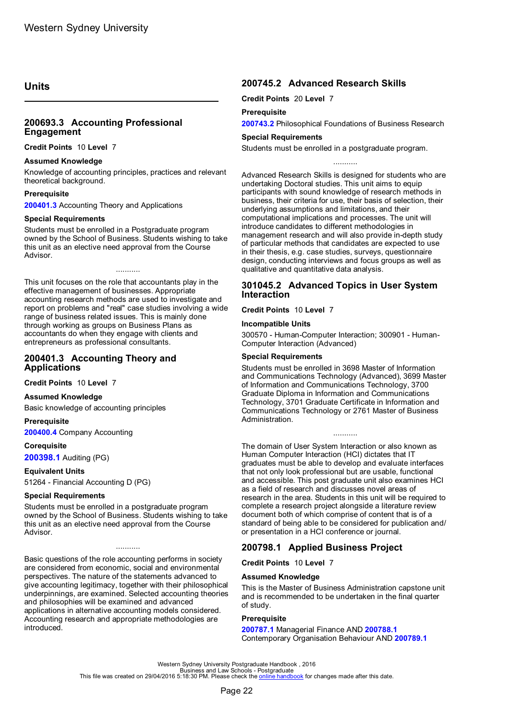## <span id="page-25-0"></span>**Units**

### **200693.3 Accounting Professional Engagement**

**Credit Points** 10 **Level** 7

### **Assumed Knowledge**

Knowledge of accounting principles, practices and relevant theoretical background.

#### **Prerequisite**

**200401.3** Accounting Theory and Applications

#### **Special Requirements**

Students must be enrolled in a Postgraduate program owned by the School of Business. Students wishing to take this unit as an elective need approval from the Course Advisor.

...........

This unit focuses on the role that accountants play in the effective management of businesses. Appropriate accounting research methods are used to investigate and report on problems and "real" case studies involving a wide range of business related issues. This is mainly done through working as groups on Business Plans as accountants do when they engage with clients and entrepreneurs as professional consultants.

### **200401.3 Accounting Theory and Applications**

**Credit Points** 10 **Level** 7

#### **Assumed Knowledge**

Basic knowledge of accounting principles

#### **Prerequisite**

**[200400.4](#page-28-0)** Company Accounting

## **Corequisite**

**200398.1** Auditing (PG)

### **Equivalent Units**

51264 - Financial Accounting D (PG)

#### **Special Requirements**

Students must be enrolled in a postgraduate program owned by the School of Business. Students wishing to take this unit as an elective need approval from the Course Advisor.

...........

Basic questions of the role accounting performs in society are considered from economic, social and environmental perspectives. The nature of the statements advanced to give accounting legitimacy, together with their philosophical underpinnings, are examined. Selected accounting theories and philosophies will be examined and advanced applications in alternative accounting models considered. Accounting research and appropriate methodologies are introduced.

## **200745.2 Advanced Research Skills**

**Credit Points** 20 **Level** 7

#### **Prerequisite**

**[200743.2](#page-43-0)** Philosophical Foundations of Business Research

#### **Special Requirements**

Students must be enrolled in a postgraduate program.

...........

Advanced Research Skills is designed for students who are undertaking Doctoral studies. This unit aims to equip participants with sound knowledge of research methods in business, their criteria for use, their basis of selection, their underlying assumptions and limitations, and their computational implications and processes. The unit will introduce candidates to different methodologies in management research and will also provide in-depth study of particular methods that candidates are expected to use in their thesis, e.g. case studies, surveys, questionnaire design, conducting interviews and focus groups as well as qualitative and quantitative data analysis.

### **301045.2 Advanced Topics in User System Interaction**

**Credit Points** 10 **Level** 7

#### **Incompatible Units**

300570 - Human-Computer Interaction; 300901 - Human-Computer Interaction (Advanced)

#### **Special Requirements**

Students must be enrolled in 3698 Master of Information and Communications Technology (Advanced), 3699 Master of Information and Communications Technology, 3700 Graduate Diploma in Information and Communications Technology, 3701 Graduate Certificate in Information and Communications Technology or 2761 Master of Business Administration.

...........

The domain of User System Interaction or also known as Human Computer Interaction (HCI) dictates that IT graduates must be able to develop and evaluate interfaces that not only look professional but are usable, functional and accessible. This post graduate unit also examines HCI as a field of research and discusses novel areas of research in the area. Students in this unit will be required to complete a research project alongside a literature review document both of which comprise of content that is of a standard of being able to be considered for publication and/ or presentation in a HCI conference or journal.

## **200798.1 Applied Business Project**

#### **Credit Points** 10 **Level** 7

#### **Assumed Knowledge**

This is the Master of Business Administration capstone unit and is recommended to be undertaken in the final quarter of study.

#### **Prerequisite**

**[200787.1](#page-41-0)** Managerial Finance AND **[200788.1](#page-29-0)** Contemporary Organisation Behaviour AND **[200789.1](#page-32-0)**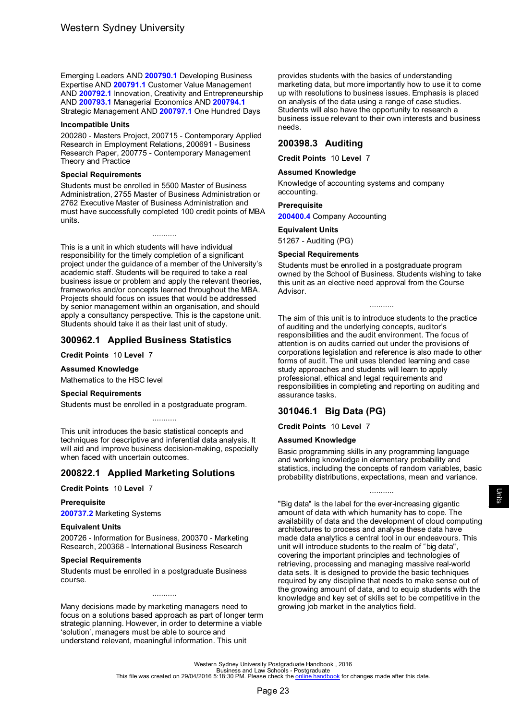<span id="page-26-0"></span>Emerging Leaders AND **[200790.1](#page-31-0)** Developing Business Expertise AND **[200791.1](#page-31-0)** Customer Value Management AND **200792.1** Innovation, Creativity and Entrepreneurship AND **[200793.1](#page-40-0)** Managerial Economics AND **[200794.1](#page-46-0)** Strategic Management AND **200797.1** One Hundred Days

#### **Incompatible Units**

200280 - Masters Project, 200715 - Contemporary Applied Research in Employment Relations, 200691 - Business Research Paper, 200775 - Contemporary Management Theory and Practice

#### **Special Requirements**

Students must be enrolled in 5500 Master of Business Administration, 2755 Master of Business Administration or 2762 Executive Master of Business Administration and must have successfully completed 100 credit points of MBA units.

...........

This is a unit in which students will have individual responsibility for the timely completion of a significant project under the guidance of a member of the University's academic staff. Students will be required to take a real business issue or problem and apply the relevant theories, frameworks and/or concepts learned throughout the MBA. Projects should focus on issues that would be addressed by senior management within an organisation, and should apply a consultancy perspective. This is the capstone unit. Students should take it as their last unit of study.

### **300962.1 Applied Business Statistics**

**Credit Points** 10 **Level** 7

#### **Assumed Knowledge**

Mathematics to the HSC level

#### **Special Requirements**

Students must be enrolled in a postgraduate program.

This unit introduces the basic statistical concepts and techniques for descriptive and inferential data analysis. It will aid and improve business decision-making, especially when faced with uncertain outcomes.

...........

### **200822.1 Applied Marketing Solutions**

**Credit Points** 10 **Level** 7

#### **Prerequisite**

**200737.2** Marketing Systems

#### **Equivalent Units**

200726 - Information for Business, 200370 - Marketing Research, 200368 - International Business Research

#### **Special Requirements**

Students must be enrolled in a postgraduate Business course.

Many decisions made by marketing managers need to focus on a solutions based approach as part of longer term strategic planning. However, in order to determine a viable 'solution', managers must be able to source and understand relevant, meaningful information. This unit

...........

provides students with the basics of understanding marketing data, but more importantly how to use it to come up with resolutions to business issues. Emphasis is placed on analysis of the data using a range of case studies. Students will also have the opportunity to research a business issue relevant to their own interests and business needs.

#### **200398.3 Auditing**

**Credit Points** 10 **Level** 7

#### **Assumed Knowledge**

Knowledge of accounting systems and company accounting.

#### **Prerequisite**

**[200400.4](#page-28-0)** Company Accounting

#### **Equivalent Units**

51267 - Auditing (PG)

#### **Special Requirements**

Students must be enrolled in a postgraduate program owned by the School of Business. Students wishing to take this unit as an elective need approval from the Course Advisor.

The aim of this unit is to introduce students to the practice of auditing and the underlying concepts, auditor's responsibilities and the audit environment. The focus of attention is on audits carried out under the provisions of corporations legislation and reference is also made to other forms of audit. The unit uses blended learning and case study approaches and students will learn to apply professional, ethical and legal requirements and responsibilities in completing and reporting on auditing and assurance tasks.

### **301046.1 Big Data (PG)**

**Credit Points** 10 **Level** 7

#### **Assumed Knowledge**

Basic programming skills in any programming language and working knowledge in elementary probability and statistics, including the concepts of random variables, basic probability distributions, expectations, mean and variance.

...........

"Big data" is the label for the ever-increasing gigantic amount of data with which humanity has to cope. The availability of data and the development of cloud computing architectures to process and analyse these data have made data analytics a central tool in our endeavours. This unit will introduce students to the realm of "big data", covering the important principles and technologies of retrieving, processing and managing massive real-world data sets. It is designed to provide the basic techniques required by any discipline that needs to make sense out of the growing amount of data, and to equip students with the knowledge and key set of skills set to be competitive in the growing job market in the analytics field.

Western Sydney University Postgraduate Handbook , 2016 Business and Law Schools - Postgraduate This file was created on 29/04/2016 5:18:30 PM. Please check the online [handbook](http://handbook.westernsydney.edu.au/hbook/) for changes made after this date.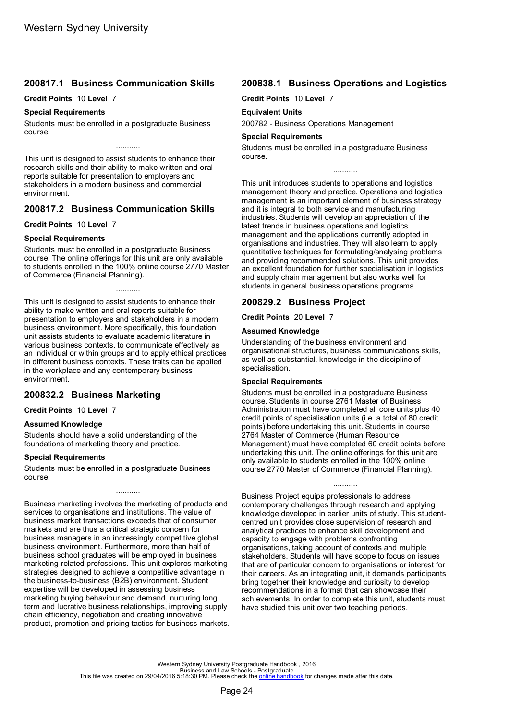## <span id="page-27-0"></span>**200817.1 Business Communication Skills**

**Credit Points** 10 **Level** 7

#### **Special Requirements**

Students must be enrolled in a postgraduate Business course.

...........

This unit is designed to assist students to enhance their research skills and their ability to make written and oral reports suitable for presentation to employers and stakeholders in a modern business and commercial environment.

## **200817.2 Business Communication Skills**

#### **Credit Points** 10 **Level** 7

### **Special Requirements**

Students must be enrolled in a postgraduate Business course. The online offerings for this unit are only available to students enrolled in the 100% online course 2770 Master of Commerce (Financial Planning).

...........

This unit is designed to assist students to enhance their ability to make written and oral reports suitable for presentation to employers and stakeholders in a modern business environment. More specifically, this foundation unit assists students to evaluate academic literature in various business contexts, to communicate effectively as an individual or within groups and to apply ethical practices in different business contexts. These traits can be applied in the workplace and any contemporary business environment.

## **200832.2 Business Marketing**

**Credit Points** 10 **Level** 7

### **Assumed Knowledge**

Students should have a solid understanding of the foundations of marketing theory and practice.

### **Special Requirements**

Students must be enrolled in a postgraduate Business course.

...........

Business marketing involves the marketing of products and services to organisations and institutions. The value of business market transactions exceeds that of consumer markets and are thus a critical strategic concern for business managers in an increasingly competitive global business environment. Furthermore, more than half of business school graduates will be employed in business marketing related professions. This unit explores marketing strategies designed to achieve a competitive advantage in the business-to-business (B2B) environment. Student expertise will be developed in assessing business marketing buying behaviour and demand, nurturing long term and lucrative business relationships, improving supply chain efficiency, negotiation and creating innovative product, promotion and pricing tactics for business markets.

## **200838.1 Business Operations and Logistics**

**Credit Points** 10 **Level** 7

### **Equivalent Units**

200782 - Business Operations Management

#### **Special Requirements**

Students must be enrolled in a postgraduate Business course.

...........

This unit introduces students to operations and logistics management theory and practice. Operations and logistics management is an important element of business strategy and it is integral to both service and manufacturing industries. Students will develop an appreciation of the latest trends in business operations and logistics management and the applications currently adopted in organisations and industries. They will also learn to apply quantitative techniques for formulating/analysing problems and providing recommended solutions. This unit provides an excellent foundation for further specialisation in logistics and supply chain management but also works well for students in general business operations programs.

## **200829.2 Business Project**

**Credit Points** 20 **Level** 7

### **Assumed Knowledge**

Understanding of the business environment and organisational structures, business communications skills, as well as substantial. knowledge in the discipline of specialisation.

#### **Special Requirements**

Students must be enrolled in a postgraduate Business course. Students in course 2761 Master of Business Administration must have completed all core units plus 40 credit points of specialisation units (i.e. a total of 80 credit points) before undertaking this unit. Students in course 2764 Master of Commerce (Human Resource Management) must have completed 60 credit points before undertaking this unit. The online offerings for this unit are only available to students enrolled in the 100% online course 2770 Master of Commerce (Financial Planning).

Business Project equips professionals to address contemporary challenges through research and applying knowledge developed in earlier units of study. This studentcentred unit provides close supervision of research and analytical practices to enhance skill development and capacity to engage with problems confronting organisations, taking account of contexts and multiple stakeholders. Students will have scope to focus on issues that are of particular concern to organisations or interest for their careers. As an integrating unit, it demands participants bring together their knowledge and curiosity to develop recommendations in a format that can showcase their achievements. In order to complete this unit, students must have studied this unit over two teaching periods.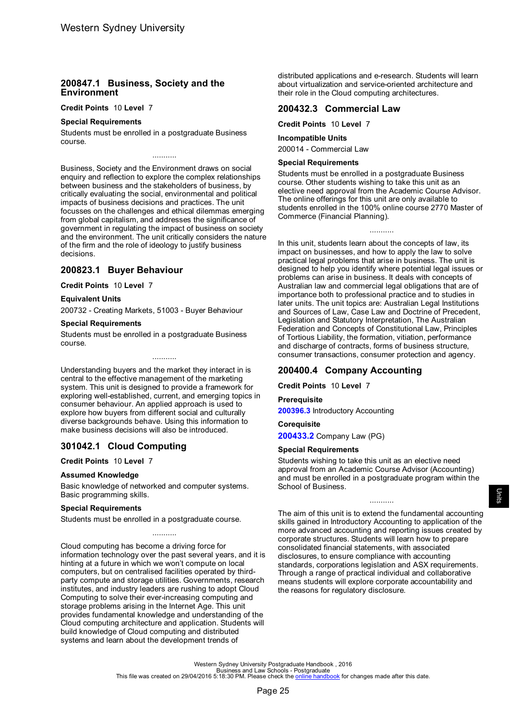### <span id="page-28-0"></span>**200847.1 Business, Society and the Environment**

#### **Credit Points** 10 **Level** 7

#### **Special Requirements**

Students must be enrolled in a postgraduate Business course.

Business, Society and the Environment draws on social enquiry and reflection to explore the complex relationships between business and the stakeholders of business, by critically evaluating the social, environmental and political impacts of business decisions and practices. The unit focusses on the challenges and ethical dilemmas emerging from global capitalism, and addresses the significance of government in regulating the impact of business on society and the environment. The unit critically considers the nature of the firm and the role of ideology to justify business decisions.

...........

### **200823.1 Buyer Behaviour**

**Credit Points** 10 **Level** 7

#### **Equivalent Units**

200732 - Creating Markets, 51003 - Buyer Behaviour

#### **Special Requirements**

Students must be enrolled in a postgraduate Business course.

Understanding buyers and the market they interact in is central to the effective management of the marketing system. This unit is designed to provide a framework for exploring well-established, current, and emerging topics in consumer behaviour. An applied approach is used to explore how buyers from different social and culturally diverse backgrounds behave. Using this information to make business decisions will also be introduced.

...........

## **301042.1 Cloud Computing**

**Credit Points** 10 **Level** 7

#### **Assumed Knowledge**

Basic knowledge of networked and computer systems. Basic programming skills.

#### **Special Requirements**

Students must be enrolled in a postgraduate course.

Cloud computing has become a driving force for information technology over the past several years, and it is hinting at a future in which we won't compute on local computers, but on centralised facilities operated by thirdparty compute and storage utilities. Governments, research institutes, and industry leaders are rushing to adopt Cloud Computing to solve their ever-increasing computing and storage problems arising in the Internet Age. This unit provides fundamental knowledge and understanding of the Cloud computing architecture and application. Students will build knowledge of Cloud computing and distributed systems and learn about the development trends of

...........

distributed applications and e-research. Students will learn about virtualization and service-oriented architecture and their role in the Cloud computing architectures.

### **200432.3 Commercial Law**

**Credit Points** 10 **Level** 7

#### **Incompatible Units**

200014 - Commercial Law

#### **Special Requirements**

Students must be enrolled in a postgraduate Business course. Other students wishing to take this unit as an elective need approval from the Academic Course Advisor. The online offerings for this unit are only available to students enrolled in the 100% online course 2770 Master of Commerce (Financial Planning).

...........

In this unit, students learn about the concepts of law, its impact on businesses, and how to apply the law to solve practical legal problems that arise in business. The unit is designed to help you identify where potential legal issues or problems can arise in business. It deals with concepts of Australian law and commercial legal obligations that are of importance both to professional practice and to studies in later units. The unit topics are: Australian Legal Institutions and Sources of Law, Case Law and Doctrine of Precedent, Legislation and Statutory Interpretation, The Australian Federation and Concepts of Constitutional Law, Principles of Tortious Liability, the formation, vitiation, performance and discharge of contracts, forms of business structure, consumer transactions, consumer protection and agency.

### **200400.4 Company Accounting**

**Credit Points** 10 **Level** 7

**Prerequisite**

**200396.3** Introductory Accounting

#### **Corequisite**

**200433.2** Company Law (PG)

#### **Special Requirements**

Students wishing to take this unit as an elective need approval from an Academic Course Advisor (Accounting) and must be enrolled in a postgraduate program within the School of Business.

...........

The aim of this unit is to extend the fundamental accounting skills gained in Introductory Accounting to application of the more advanced accounting and reporting issues created by corporate structures. Students will learn how to prepare consolidated financial statements, with associated disclosures, to ensure compliance with accounting standards, corporations legislation and ASX requirements. Through a range of practical individual and collaborative means students will explore corporate accountability and the reasons for regulatory disclosure.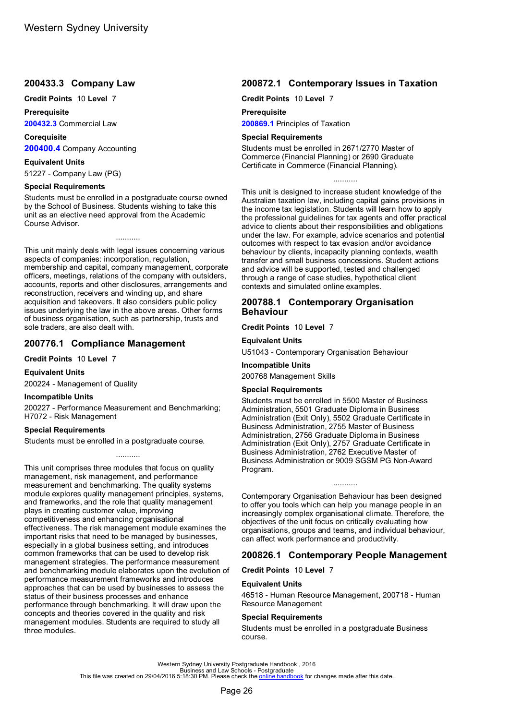### <span id="page-29-0"></span>**200433.3 Company Law**

**Credit Points** 10 **Level** 7

**Prerequisite [200432.3](#page-28-0)** Commercial Law

**Corequisite [200400.4](#page-28-0)** Company Accounting

**Equivalent Units**

51227 - Company Law (PG)

#### **Special Requirements**

Students must be enrolled in a postgraduate course owned by the School of Business. Students wishing to take this unit as an elective need approval from the Academic Course Advisor.

...........

This unit mainly deals with legal issues concerning various aspects of companies: incorporation, regulation, membership and capital, company management, corporate officers, meetings, relations of the company with outsiders, accounts, reports and other disclosures, arrangements and reconstruction, receivers and winding up, and share acquisition and takeovers. It also considers public policy issues underlying the law in the above areas. Other forms of business organisation, such as partnership, trusts and sole traders, are also dealt with.

### **200776.1 Compliance Management**

**Credit Points** 10 **Level** 7

#### **Equivalent Units**

200224 - Management of Quality

#### **Incompatible Units**

200227 - Performance Measurement and Benchmarking; H7072 - Risk Management

...........

#### **Special Requirements**

Students must be enrolled in a postgraduate course.

This unit comprises three modules that focus on quality management, risk management, and performance measurement and benchmarking. The quality systems module explores quality management principles, systems, and frameworks, and the role that quality management plays in creating customer value, improving competitiveness and enhancing organisational effectiveness. The risk management module examines the important risks that need to be managed by businesses, especially in a global business setting, and introduces common frameworks that can be used to develop risk management strategies. The performance measurement and benchmarking module elaborates upon the evolution of performance measurement frameworks and introduces approaches that can be used by businesses to assess the status of their business processes and enhance performance through benchmarking. It will draw upon the concepts and theories covered in the quality and risk management modules. Students are required to study all three modules.

### **200872.1 Contemporary Issues in Taxation**

**Credit Points** 10 **Level** 7

#### **Prerequisite**

**200869.1** Principles of Taxation

#### **Special Requirements**

Students must be enrolled in 2671/2770 Master of Commerce (Financial Planning) or 2690 Graduate Certificate in Commerce (Financial Planning).

This unit is designed to increase student knowledge of the Australian taxation law, including capital gains provisions in the income tax legislation. Students will learn how to apply the professional guidelines for tax agents and offer practical advice to clients about their responsibilities and obligations under the law. For example, advice scenarios and potential outcomes with respect to tax evasion and/or avoidance behaviour by clients, incapacity planning contexts, wealth transfer and small business concessions. Student actions and advice will be supported, tested and challenged through a range of case studies, hypothetical client contexts and simulated online examples.

...........

### **200788.1 Contemporary Organisation Behaviour**

**Credit Points** 10 **Level** 7

#### **Equivalent Units**

U51043 - Contemporary Organisation Behaviour

#### **Incompatible Units**

200768 Management Skills

#### **Special Requirements**

Students must be enrolled in 5500 Master of Business Administration, 5501 Graduate Diploma in Business Administration (Exit Only), 5502 Graduate Certificate in Business Administration, 2755 Master of Business Administration, 2756 Graduate Diploma in Business Administration (Exit Only), 2757 Graduate Certificate in Business Administration, 2762 Executive Master of Business Administration or 9009 SGSM PG Non-Award Program.

Contemporary Organisation Behaviour has been designed to offer you tools which can help you manage people in an increasingly complex organisational climate. Therefore, the objectives of the unit focus on critically evaluating how organisations, groups and teams, and individual behaviour, can affect work performance and productivity.

...........

### **200826.1 Contemporary People Management**

**Credit Points** 10 **Level** 7

#### **Equivalent Units**

46518 - Human Resource Management, 200718 - Human Resource Management

#### **Special Requirements**

Students must be enrolled in a postgraduate Business course.

Western Sydney University Postgraduate Handbook , 2016<br>Business and Law Schools - Paus Postgraduate<br>This file was created on 29/04/2016 5:18:30 PM. Please check the <u>online [handbook](http://handbook.westernsydney.edu.au/hbook/)</u> for changes made after this date.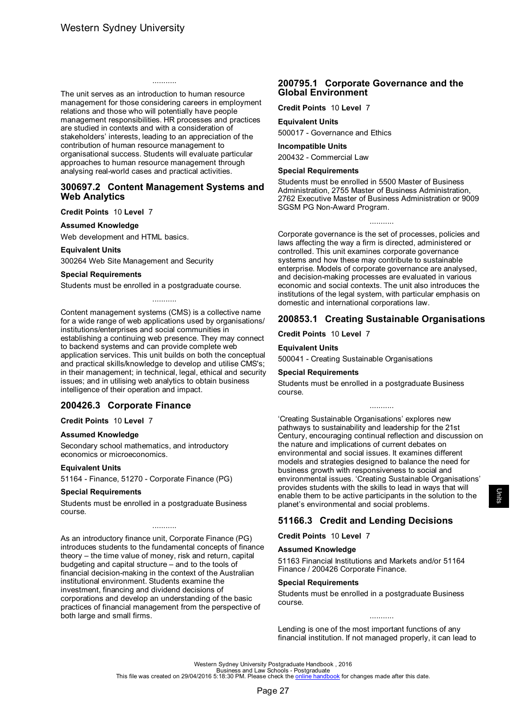<span id="page-30-0"></span>The unit serves as an introduction to human resource management for those considering careers in employment relations and those who will potentially have people management responsibilities. HR processes and practices are studied in contexts and with a consideration of stakeholders' interests, leading to an appreciation of the contribution of human resource management to organisational success. Students will evaluate particular approaches to human resource management through analysing real-world cases and practical activities.

...........

### **300697.2 Content Management Systems and Web Analytics**

**Credit Points** 10 **Level** 7

#### **Assumed Knowledge**

Web development and HTML basics.

#### **Equivalent Units**

300264 Web Site Management and Security

#### **Special Requirements**

Students must be enrolled in a postgraduate course.

Content management systems (CMS) is a collective name for a wide range of web applications used by organisations/ institutions/enterprises and social communities in establishing a continuing web presence. They may connect to backend systems and can provide complete web application services. This unit builds on both the conceptual and practical skills/knowledge to develop and utilise CMS's; in their management; in technical, legal, ethical and security issues; and in utilising web analytics to obtain business intelligence of their operation and impact.

...........

### **200426.3 Corporate Finance**

#### **Credit Points** 10 **Level** 7

#### **Assumed Knowledge**

Secondary school mathematics, and introductory economics or microeconomics.

#### **Equivalent Units**

51164 - Finance, 51270 - Corporate Finance (PG)

#### **Special Requirements**

Students must be enrolled in a postgraduate Business course.

As an introductory finance unit, Corporate Finance (PG) introduces students to the fundamental concepts of finance theory – the time value of money, risk and return, capital budgeting and capital structure – and to the tools of financial decision-making in the context of the Australian institutional environment. Students examine the investment, financing and dividend decisions of corporations and develop an understanding of the basic practices of financial management from the perspective of both large and small firms.

### **200795.1 Corporate Governance and the Global Environment**

**Credit Points** 10 **Level** 7

#### **Equivalent Units**

500017 - Governance and Ethics

**Incompatible Units** 200432 - Commercial Law

#### **Special Requirements**

Students must be enrolled in 5500 Master of Business Administration, 2755 Master of Business Administration, 2762 Executive Master of Business Administration or 9009 SGSM PG Non-Award Program.

...........

Corporate governance is the set of processes, policies and laws affecting the way a firm is directed, administered or controlled. This unit examines corporate governance systems and how these may contribute to sustainable enterprise. Models of corporate governance are analysed, and decision-making processes are evaluated in various economic and social contexts. The unit also introduces the institutions of the legal system, with particular emphasis on domestic and international corporations law.

### **200853.1 Creating Sustainable Organisations**

**Credit Points** 10 **Level** 7

#### **Equivalent Units**

500041 - Creating Sustainable Organisations

#### **Special Requirements**

Students must be enrolled in a postgraduate Business course.

'Creating Sustainable Organisations' explores new pathways to sustainability and leadership for the 21st Century, encouraging continual reflection and discussion on the nature and implications of current debates on environmental and social issues. It examines different models and strategies designed to balance the need for business growth with responsiveness to social and environmental issues. 'Creating Sustainable Organisations' provides students with the skills to lead in ways that will enable them to be active participants in the solution to the planet's environmental and social problems.

## **51166.3 Credit and Lending Decisions**

**Credit Points** 10 **Level** 7

### **Assumed Knowledge**

51163 Financial Institutions and Markets and/or 51164 Finance / 200426 Corporate Finance.

### **Special Requirements**

Students must be enrolled in a postgraduate Business course.

Lending is one of the most important functions of any financial institution. If not managed properly, it can lead to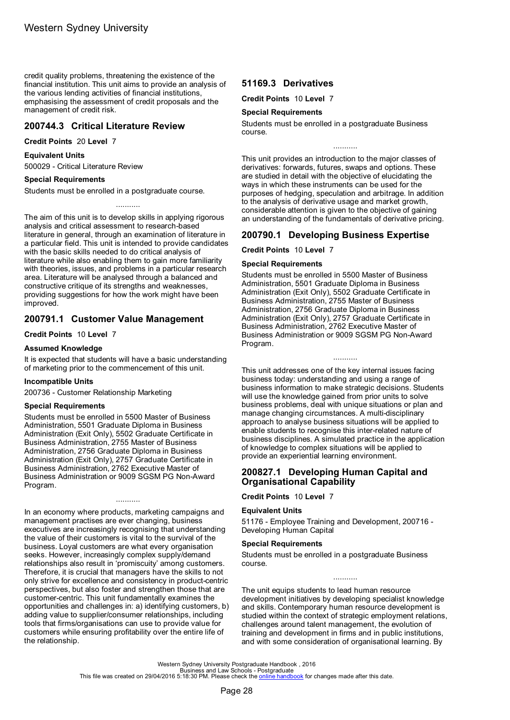<span id="page-31-0"></span>credit quality problems, threatening the existence of the financial institution. This unit aims to provide an analysis of the various lending activities of financial institutions, emphasising the assessment of credit proposals and the management of credit risk.

## **200744.3 Critical Literature Review**

**Credit Points** 20 **Level** 7

### **Equivalent Units**

500029 - Critical Literature Review

### **Special Requirements**

Students must be enrolled in a postgraduate course.

...........

The aim of this unit is to develop skills in applying rigorous analysis and critical assessment to research-based literature in general, through an examination of literature in a particular field. This unit is intended to provide candidates with the basic skills needed to do critical analysis of literature while also enabling them to gain more familiarity with theories, issues, and problems in a particular research area. Literature will be analysed through a balanced and constructive critique of its strengths and weaknesses, providing suggestions for how the work might have been improved.

## **200791.1 Customer Value Management**

**Credit Points** 10 **Level** 7

## **Assumed Knowledge**

It is expected that students will have a basic understanding of marketing prior to the commencement of this unit.

## **Incompatible Units**

200736 - Customer Relationship Marketing

## **Special Requirements**

Students must be enrolled in 5500 Master of Business Administration, 5501 Graduate Diploma in Business Administration (Exit Only), 5502 Graduate Certificate in Business Administration, 2755 Master of Business Administration, 2756 Graduate Diploma in Business Administration (Exit Only), 2757 Graduate Certificate in Business Administration, 2762 Executive Master of Business Administration or 9009 SGSM PG Non-Award Program.

...........

In an economy where products, marketing campaigns and management practises are ever changing, business executives are increasingly recognising that understanding the value of their customers is vital to the survival of the business. Loyal customers are what every organisation seeks. However, increasingly complex supply/demand relationships also result in 'promiscuity' among customers. Therefore, it is crucial that managers have the skills to not only strive for excellence and consistency in product-centric perspectives, but also foster and strengthen those that are customer-centric. This unit fundamentally examines the opportunities and challenges in: a) identifying customers, b) adding value to supplier/consumer relationships, including tools that firms/organisations can use to provide value for customers while ensuring profitability over the entire life of the relationship.

## **51169.3 Derivatives**

**Credit Points** 10 **Level** 7

### **Special Requirements**

Students must be enrolled in a postgraduate Business course.

...........

This unit provides an introduction to the major classes of derivatives: forwards, futures, swaps and options. These are studied in detail with the objective of elucidating the ways in which these instruments can be used for the purposes of hedging, speculation and arbitrage. In addition to the analysis of derivative usage and market growth, considerable attention is given to the objective of gaining an understanding of the fundamentals of derivative pricing.

## **200790.1 Developing Business Expertise**

**Credit Points** 10 **Level** 7

## **Special Requirements**

Students must be enrolled in 5500 Master of Business Administration, 5501 Graduate Diploma in Business Administration (Exit Only), 5502 Graduate Certificate in Business Administration, 2755 Master of Business Administration, 2756 Graduate Diploma in Business Administration (Exit Only), 2757 Graduate Certificate in Business Administration, 2762 Executive Master of Business Administration or 9009 SGSM PG Non-Award Program.

This unit addresses one of the key internal issues facing business today: understanding and using a range of business information to make strategic decisions. Students will use the knowledge gained from prior units to solve business problems, deal with unique situations or plan and manage changing circumstances. A multi-disciplinary approach to analyse business situations will be applied to enable students to recognise this inter-related nature of business disciplines. A simulated practice in the application of knowledge to complex situations will be applied to provide an experiential learning environment.

...........

## **200827.1 Developing Human Capital and Organisational Capability**

**Credit Points** 10 **Level** 7

## **Equivalent Units**

51176 - Employee Training and Development, 200716 - Developing Human Capital

## **Special Requirements**

Students must be enrolled in a postgraduate Business course.

The unit equips students to lead human resource development initiatives by developing specialist knowledge and skills. Contemporary human resource development is studied within the context of strategic employment relations, challenges around talent management, the evolution of training and development in firms and in public institutions, and with some consideration of organisational learning. By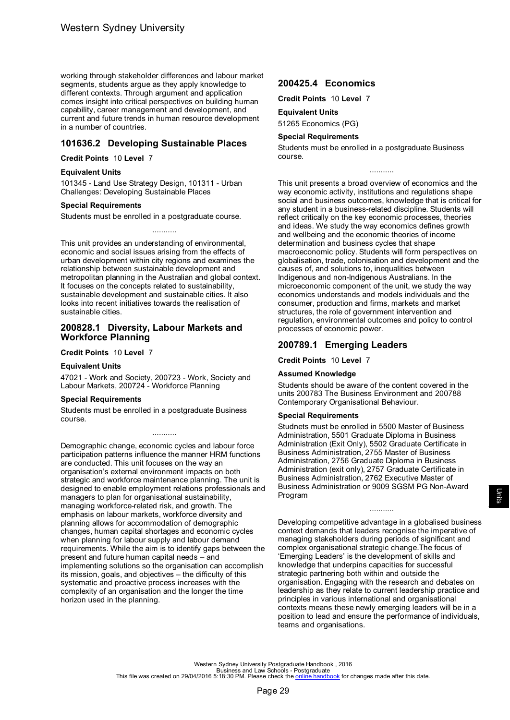<span id="page-32-0"></span>working through stakeholder differences and labour market segments, students argue as they apply knowledge to different contexts. Through argument and application comes insight into critical perspectives on building human capability, career management and development, and current and future trends in human resource development in a number of countries.

## **101636.2 Developing Sustainable Places**

**Credit Points** 10 **Level** 7

#### **Equivalent Units**

101345 - Land Use Strategy Design, 101311 - Urban Challenges: Developing Sustainable Places

### **Special Requirements**

Students must be enrolled in a postgraduate course.

This unit provides an understanding of environmental, economic and social issues arising from the effects of urban development within city regions and examines the relationship between sustainable development and metropolitan planning in the Australian and global context. It focuses on the concepts related to sustainability, sustainable development and sustainable cities. It also looks into recent initiatives towards the realisation of sustainable cities.

...........

### **200828.1 Diversity, Labour Markets and Workforce Planning**

#### **Credit Points** 10 **Level** 7

### **Equivalent Units**

47021 - Work and Society, 200723 - Work, Society and Labour Markets, 200724 - Workforce Planning

#### **Special Requirements**

Students must be enrolled in a postgraduate Business course.

...........

Demographic change, economic cycles and labour force participation patterns influence the manner HRM functions are conducted. This unit focuses on the way an organisation's external environment impacts on both strategic and workforce maintenance planning. The unit is designed to enable employment relations professionals and managers to plan for organisational sustainability, managing workforce-related risk, and growth. The emphasis on labour markets, workforce diversity and planning allows for accommodation of demographic changes, human capital shortages and economic cycles when planning for labour supply and labour demand requirements. While the aim is to identify gaps between the present and future human capital needs – and implementing solutions so the organisation can accomplish its mission, goals, and objectives – the difficulty of this systematic and proactive process increases with the complexity of an organisation and the longer the time horizon used in the planning.

## **200425.4 Economics**

**Credit Points** 10 **Level** 7

#### **Equivalent Units**

51265 Economics (PG)

#### **Special Requirements**

Students must be enrolled in a postgraduate Business course.

...........

This unit presents a broad overview of economics and the way economic activity, institutions and regulations shape social and business outcomes, knowledge that is critical for any student in a business-related discipline. Students will reflect critically on the key economic processes, theories and ideas. We study the way economics defines growth and wellbeing and the economic theories of income determination and business cycles that shape macroeconomic policy. Students will form perspectives on globalisation, trade, colonisation and development and the causes of, and solutions to, inequalities between Indigenous and non-Indigenous Australians. In the microeconomic component of the unit, we study the way economics understands and models individuals and the consumer, production and firms, markets and market structures, the role of government intervention and regulation, environmental outcomes and policy to control processes of economic power.

## **200789.1 Emerging Leaders**

#### **Credit Points** 10 **Level** 7

### **Assumed Knowledge**

Students should be aware of the content covered in the units 200783 The Business Environment and 200788 Contemporary Organisational Behaviour.

### **Special Requirements**

Studnets must be enrolled in 5500 Master of Business Administration, 5501 Graduate Diploma in Business Administration (Exit Only), 5502 Graduate Certificate in Business Administration, 2755 Master of Business Administration, 2756 Graduate Diploma in Business Administration (exit only), 2757 Graduate Certificate in Business Administration, 2762 Executive Master of Business Administration or 9009 SGSM PG Non-Award Program

Developing competitive advantage in a globalised business context demands that leaders recognise the imperative of managing stakeholders during periods of significant and complex organisational strategic change.The focus of 'Emerging Leaders' is the development of skills and knowledge that underpins capacities for successful strategic partnering both within and outside the organisation. Engaging with the research and debates on leadership as they relate to current leadership practice and principles in various international and organisational contexts means these newly emerging leaders will be in a position to lead and ensure the performance of individuals, teams and organisations.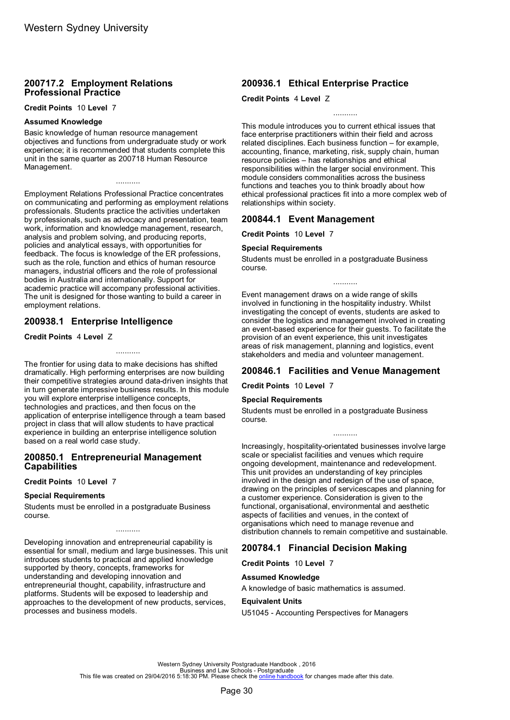### <span id="page-33-0"></span>**200717.2 Employment Relations Professional Practice**

#### **Credit Points** 10 **Level** 7

#### **Assumed Knowledge**

Basic knowledge of human resource management objectives and functions from undergraduate study or work experience; it is recommended that students complete this unit in the same quarter as 200718 Human Resource Management.

...........

Employment Relations Professional Practice concentrates on communicating and performing as employment relations professionals. Students practice the activities undertaken by professionals, such as advocacy and presentation, team work, information and knowledge management, research, analysis and problem solving, and producing reports, policies and analytical essays, with opportunities for feedback. The focus is knowledge of the ER professions, such as the role, function and ethics of human resource managers, industrial officers and the role of professional bodies in Australia and internationally. Support for academic practice will accompany professional activities. The unit is designed for those wanting to build a career in employment relations.

## **200938.1 Enterprise Intelligence**

### **Credit Points** 4 **Level** Z

The frontier for using data to make decisions has shifted dramatically. High performing enterprises are now building their competitive strategies around data-driven insights that in turn generate impressive business results. In this module you will explore enterprise intelligence concepts, technologies and practices, and then focus on the application of enterprise intelligence through a team based project in class that will allow students to have practical experience in building an enterprise intelligence solution based on a real world case study.

...........

### **200850.1 Entrepreneurial Management Capabilities**

**Credit Points** 10 **Level** 7

#### **Special Requirements**

Students must be enrolled in a postgraduate Business course.

Developing innovation and entrepreneurial capability is essential for small, medium and large businesses. This unit introduces students to practical and applied knowledge supported by theory, concepts, frameworks for understanding and developing innovation and entrepreneurial thought, capability, infrastructure and platforms. Students will be exposed to leadership and approaches to the development of new products, services, processes and business models.

...........

## **200936.1 Ethical Enterprise Practice**

**Credit Points** 4 **Level** Z

This module introduces you to current ethical issues that face enterprise practitioners within their field and across related disciplines. Each business function – for example, accounting, finance, marketing, risk, supply chain, human resource policies – has relationships and ethical responsibilities within the larger social environment. This module considers commonalities across the business functions and teaches you to think broadly about how ethical professional practices fit into a more complex web of relationships within society.

## **200844.1 Event Management**

**Credit Points** 10 **Level** 7

### **Special Requirements**

Students must be enrolled in a postgraduate Business course.

Event management draws on a wide range of skills involved in functioning in the hospitality industry. Whilst investigating the concept of events, students are asked to consider the logistics and management involved in creating an event-based experience for their guests. To facilitate the provision of an event experience, this unit investigates areas of risk management, planning and logistics, event stakeholders and media and volunteer management.

...........

### **200846.1 Facilities and Venue Management**

**Credit Points** 10 **Level** 7

#### **Special Requirements**

Students must be enrolled in a postgraduate Business course.

Increasingly, hospitality-orientated businesses involve large scale or specialist facilities and venues which require ongoing development, maintenance and redevelopment. This unit provides an understanding of key principles involved in the design and redesign of the use of space, drawing on the principles of servicescapes and planning for a customer experience. Consideration is given to the functional, organisational, environmental and aesthetic aspects of facilities and venues, in the context of organisations which need to manage revenue and distribution channels to remain competitive and sustainable.

...........

## **200784.1 Financial Decision Making**

**Credit Points** 10 **Level** 7

#### **Assumed Knowledge**

A knowledge of basic mathematics is assumed.

### **Equivalent Units**

U51045 - Accounting Perspectives for Managers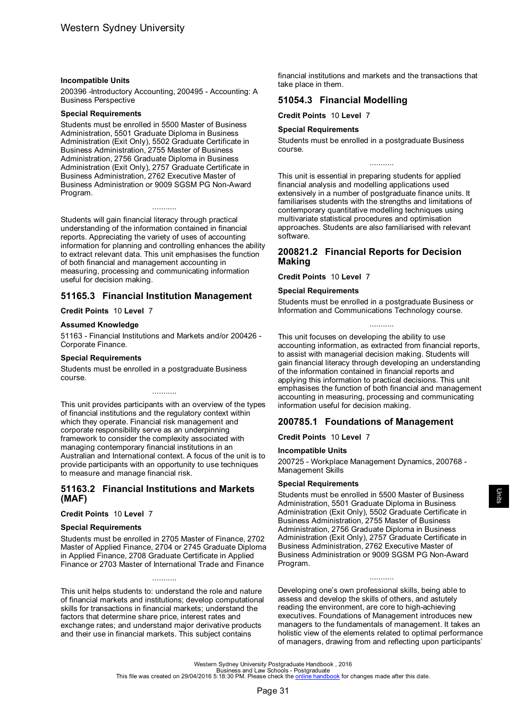#### <span id="page-34-0"></span>**Incompatible Units**

200396 -Introductory Accounting, 200495 - Accounting: A Business Perspective

#### **Special Requirements**

Students must be enrolled in 5500 Master of Business Administration, 5501 Graduate Diploma in Business Administration (Exit Only), 5502 Graduate Certificate in Business Administration, 2755 Master of Business Administration, 2756 Graduate Diploma in Business Administration (Exit Only), 2757 Graduate Certificate in Business Administration, 2762 Executive Master of Business Administration or 9009 SGSM PG Non-Award Program.

Students will gain financial literacy through practical understanding of the information contained in financial reports. Appreciating the variety of uses of accounting information for planning and controlling enhances the ability to extract relevant data. This unit emphasises the function of both financial and management accounting in measuring, processing and communicating information useful for decision making.

...........

### **51165.3 Financial Institution Management**

#### **Credit Points** 10 **Level** 7

#### **Assumed Knowledge**

51163 - Financial Institutions and Markets and/or 200426 - Corporate Finance.

#### **Special Requirements**

Students must be enrolled in a postgraduate Business course.

This unit provides participants with an overview of the types of financial institutions and the regulatory context within which they operate. Financial risk management and corporate responsibility serve as an underpinning framework to consider the complexity associated with managing contemporary financial institutions in an Australian and International context. A focus of the unit is to provide participants with an opportunity to use techniques to measure and manage financial risk.

...........

### **51163.2 Financial Institutions and Markets (MAF)**

#### **Credit Points** 10 **Level** 7

#### **Special Requirements**

Students must be enrolled in 2705 Master of Finance, 2702 Master of Applied Finance, 2704 or 2745 Graduate Diploma in Applied Finance, 2708 Graduate Certificate in Applied Finance or 2703 Master of International Trade and Finance

...........

This unit helps students to: understand the role and nature of financial markets and institutions; develop computational skills for transactions in financial markets; understand the factors that determine share price, interest rates and exchange rates; and understand major derivative products and their use in financial markets. This subject contains

financial institutions and markets and the transactions that take place in them.

### **51054.3 Financial Modelling**

**Credit Points** 10 **Level** 7

#### **Special Requirements**

Students must be enrolled in a postgraduate Business course.

...........

This unit is essential in preparing students for applied financial analysis and modelling applications used extensively in a number of postgraduate finance units. It familiarises students with the strengths and limitations of contemporary quantitative modelling techniques using multivariate statistical procedures and optimisation approaches. Students are also familiarised with relevant software.

### **200821.2 Financial Reports for Decision Making**

**Credit Points** 10 **Level** 7

#### **Special Requirements**

Students must be enrolled in a postgraduate Business or Information and Communications Technology course.

...........

This unit focuses on developing the ability to use accounting information, as extracted from financial reports, to assist with managerial decision making. Students will gain financial literacy through developing an understanding of the information contained in financial reports and applying this information to practical decisions. This unit emphasises the function of both financial and management accounting in measuring, processing and communicating information useful for decision making.

### **200785.1 Foundations of Management**

#### **Credit Points** 10 **Level** 7

#### **Incompatible Units**

200725 - Workplace Management Dynamics, 200768 - Management Skills

#### **Special Requirements**

Students must be enrolled in 5500 Master of Business Administration, 5501 Graduate Diploma in Business Administration (Exit Only), 5502 Graduate Certificate in Business Administration, 2755 Master of Business Administration, 2756 Graduate Diploma in Business Administration (Exit Only), 2757 Graduate Certificate in Business Administration, 2762 Executive Master of Business Administration or 9009 SGSM PG Non-Award Program.

Developing one's own professional skills, being able to assess and develop the skills of others, and astutely reading the environment, are core to high-achieving executives. Foundations of Management introduces new managers to the fundamentals of management. It takes an holistic view of the elements related to optimal performance of managers, drawing from and reflecting upon participants'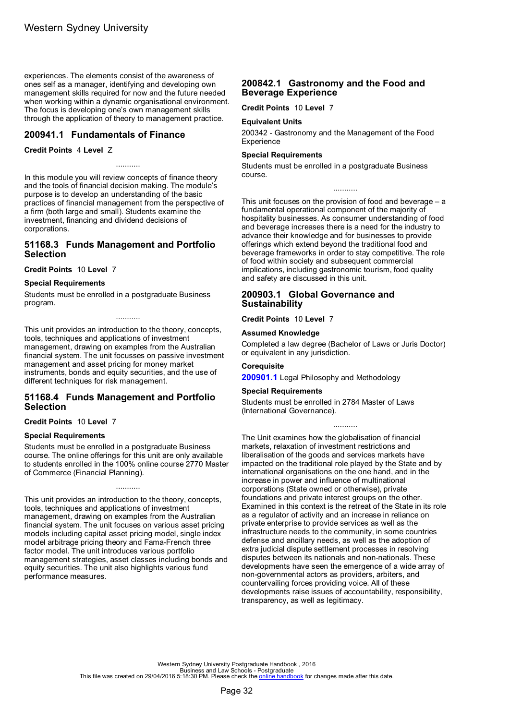<span id="page-35-0"></span>experiences. The elements consist of the awareness of ones self as a manager, identifying and developing own management skills required for now and the future needed when working within a dynamic organisational environment. The focus is developing one's own management skills through the application of theory to management practice.

### **200941.1 Fundamentals of Finance**

#### **Credit Points** 4 **Level** Z

In this module you will review concepts of finance theory and the tools of financial decision making. The module's purpose is to develop an understanding of the basic practices of financial management from the perspective of a firm (both large and small). Students examine the investment, financing and dividend decisions of corporations.

...........

### **51168.3 Funds Management and Portfolio Selection**

**Credit Points** 10 **Level** 7

#### **Special Requirements**

Students must be enrolled in a postgraduate Business program.

This unit provides an introduction to the theory, concepts, tools, techniques and applications of investment management, drawing on examples from the Australian financial system. The unit focusses on passive investment management and asset pricing for money market instruments, bonds and equity securities, and the use of different techniques for risk management.

...........

### **51168.4 Funds Management and Portfolio Selection**

#### **Credit Points** 10 **Level** 7

#### **Special Requirements**

Students must be enrolled in a postgraduate Business course. The online offerings for this unit are only available to students enrolled in the 100% online course 2770 Master of Commerce (Financial Planning).

...........

This unit provides an introduction to the theory, concepts, tools, techniques and applications of investment management, drawing on examples from the Australian financial system. The unit focuses on various asset pricing models including capital asset pricing model, single index model arbitrage pricing theory and Fama-French three factor model. The unit introduces various portfolio management strategies, asset classes including bonds and equity securities. The unit also highlights various fund performance measures.

## **200842.1 Gastronomy and the Food and Beverage Experience**

**Credit Points** 10 **Level** 7

#### **Equivalent Units**

200342 - Gastronomy and the Management of the Food **Experience** 

#### **Special Requirements**

Students must be enrolled in a postgraduate Business course.

This unit focuses on the provision of food and beverage – a fundamental operational component of the majority of hospitality businesses. As consumer understanding of food and beverage increases there is a need for the industry to advance their knowledge and for businesses to provide offerings which extend beyond the traditional food and beverage frameworks in order to stay competitive. The role of food within society and subsequent commercial implications, including gastronomic tourism, food quality and safety are discussed in this unit.

...........

### **200903.1 Global Governance and Sustainability**

**Credit Points** 10 **Level** 7

#### **Assumed Knowledge**

Completed a law degree (Bachelor of Laws or Juris Doctor) or equivalent in any jurisdiction.

#### **Corequisite**

**[200901.1](#page-40-0)** Legal Philosophy and Methodology

#### **Special Requirements**

Students must be enrolled in 2784 Master of Laws (International Governance).

The Unit examines how the globalisation of financial markets, relaxation of investment restrictions and liberalisation of the goods and services markets have impacted on the traditional role played by the State and by international organisations on the one hand, and in the increase in power and influence of multinational corporations (State owned or otherwise), private foundations and private interest groups on the other. Examined in this context is the retreat of the State in its role as a regulator of activity and an increase in reliance on private enterprise to provide services as well as the infrastructure needs to the community, in some countries defense and ancillary needs, as well as the adoption of extra judicial dispute settlement processes in resolving disputes between its nationals and non-nationals. These developments have seen the emergence of a wide array of non-governmental actors as providers, arbiters, and countervailing forces providing voice. All of these developments raise issues of accountability, responsibility, transparency, as well as legitimacy.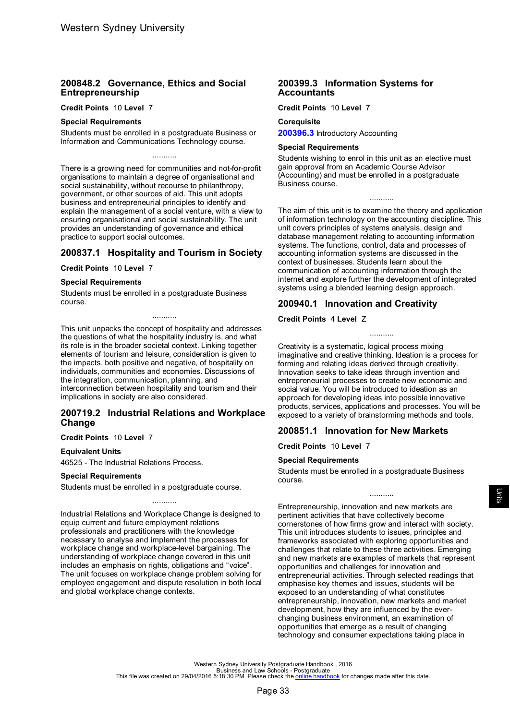### <span id="page-36-0"></span>**200848.2 Governance, Ethics and Social Entrepreneurship**

#### **Credit Points** 10 **Level** 7

#### **Special Requirements**

Students must be enrolled in a postgraduate Business or Information and Communications Technology course.

...........

There is a growing need for communities and not-for-profit organisations to maintain a degree of organisational and social sustainability, without recourse to philanthropy, government, or other sources of aid. This unit adopts business and entrepreneurial principles to identify and explain the management of a social venture, with a view to ensuring organisational and social sustainability. The unit provides an understanding of governance and ethical practice to support social outcomes.

### **200837.1 Hospitality and Tourism in Society**

**Credit Points** 10 **Level** 7

#### **Special Requirements**

Students must be enrolled in a postgraduate Business course.

This unit unpacks the concept of hospitality and addresses the questions of what the hospitality industry is, and what its role is in the broader societal context. Linking together elements of tourism and leisure, consideration is given to the impacts, both positive and negative, of hospitality on individuals, communities and economies. Discussions of the integration, communication, planning, and interconnection between hospitality and tourism and their implications in society are also considered.

...........

### **200719.2 Industrial Relations and Workplace Change**

#### **Credit Points** 10 **Level** 7

#### **Equivalent Units**

46525 - The Industrial Relations Process.

#### **Special Requirements**

Students must be enrolled in a postgraduate course.

Industrial Relations and Workplace Change is designed to equip current and future employment relations professionals and practitioners with the knowledge necessary to analyse and implement the processes for workplace change and workplace-level bargaining. The understanding of workplace change covered in this unit includes an emphasis on rights, obligations and "voice". The unit focuses on workplace change problem solving for employee engagement and dispute resolution in both local and global workplace change contexts.

...........

### **200399.3 Information Systems for Accountants**

**Credit Points** 10 **Level** 7

#### **Corequisite**

**200396.3** Introductory Accounting

#### **Special Requirements**

Students wishing to enrol in this unit as an elective must gain approval from an Academic Course Advisor (Accounting) and must be enrolled in a postgraduate Business course.

The aim of this unit is to examine the theory and application of information technology on the accounting discipline. This unit covers principles of systems analysis, design and database management relating to accounting information systems. The functions, control, data and processes of accounting information systems are discussed in the context of businesses. Students learn about the communication of accounting information through the internet and explore further the development of integrated systems using a blended learning design approach.

...........

### **200940.1 Innovation and Creativity**

**Credit Points** 4 **Level** Z

Creativity is a systematic, logical process mixing imaginative and creative thinking. Ideation is a process for forming and relating ideas derived through creativity. Innovation seeks to take ideas through invention and entrepreneurial processes to create new economic and social value. You will be introduced to ideation as an approach for developing ideas into possible innovative products, services, applications and processes. You will be exposed to a variety of brainstorming methods and tools.

...........

### **200851.1 Innovation for New Markets**

**Credit Points** 10 **Level** 7

#### **Special Requirements**

Students must be enrolled in a postgraduate Business course.

...........

Entrepreneurship, innovation and new markets are pertinent activities that have collectively become cornerstones of how firms grow and interact with society. This unit introduces students to issues, principles and frameworks associated with exploring opportunities and challenges that relate to these three activities. Emerging and new markets are examples of markets that represent opportunities and challenges for innovation and entrepreneurial activities. Through selected readings that emphasise key themes and issues, students will be exposed to an understanding of what constitutes entrepreneurship, innovation, new markets and market development, how they are influenced by the everchanging business environment, an examination of opportunities that emerge as a result of changing technology and consumer expectations taking place in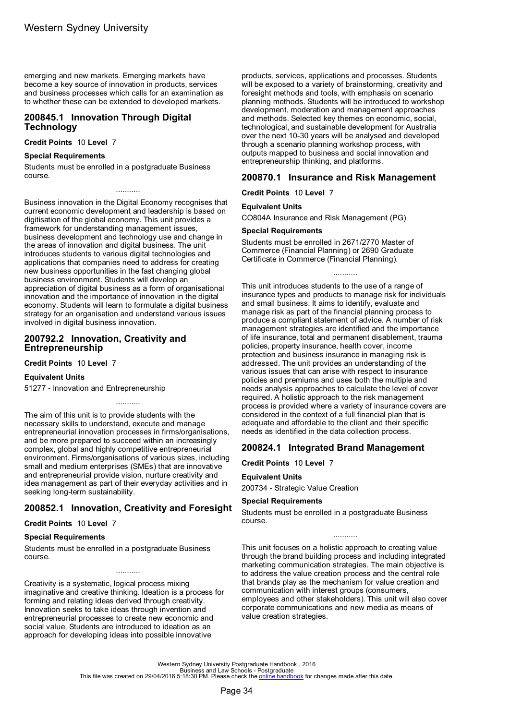<span id="page-37-0"></span>emerging and new markets. Emerging markets have become a key source of innovation in products, services and business processes which calls for an examination as to whether these can be extended to developed markets.

## **200845.1 Innovation Through Digital Technology**

#### **Credit Points** 10 **Level** 7

#### **Special Requirements**

Students must be enrolled in a postgraduate Business course.

...........

Business innovation in the Digital Economy recognises that current economic development and leadership is based on digitisation of the global economy. This unit provides a framework for understanding management issues, business development and technology use and change in the areas of innovation and digital business. The unit introduces students to various digital technologies and applications that companies need to address for creating new business opportunities in the fast changing global business environment. Students will develop an appreciation of digital business as a form of organisational innovation and the importance of innovation in the digital economy. Students will learn to formulate a digital business strategy for an organisation and understand various issues involved in digital business innovation.

### **200792.2 Innovation, Creativity and Entrepreneurship**

**Credit Points** 10 **Level** 7

#### **Equivalent Units**

51277 - Innovation and Entrepreneurship

The aim of this unit is to provide students with the necessary skills to understand, execute and manage entrepreneurial innovation processes in firms/organisations, and be more prepared to succeed within an increasingly complex, global and highly competitive entrepreneurial environment. Firms/organisations of various sizes, including small and medium enterprises (SMEs) that are innovative and entrepreneurial provide vision, nurture creativity and idea management as part of their everyday activities and in seeking long-term sustainability.

...........

## **200852.1 Innovation, Creativity and Foresight**

### **Credit Points** 10 **Level** 7

#### **Special Requirements**

Students must be enrolled in a postgraduate Business course.

...........

Creativity is a systematic, logical process mixing imaginative and creative thinking. Ideation is a process for forming and relating ideas derived through creativity. Innovation seeks to take ideas through invention and entrepreneurial processes to create new economic and social value. Students are introduced to ideation as an approach for developing ideas into possible innovative

products, services, applications and processes. Students will be exposed to a variety of brainstorming, creativity and foresight methods and tools, with emphasis on scenario planning methods. Students will be introduced to workshop development, moderation and management approaches and methods. Selected key themes on economic, social, technological, and sustainable development for Australia over the next 10-30 years will be analysed and developed through a scenario planning workshop process, with outputs mapped to business and social innovation and entrepreneurship thinking, and platforms.

### **200870.1 Insurance and Risk Management**

### **Credit Points** 10 **Level** 7

### **Equivalent Units**

CO804A Insurance and Risk Management (PG)

#### **Special Requirements**

Students must be enrolled in 2671/2770 Master of Commerce (Financial Planning) or 2690 Graduate Certificate in Commerce (Financial Planning).

This unit introduces students to the use of a range of insurance types and products to manage risk for individuals and small business. It aims to identify, evaluate and manage risk as part of the financial planning process to produce a compliant statement of advice. A number of risk management strategies are identified and the importance of life insurance, total and permanent disablement, trauma policies, property insurance, health cover, income protection and business insurance in managing risk is addressed. The unit provides an understanding of the various issues that can arise with respect to insurance policies and premiums and uses both the multiple and needs analysis approaches to calculate the level of cover required. A holistic approach to the risk management process is provided where a variety of insurance covers are considered in the context of a full financial plan that is adequate and affordable to the client and their specific needs as identified in the data collection process.

...........

### **200824.1 Integrated Brand Management**

#### **Credit Points** 10 **Level** 7

**Equivalent Units**

200734 - Strategic Value Creation

#### **Special Requirements**

Students must be enrolled in a postgraduate Business course.

...........

This unit focuses on a holistic approach to creating value through the brand building process and including integrated marketing communication strategies. The main objective is to address the value creation process and the central role that brands play as the mechanism for value creation and communication with interest groups (consumers, employees and other stakeholders). This unit will also cover corporate communications and new media as means of value creation strategies.

Western Sydney University Postgraduate Handbook , 2016<br>Business and Law Schools - Paus Postgraduate<br>This file was created on 29/04/2016 5:18:30 PM. Please check the <u>online [handbook](http://handbook.westernsydney.edu.au/hbook/)</u> for changes made after this date.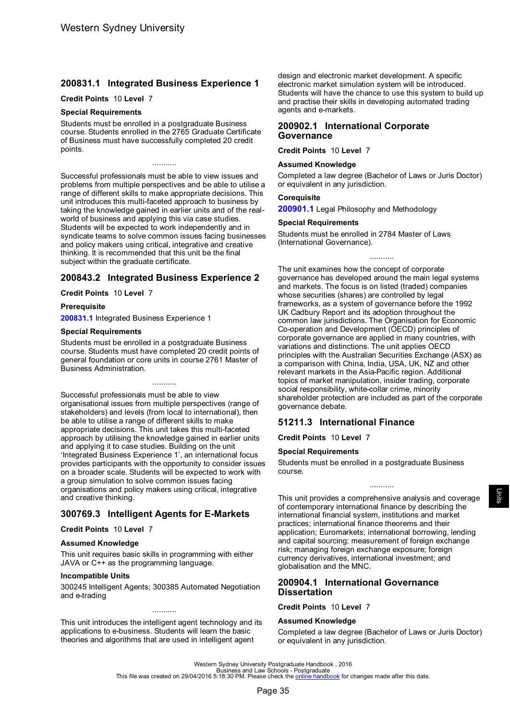## <span id="page-38-0"></span>**200831.1 Integrated Business Experience 1**

#### **Credit Points** 10 **Level** 7

#### **Special Requirements**

Students must be enrolled in a postgraduate Business course. Students enrolled in the 2765 Graduate Certificate of Business must have successfully completed 20 credit points.

...........

Successful professionals must be able to view issues and problems from multiple perspectives and be able to utilise a range of different skills to make appropriate decisions. This unit introduces this multi-faceted approach to business by taking the knowledge gained in earlier units and of the realworld of business and applying this via case studies. Students will be expected to work independently and in syndicate teams to solve common issues facing businesses and policy makers using critical, integrative and creative thinking. It is recommended that this unit be the final subject within the graduate certificate.

## **200843.2 Integrated Business Experience 2**

**Credit Points** 10 **Level** 7

#### **Prerequisite**

**200831.1** Integrated Business Experience 1

#### **Special Requirements**

Students must be enrolled in a postgraduate Business course. Students must have completed 20 credit points of general foundation or core units in course 2761 Master of Business Administration.

...........

Successful professionals must be able to view organisational issues from multiple perspectives (range of stakeholders) and levels (from local to international), then be able to utilise a range of different skills to make appropriate decisions. This unit takes this multi-faceted approach by utilising the knowledge gained in earlier units and applying it to case studies. Building on the unit 'Integrated Business Experience 1', an international focus provides participants with the opportunity to consider issues on a broader scale. Students will be expected to work with a group simulation to solve common issues facing organisations and policy makers using critical, integrative and creative thinking.

## **300769.3 Intelligent Agents for E-Markets**

#### **Credit Points** 10 **Level** 7

#### **Assumed Knowledge**

This unit requires basic skills in programming with either JAVA or C++ as the programming language.

#### **Incompatible Units**

300245 Intelligent Agents; 300385 Automated Negotiation and e-trading

...........

This unit introduces the intelligent agent technology and its applications to e-business. Students will learn the basic theories and algorithms that are used in intelligent agent

design and electronic market development. A specific electronic market simulation system will be introduced. Students will have the chance to use this system to build up and practise their skills in developing automated trading agents and e-markets.

### **200902.1 International Corporate Governance**

**Credit Points** 10 **Level** 7

#### **Assumed Knowledge**

Completed a law degree (Bachelor of Laws or Juris Doctor) or equivalent in any jurisdiction.

...........

#### **Corequisite**

**[200901.1](#page-40-0)** Legal Philosophy and Methodology

#### **Special Requirements**

Students must be enrolled in 2784 Master of Laws (International Governance).

The unit examines how the concept of corporate governance has developed around the main legal systems and markets. The focus is on listed (traded) companies whose securities (shares) are controlled by legal frameworks, as a system of governance before the 1992 UK Cadbury Report and its adoption throughout the common law jurisdictions. The Organisation for Economic Co-operation and Development (OECD) principles of corporate governance are applied in many countries, with variations and distinctions. The unit applies OECD principles with the Australian Securities Exchange (ASX) as a comparison with China, India, USA, UK, NZ and other relevant markets in the Asia-Pacific region. Additional topics of market manipulation, insider trading, corporate social responsibility, white-collar crime, minority shareholder protection are included as part of the corporate governance debate.

### **51211.3 International Finance**

**Credit Points** 10 **Level** 7

#### **Special Requirements**

Students must be enrolled in a postgraduate Business course.

This unit provides a comprehensive analysis and coverage of contemporary international finance by describing the international financial system, institutions and market practices; international finance theorems and their application; Euromarkets; international borrowing, lending and capital sourcing; measurement of foreign exchange risk; managing foreign exchange exposure; foreign currency derivatives, international investment; and globalisation and the MNC.

...........

### **200904.1 International Governance Dissertation**

**Credit Points** 10 **Level** 7

#### **Assumed Knowledge**

Completed a law degree (Bachelor of Laws or Juris Doctor) or equivalent in any jurisdiction.

Western Sydney University Postgraduate Handbook , 2016 Business and Law Schools - Postgraduate This file was created on 29/04/2016 5:18:30 PM. Please check the online [handbook](http://handbook.westernsydney.edu.au/hbook/) for changes made after this date.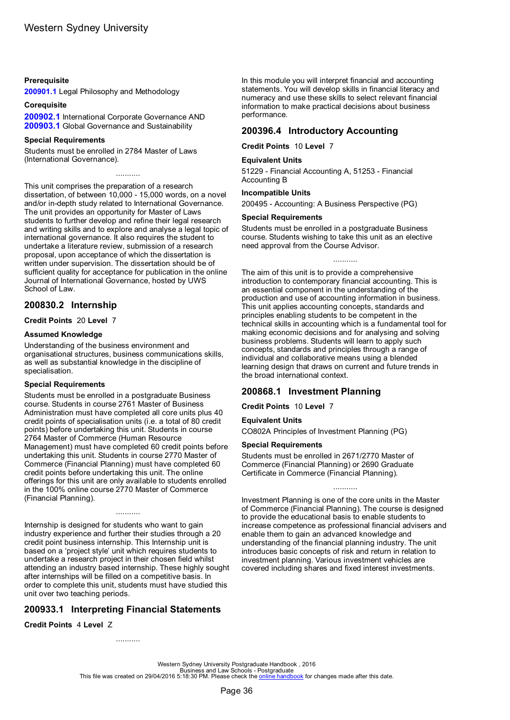### <span id="page-39-0"></span>**Prerequisite**

**[200901.1](#page-40-0)** Legal Philosophy and Methodology

#### **Corequisite**

**[200902.1](#page-38-0)** International Corporate Governance AND **[200903.1](#page-35-0)** Global Governance and Sustainability

#### **Special Requirements**

Students must be enrolled in 2784 Master of Laws (International Governance).

This unit comprises the preparation of a research dissertation, of between 10,000 - 15,000 words, on a novel and/or in-depth study related to International Governance. The unit provides an opportunity for Master of Laws students to further develop and refine their legal research and writing skills and to explore and analyse a legal topic of international governance. It also requires the student to undertake a literature review, submission of a research proposal, upon acceptance of which the dissertation is written under supervision. The dissertation should be of sufficient quality for acceptance for publication in the online Journal of International Governance, hosted by UWS School of Law.

...........

## **200830.2 Internship**

**Credit Points** 20 **Level** 7

#### **Assumed Knowledge**

Understanding of the business environment and organisational structures, business communications skills, as well as substantial knowledge in the discipline of specialisation.

### **Special Requirements**

Students must be enrolled in a postgraduate Business course. Students in course 2761 Master of Business Administration must have completed all core units plus 40 credit points of specialisation units (i.e. a total of 80 credit points) before undertaking this unit. Students in course 2764 Master of Commerce (Human Resource Management) must have completed 60 credit points before undertaking this unit. Students in course 2770 Master of Commerce (Financial Planning) must have completed 60 credit points before undertaking this unit. The online offerings for this unit are only available to students enrolled in the 100% online course 2770 Master of Commerce (Financial Planning).

Internship is designed for students who want to gain industry experience and further their studies through a 20 credit point business internship. This Internship unit is based on a 'project style' unit which requires students to undertake a research project in their chosen field whilst attending an industry based internship. These highly sought after internships will be filled on a competitive basis. In order to complete this unit, students must have studied this unit over two teaching periods.

...........

## **200933.1 Interpreting Financial Statements**

### **Credit Points** 4 **Level** Z

...........

In this module you will interpret financial and accounting statements. You will develop skills in financial literacy and numeracy and use these skills to select relevant financial information to make practical decisions about business performance.

### **200396.4 Introductory Accounting**

**Credit Points** 10 **Level** 7

#### **Equivalent Units**

51229 - Financial Accounting A, 51253 - Financial Accounting B

#### **Incompatible Units**

200495 - Accounting: A Business Perspective (PG)

#### **Special Requirements**

Students must be enrolled in a postgraduate Business course. Students wishing to take this unit as an elective need approval from the Course Advisor.

...........

The aim of this unit is to provide a comprehensive introduction to contemporary financial accounting. This is an essential component in the understanding of the production and use of accounting information in business. This unit applies accounting concepts, standards and principles enabling students to be competent in the technical skills in accounting which is a fundamental tool for making economic decisions and for analysing and solving business problems. Students will learn to apply such concepts, standards and principles through a range of individual and collaborative means using a blended learning design that draws on current and future trends in the broad international context.

### **200868.1 Investment Planning**

**Credit Points** 10 **Level** 7

### **Equivalent Units**

CO802A Principles of Investment Planning (PG)

### **Special Requirements**

Students must be enrolled in 2671/2770 Master of Commerce (Financial Planning) or 2690 Graduate Certificate in Commerce (Financial Planning).

Investment Planning is one of the core units in the Master of Commerce (Financial Planning). The course is designed to provide the educational basis to enable students to increase competence as professional financial advisers and enable them to gain an advanced knowledge and understanding of the financial planning industry. The unit introduces basic concepts of risk and return in relation to investment planning. Various investment vehicles are covered including shares and fixed interest investments.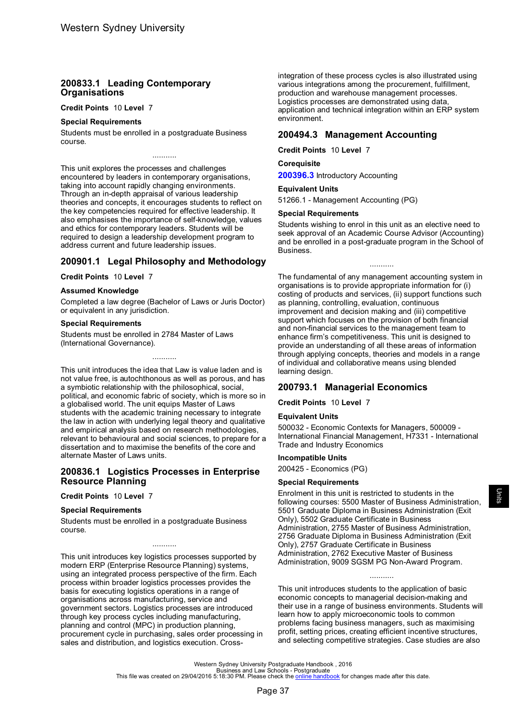### <span id="page-40-0"></span>**200833.1 Leading Contemporary Organisations**

#### **Credit Points** 10 **Level** 7

#### **Special Requirements**

Students must be enrolled in a postgraduate Business course.

This unit explores the processes and challenges encountered by leaders in contemporary organisations, taking into account rapidly changing environments. Through an in-depth appraisal of various leadership theories and concepts, it encourages students to reflect on the key competencies required for effective leadership. It also emphasises the importance of self-knowledge, values and ethics for contemporary leaders. Students will be required to design a leadership development program to address current and future leadership issues.

...........

## **200901.1 Legal Philosophy and Methodology**

#### **Credit Points** 10 **Level** 7

#### **Assumed Knowledge**

Completed a law degree (Bachelor of Laws or Juris Doctor) or equivalent in any jurisdiction.

#### **Special Requirements**

Students must be enrolled in 2784 Master of Laws (International Governance).

This unit introduces the idea that Law is value laden and is not value free, is autochthonous as well as porous, and has a symbiotic relationship with the philosophical, social, political, and economic fabric of society, which is more so in a globalised world. The unit equips Master of Laws students with the academic training necessary to integrate the law in action with underlying legal theory and qualitative and empirical analysis based on research methodologies, relevant to behavioural and social sciences, to prepare for a dissertation and to maximise the benefits of the core and alternate Master of Laws units.

...........

### **200836.1 Logistics Processes in Enterprise Resource Planning**

#### **Credit Points** 10 **Level** 7

#### **Special Requirements**

Students must be enrolled in a postgraduate Business course.

...........

This unit introduces key logistics processes supported by modern ERP (Enterprise Resource Planning) systems, using an integrated process perspective of the firm. Each process within broader logistics processes provides the basis for executing logistics operations in a range of organisations across manufacturing, service and government sectors. Logistics processes are introduced through key process cycles including manufacturing, planning and control (MPC) in production planning, procurement cycle in purchasing, sales order processing in sales and distribution, and logistics execution. Crossintegration of these process cycles is also illustrated using various integrations among the procurement, fulfillment, production and warehouse management processes. Logistics processes are demonstrated using data, application and technical integration within an ERP system environment.

### **200494.3 Management Accounting**

**Credit Points** 10 **Level** 7

**Corequisite**

**200396.3** Introductory Accounting

#### **Equivalent Units**

51266.1 - Management Accounting (PG)

#### **Special Requirements**

Students wishing to enrol in this unit as an elective need to seek approval of an Academic Course Advisor (Accounting) and be enrolled in a post-graduate program in the School of Business.

...........

The fundamental of any management accounting system in organisations is to provide appropriate information for (i) costing of products and services, (ii) support functions such as planning, controlling, evaluation, continuous improvement and decision making and (iii) competitive support which focuses on the provision of both financial and non-financial services to the management team to enhance firm's competitiveness. This unit is designed to provide an understanding of all these areas of information through applying concepts, theories and models in a range of individual and collaborative means using blended learning design.

### **200793.1 Managerial Economics**

**Credit Points** 10 **Level** 7

#### **Equivalent Units**

500032 - Economic Contexts for Managers, 500009 - International Financial Management, H7331 - International Trade and Industry Economics

#### **Incompatible Units**

200425 - Economics (PG)

#### **Special Requirements**

Enrolment in this unit is restricted to students in the following courses: 5500 Master of Business Administration, 5501 Graduate Diploma in Business Administration (Exit Only), 5502 Graduate Certificate in Business Administration, 2755 Master of Business Administration, 2756 Graduate Diploma in Business Administration (Exit Only), 2757 Graduate Certificate in Business Administration, 2762 Executive Master of Business Administration, 9009 SGSM PG Non-Award Program.

This unit introduces students to the application of basic economic concepts to managerial decision-making and their use in a range of business environments. Students will learn how to apply microeconomic tools to common problems facing business managers, such as maximising profit, setting prices, creating efficient incentive structures, and selecting competitive strategies. Case studies are also

...........

Western Sydney University Postgraduate Handbook , 2016 Business and Law Schools - Postgraduate This file was created on 29/04/2016 5:18:30 PM. Please check the online [handbook](http://handbook.westernsydney.edu.au/hbook/) for changes made after this date.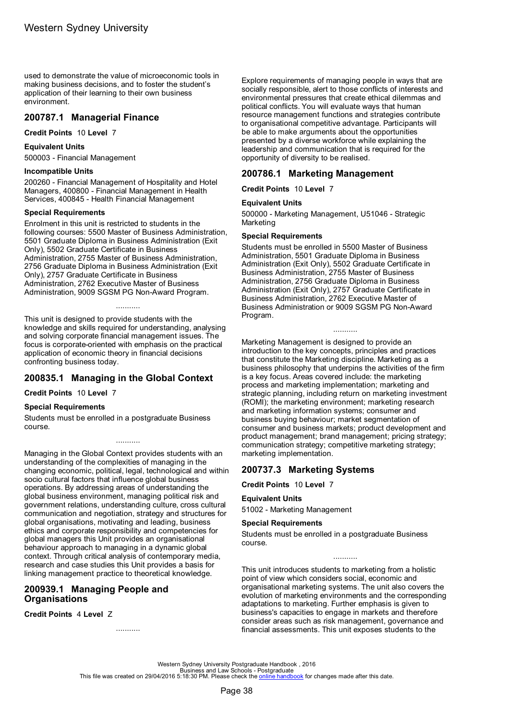<span id="page-41-0"></span>used to demonstrate the value of microeconomic tools in making business decisions, and to foster the student's application of their learning to their own business environment.

### **200787.1 Managerial Finance**

#### **Credit Points** 10 **Level** 7

#### **Equivalent Units**

500003 - Financial Management

#### **Incompatible Units**

200260 - Financial Management of Hospitality and Hotel Managers, 400800 - Financial Management in Health Services, 400845 - Health Financial Management

#### **Special Requirements**

Enrolment in this unit is restricted to students in the following courses: 5500 Master of Business Administration, 5501 Graduate Diploma in Business Administration (Exit Only), 5502 Graduate Certificate in Business Administration, 2755 Master of Business Administration, 2756 Graduate Diploma in Business Administration (Exit Only), 2757 Graduate Certificate in Business Administration, 2762 Executive Master of Business Administration, 9009 SGSM PG Non-Award Program.

This unit is designed to provide students with the knowledge and skills required for understanding, analysing and solving corporate financial management issues. The focus is corporate-oriented with emphasis on the practical application of economic theory in financial decisions confronting business today.

...........

## **200835.1 Managing in the Global Context**

**Credit Points** 10 **Level** 7

#### **Special Requirements**

Students must be enrolled in a postgraduate Business course.

...........

Managing in the Global Context provides students with an understanding of the complexities of managing in the changing economic, political, legal, technological and within socio cultural factors that influence global business operations. By addressing areas of understanding the global business environment, managing political risk and government relations, understanding culture, cross cultural communication and negotiation, strategy and structures for global organisations, motivating and leading, business ethics and corporate responsibility and competencies for global managers this Unit provides an organisational behaviour approach to managing in a dynamic global context. Through critical analysis of contemporary media, research and case studies this Unit provides a basis for linking management practice to theoretical knowledge.

...........

### **200939.1 Managing People and Organisations**

**Credit Points** 4 **Level** Z

Explore requirements of managing people in ways that are socially responsible, alert to those conflicts of interests and environmental pressures that create ethical dilemmas and political conflicts. You will evaluate ways that human resource management functions and strategies contribute to organisational competitive advantage. Participants will be able to make arguments about the opportunities presented by a diverse workforce while explaining the leadership and communication that is required for the opportunity of diversity to be realised.

### **200786.1 Marketing Management**

**Credit Points** 10 **Level** 7

#### **Equivalent Units**

500000 - Marketing Management, U51046 - Strategic Marketing

#### **Special Requirements**

Students must be enrolled in 5500 Master of Business Administration, 5501 Graduate Diploma in Business Administration (Exit Only), 5502 Graduate Certificate in Business Administration, 2755 Master of Business Administration, 2756 Graduate Diploma in Business Administration (Exit Only), 2757 Graduate Certificate in Business Administration, 2762 Executive Master of Business Administration or 9009 SGSM PG Non-Award Program.

Marketing Management is designed to provide an introduction to the key concepts, principles and practices that constitute the Marketing discipline. Marketing as a business philosophy that underpins the activities of the firm is a key focus. Areas covered include: the marketing process and marketing implementation; marketing and strategic planning, including return on marketing investment (ROMI); the marketing environment; marketing research and marketing information systems; consumer and business buying behaviour; market segmentation of consumer and business markets; product development and product management; brand management; pricing strategy; communication strategy; competitive marketing strategy; marketing implementation.

...........

### **200737.3 Marketing Systems**

**Credit Points** 10 **Level** 7

#### **Equivalent Units**

51002 - Marketing Management

#### **Special Requirements**

Students must be enrolled in a postgraduate Business course.

This unit introduces students to marketing from a holistic point of view which considers social, economic and organisational marketing systems. The unit also covers the evolution of marketing environments and the corresponding adaptations to marketing. Further emphasis is given to business's capacities to engage in markets and therefore consider areas such as risk management, governance and financial assessments. This unit exposes students to the

...........

Western Sydney University Postgraduate Handbook , 2016<br>Business and Law Schools - Paus Postgraduate<br>This file was created on 29/04/2016 5:18:30 PM. Please check the <u>online [handbook](http://handbook.westernsydney.edu.au/hbook/)</u> for changes made after this date.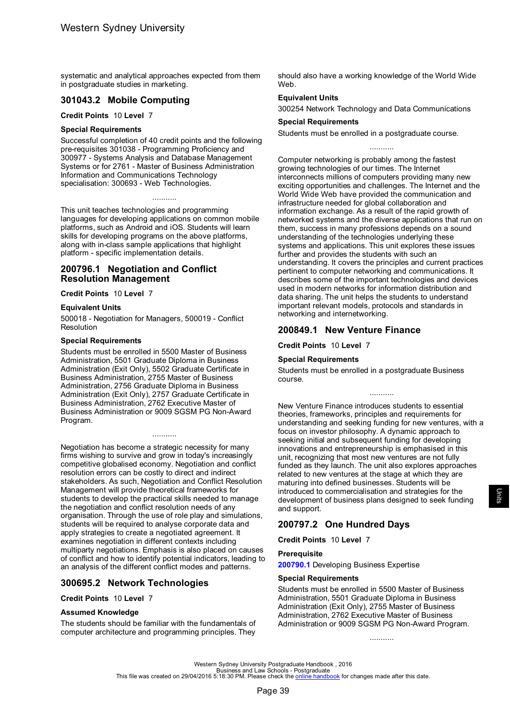<span id="page-42-0"></span>systematic and analytical approaches expected from them in postgraduate studies in marketing.

## **301043.2 Mobile Computing**

#### **Credit Points** 10 **Level** 7

#### **Special Requirements**

Successful completion of 40 credit points and the following pre-requisites 301038 - Programming Proficiency and 300977 - Systems Analysis and Database Management Systems or for 2761 - Master of Business Administration Information and Communications Technology specialisation: 300693 - Web Technologies.

...........

This unit teaches technologies and programming languages for developing applications on common mobile platforms, such as Android and iOS. Students will learn skills for developing programs on the above platforms, along with in-class sample applications that highlight platform - specific implementation details.

### **200796.1 Negotiation and Conflict Resolution Management**

#### **Credit Points** 10 **Level** 7

#### **Equivalent Units**

500018 - Negotiation for Managers, 500019 - Conflict Resolution

#### **Special Requirements**

Students must be enrolled in 5500 Master of Business Administration, 5501 Graduate Diploma in Business Administration (Exit Only), 5502 Graduate Certificate in Business Administration, 2755 Master of Business Administration, 2756 Graduate Diploma in Business Administration (Exit Only), 2757 Graduate Certificate in Business Administration, 2762 Executive Master of Business Administration or 9009 SGSM PG Non-Award Program.

Negotiation has become a strategic necessity for many firms wishing to survive and grow in today's increasingly competitive globalised economy. Negotiation and conflict resolution errors can be costly to direct and indirect stakeholders. As such, Negotiation and Conflict Resolution Management will provide theoretical frameworks for students to develop the practical skills needed to manage the negotiation and conflict resolution needs of any organisation. Through the use of role play and simulations, students will be required to analyse corporate data and apply strategies to create a negotiated agreement. It examines negotiation in different contexts including multiparty negotiations. Emphasis is also placed on causes of conflict and how to identify potential indicators, leading to an analysis of the different conflict modes and patterns.

...........

## **300695.2 Network Technologies**

#### **Credit Points** 10 **Level** 7

#### **Assumed Knowledge**

The students should be familiar with the fundamentals of computer architecture and programming principles. They

should also have a working knowledge of the World Wide Web.

#### **Equivalent Units**

300254 Network Technology and Data Communications

...........

#### **Special Requirements**

Students must be enrolled in a postgraduate course.

Computer networking is probably among the fastest growing technologies of our times. The Internet interconnects millions of computers providing many new exciting opportunities and challenges. The Internet and the World Wide Web have provided the communication and infrastructure needed for global collaboration and information exchange. As a result of the rapid growth of networked systems and the diverse applications that run on them, success in many professions depends on a sound understanding of the technologies underlying these systems and applications. This unit explores these issues further and provides the students with such an understanding. It covers the principles and current practices pertinent to computer networking and communications. It describes some of the important technologies and devices used in modern networks for information distribution and data sharing. The unit helps the students to understand important relevant models, protocols and standards in networking and internetworking.

### **200849.1 New Venture Finance**

**Credit Points** 10 **Level** 7

#### **Special Requirements**

Students must be enrolled in a postgraduate Business course.

...........

New Venture Finance introduces students to essential theories, frameworks, principles and requirements for understanding and seeking funding for new ventures, with a focus on investor philosophy. A dynamic approach to seeking initial and subsequent funding for developing innovations and entrepreneurship is emphasised in this unit, recognizing that most new ventures are not fully funded as they launch. The unit also explores approaches related to new ventures at the stage at which they are maturing into defined businesses. Students will be introduced to commercialisation and strategies for the development of business plans designed to seek funding and support.

### **200797.2 One Hundred Days**

### **Credit Points** 10 **Level** 7

#### **Prerequisite**

**[200790.1](#page-31-0)** Developing Business Expertise

#### **Special Requirements**

Students must be enrolled in 5500 Master of Business Administration, 5501 Graduate Diploma in Business Administration (Exit Only), 2755 Master of Business Administration, 2762 Executive Master of Business Administration or 9009 SGSM PG Non-Award Program.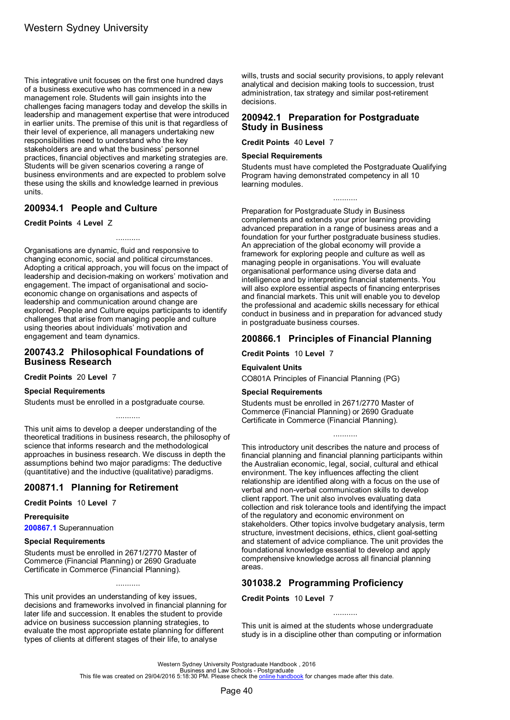<span id="page-43-0"></span>This integrative unit focuses on the first one hundred days of a business executive who has commenced in a new management role. Students will gain insights into the challenges facing managers today and develop the skills in leadership and management expertise that were introduced in earlier units. The premise of this unit is that regardless of their level of experience, all managers undertaking new responsibilities need to understand who the key stakeholders are and what the business' personnel practices, financial objectives and marketing strategies are. Students will be given scenarios covering a range of business environments and are expected to problem solve these using the skills and knowledge learned in previous units.

## **200934.1 People and Culture**

#### **Credit Points** 4 **Level** Z

...........

Organisations are dynamic, fluid and responsive to changing economic, social and political circumstances. Adopting a critical approach, you will focus on the impact of leadership and decision-making on workers' motivation and engagement. The impact of organisational and socioeconomic change on organisations and aspects of leadership and communication around change are explored. People and Culture equips participants to identify challenges that arise from managing people and culture using theories about individuals' motivation and engagement and team dynamics.

### **200743.2 Philosophical Foundations of Business Research**

**Credit Points** 20 **Level** 7

#### **Special Requirements**

Students must be enrolled in a postgraduate course.

This unit aims to develop a deeper understanding of the theoretical traditions in business research, the philosophy of science that informs research and the methodological approaches in business research. We discuss in depth the assumptions behind two major paradigms: The deductive (quantitative) and the inductive (qualitative) paradigms.

...........

## **200871.1 Planning for Retirement**

**Credit Points** 10 **Level** 7

**Prerequisite**

**[200867.1](#page-47-0)** Superannuation

#### **Special Requirements**

Students must be enrolled in 2671/2770 Master of Commerce (Financial Planning) or 2690 Graduate Certificate in Commerce (Financial Planning).

This unit provides an understanding of key issues, decisions and frameworks involved in financial planning for later life and succession. It enables the student to provide advice on business succession planning strategies, to evaluate the most appropriate estate planning for different types of clients at different stages of their life, to analyse

...........

wills, trusts and social security provisions, to apply relevant analytical and decision making tools to succession, trust administration, tax strategy and similar post-retirement decisions.

### **200942.1 Preparation for Postgraduate Study in Business**

#### **Credit Points** 40 **Level** 7

#### **Special Requirements**

Students must have completed the Postgraduate Qualifying Program having demonstrated competency in all 10 learning modules.

...........

Preparation for Postgraduate Study in Business complements and extends your prior learning providing advanced preparation in a range of business areas and a foundation for your further postgraduate business studies. An appreciation of the global economy will provide a framework for exploring people and culture as well as managing people in organisations. You will evaluate organisational performance using diverse data and intelligence and by interpreting financial statements. You will also explore essential aspects of financing enterprises and financial markets. This unit will enable you to develop the professional and academic skills necessary for ethical conduct in business and in preparation for advanced study in postgraduate business courses.

## **200866.1 Principles of Financial Planning**

**Credit Points** 10 **Level** 7

#### **Equivalent Units**

CO801A Principles of Financial Planning (PG)

#### **Special Requirements**

Students must be enrolled in 2671/2770 Master of Commerce (Financial Planning) or 2690 Graduate Certificate in Commerce (Financial Planning).

This introductory unit describes the nature and process of financial planning and financial planning participants within the Australian economic, legal, social, cultural and ethical environment. The key influences affecting the client relationship are identified along with a focus on the use of verbal and non-verbal communication skills to develop client rapport. The unit also involves evaluating data collection and risk tolerance tools and identifying the impact of the regulatory and economic environment on stakeholders. Other topics involve budgetary analysis, term structure, investment decisions, ethics, client goal-setting and statement of advice compliance. The unit provides the foundational knowledge essential to develop and apply comprehensive knowledge across all financial planning areas.

...........

## **301038.2 Programming Proficiency**

**Credit Points** 10 **Level** 7

This unit is aimed at the students whose undergraduate study is in a discipline other than computing or information

...........

Western Sydney University Postgraduate Handbook , 2016<br>Business and Law Schools - Paus Postgraduate<br>This file was created on 29/04/2016 5:18:30 PM. Please check the <u>online [handbook](http://handbook.westernsydney.edu.au/hbook/)</u> for changes made after this date.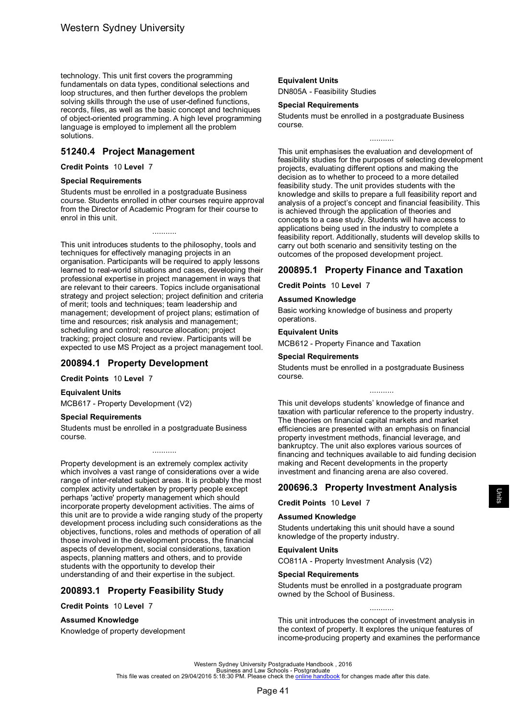<span id="page-44-0"></span>technology. This unit first covers the programming fundamentals on data types, conditional selections and loop structures, and then further develops the problem solving skills through the use of user-defined functions, records, files, as well as the basic concept and techniques of object-oriented programming. A high level programming language is employed to implement all the problem solutions.

## **51240.4 Project Management**

**Credit Points** 10 **Level** 7

#### **Special Requirements**

Students must be enrolled in a postgraduate Business course. Students enrolled in other courses require approval from the Director of Academic Program for their course to enrol in this unit.

...........

This unit introduces students to the philosophy, tools and techniques for effectively managing projects in an organisation. Participants will be required to apply lessons learned to real-world situations and cases, developing their professional expertise in project management in ways that are relevant to their careers. Topics include organisational strategy and project selection; project definition and criteria of merit; tools and techniques; team leadership and management; development of project plans; estimation of time and resources; risk analysis and management; scheduling and control; resource allocation; project tracking; project closure and review. Participants will be expected to use MS Project as a project management tool.

### **200894.1 Property Development**

**Credit Points** 10 **Level** 7

#### **Equivalent Units**

MCB617 - Property Development (V2)

#### **Special Requirements**

Students must be enrolled in a postgraduate Business course.

...........

Property development is an extremely complex activity which involves a vast range of considerations over a wide range of inter-related subject areas. It is probably the most complex activity undertaken by property people except perhaps 'active' property management which should incorporate property development activities. The aims of this unit are to provide a wide ranging study of the property development process including such considerations as the objectives, functions, roles and methods of operation of all those involved in the development process, the financial aspects of development, social considerations, taxation aspects, planning matters and others, and to provide students with the opportunity to develop their understanding of and their expertise in the subject.

## **200893.1 Property Feasibility Study**

**Credit Points** 10 **Level** 7

#### **Assumed Knowledge**

Knowledge of property development

#### **Equivalent Units**

DN805A - Feasibility Studies

#### **Special Requirements**

Students must be enrolled in a postgraduate Business course.

...........

This unit emphasises the evaluation and development of feasibility studies for the purposes of selecting development projects, evaluating different options and making the decision as to whether to proceed to a more detailed feasibility study. The unit provides students with the knowledge and skills to prepare a full feasibility report and analysis of a project's concept and financial feasibility. This is achieved through the application of theories and concepts to a case study. Students will have access to applications being used in the industry to complete a feasibility report. Additionally, students will develop skills to carry out both scenario and sensitivity testing on the outcomes of the proposed development project.

### **200895.1 Property Finance and Taxation**

**Credit Points** 10 **Level** 7

#### **Assumed Knowledge**

Basic working knowledge of business and property operations.

#### **Equivalent Units**

MCB612 - Property Finance and Taxation

#### **Special Requirements**

Students must be enrolled in a postgraduate Business course.

...........

This unit develops students' knowledge of finance and taxation with particular reference to the property industry. The theories on financial capital markets and market efficiencies are presented with an emphasis on financial property investment methods, financial leverage, and bankruptcy. The unit also explores various sources of financing and techniques available to aid funding decision making and Recent developments in the property investment and financing arena are also covered.

## **200696.3 Property Investment Analysis**

**Credit Points** 10 **Level** 7

#### **Assumed Knowledge**

Students undertaking this unit should have a sound knowledge of the property industry.

#### **Equivalent Units**

CO811A - Property Investment Analysis (V2)

#### **Special Requirements**

Students must be enrolled in a postgraduate program owned by the School of Business.

This unit introduces the concept of investment analysis in the context of property. It explores the unique features of income-producing property and examines the performance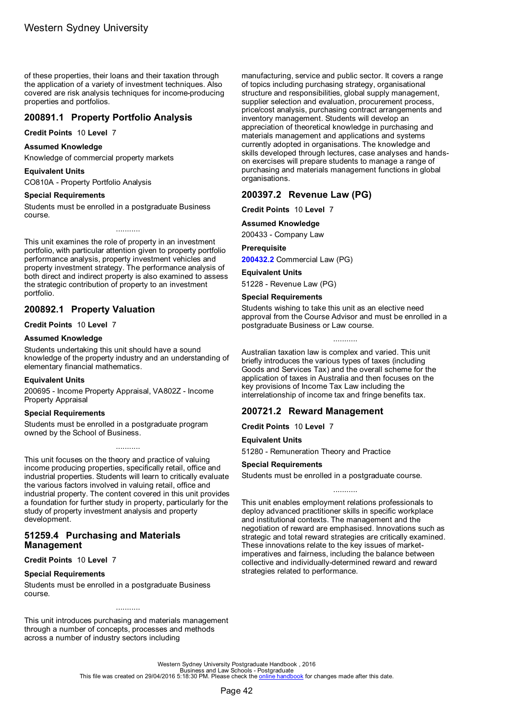<span id="page-45-0"></span>of these properties, their loans and their taxation through the application of a variety of investment techniques. Also covered are risk analysis techniques for income-producing properties and portfolios.

### **200891.1 Property Portfolio Analysis**

#### **Credit Points** 10 **Level** 7

**Assumed Knowledge**

Knowledge of commercial property markets

#### **Equivalent Units**

CO810A - Property Portfolio Analysis

#### **Special Requirements**

Students must be enrolled in a postgraduate Business course.

This unit examines the role of property in an investment portfolio, with particular attention given to property portfolio performance analysis, property investment vehicles and property investment strategy. The performance analysis of both direct and indirect property is also examined to assess the strategic contribution of property to an investment portfolio.

...........

## **200892.1 Property Valuation**

**Credit Points** 10 **Level** 7

#### **Assumed Knowledge**

Students undertaking this unit should have a sound knowledge of the property industry and an understanding of elementary financial mathematics.

### **Equivalent Units**

200695 - Income Property Appraisal, VA802Z - Income Property Appraisal

### **Special Requirements**

Students must be enrolled in a postgraduate program owned by the School of Business.

This unit focuses on the theory and practice of valuing income producing properties, specifically retail, office and industrial properties. Students will learn to critically evaluate the various factors involved in valuing retail, office and industrial property. The content covered in this unit provides a foundation for further study in property, particularly for the study of property investment analysis and property development.

...........

### **51259.4 Purchasing and Materials Management**

**Credit Points** 10 **Level** 7

#### **Special Requirements**

Students must be enrolled in a postgraduate Business course.

manufacturing, service and public sector. It covers a range of topics including purchasing strategy, organisational structure and responsibilities, global supply management, supplier selection and evaluation, procurement process, price/cost analysis, purchasing contract arrangements and inventory management. Students will develop an appreciation of theoretical knowledge in purchasing and materials management and applications and systems currently adopted in organisations. The knowledge and skills developed through lectures, case analyses and handson exercises will prepare students to manage a range of purchasing and materials management functions in global organisations.

## **200397.2 Revenue Law (PG)**

**Credit Points** 10 **Level** 7

#### **Assumed Knowledge**

200433 - Company Law

#### **Prerequisite**

**200432.2** Commercial Law (PG)

#### **Equivalent Units**

51228 - Revenue Law (PG)

#### **Special Requirements**

Students wishing to take this unit as an elective need approval from the Course Advisor and must be enrolled in a postgraduate Business or Law course.

...........

Australian taxation law is complex and varied. This unit briefly introduces the various types of taxes (including Goods and Services Tax) and the overall scheme for the application of taxes in Australia and then focuses on the key provisions of Income Tax Law including the interrelationship of income tax and fringe benefits tax.

### **200721.2 Reward Management**

**Credit Points** 10 **Level** 7

### **Equivalent Units**

51280 - Remuneration Theory and Practice

#### **Special Requirements**

Students must be enrolled in a postgraduate course.

This unit enables employment relations professionals to deploy advanced practitioner skills in specific workplace and institutional contexts. The management and the negotiation of reward are emphasised. Innovations such as strategic and total reward strategies are critically examined. These innovations relate to the key issues of marketimperatives and fairness, including the balance between collective and individually-determined reward and reward strategies related to performance.

...........

This unit introduces purchasing and materials management through a number of concepts, processes and methods across a number of industry sectors including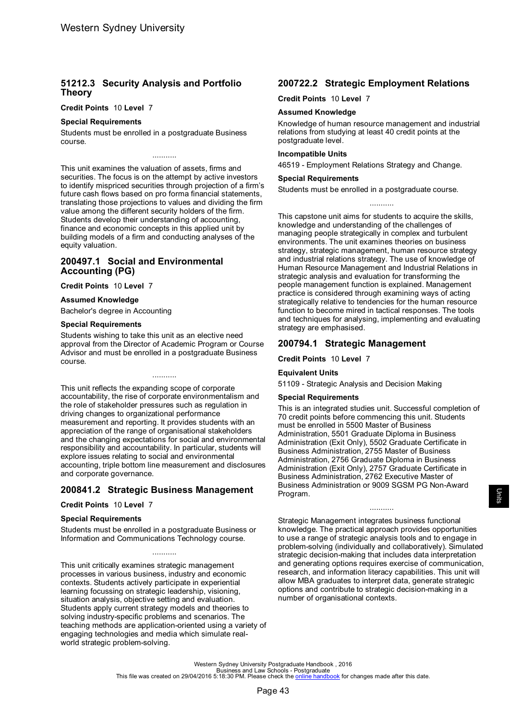## <span id="page-46-0"></span>**51212.3 Security Analysis and Portfolio Theory**

#### **Credit Points** 10 **Level** 7

#### **Special Requirements**

Students must be enrolled in a postgraduate Business course.

This unit examines the valuation of assets, firms and securities. The focus is on the attempt by active investors to identify mispriced securities through projection of a firm's future cash flows based on pro forma financial statements, translating those projections to values and dividing the firm value among the different security holders of the firm. Students develop their understanding of accounting, finance and economic concepts in this applied unit by building models of a firm and conducting analyses of the equity valuation.

...........

### **200497.1 Social and Environmental Accounting (PG)**

**Credit Points** 10 **Level** 7

#### **Assumed Knowledge**

Bachelor's degree in Accounting

#### **Special Requirements**

Students wishing to take this unit as an elective need approval from the Director of Academic Program or Course Advisor and must be enrolled in a postgraduate Business course.

...........

This unit reflects the expanding scope of corporate accountability, the rise of corporate environmentalism and the role of stakeholder pressures such as regulation in driving changes to organizational performance measurement and reporting. It provides students with an appreciation of the range of organisational stakeholders and the changing expectations for social and environmental responsibility and accountability. In particular, students will explore issues relating to social and environmental accounting, triple bottom line measurement and disclosures and corporate governance.

### **200841.2 Strategic Business Management**

**Credit Points** 10 **Level** 7

#### **Special Requirements**

Students must be enrolled in a postgraduate Business or Information and Communications Technology course.

...........

This unit critically examines strategic management processes in various business, industry and economic contexts. Students actively participate in experiential learning focussing on strategic leadership, visioning, situation analysis, objective setting and evaluation. Students apply current strategy models and theories to solving industry-specific problems and scenarios. The teaching methods are application-oriented using a variety of engaging technologies and media which simulate realworld strategic problem-solving.

## **200722.2 Strategic Employment Relations**

**Credit Points** 10 **Level** 7

#### **Assumed Knowledge**

Knowledge of human resource management and industrial relations from studying at least 40 credit points at the postgraduate level.

#### **Incompatible Units**

46519 - Employment Relations Strategy and Change.

#### **Special Requirements**

Students must be enrolled in a postgraduate course.

...........

This capstone unit aims for students to acquire the skills, knowledge and understanding of the challenges of managing people strategically in complex and turbulent environments. The unit examines theories on business strategy, strategic management, human resource strategy and industrial relations strategy. The use of knowledge of Human Resource Management and Industrial Relations in strategic analysis and evaluation for transforming the people management function is explained. Management practice is considered through examining ways of acting strategically relative to tendencies for the human resource function to become mired in tactical responses. The tools and techniques for analysing, implementing and evaluating strategy are emphasised.

### **200794.1 Strategic Management**

**Credit Points** 10 **Level** 7

### **Equivalent Units**

51109 - Strategic Analysis and Decision Making

#### **Special Requirements**

This is an integrated studies unit. Successful completion of 70 credit points before commencing this unit. Students must be enrolled in 5500 Master of Business Administration, 5501 Graduate Diploma in Business Administration (Exit Only), 5502 Graduate Certificate in Business Administration, 2755 Master of Business Administration, 2756 Graduate Diploma in Business Administration (Exit Only), 2757 Graduate Certificate in Business Administration, 2762 Executive Master of Business Administration or 9009 SGSM PG Non-Award Program.

Strategic Management integrates business functional knowledge. The practical approach provides opportunities to use a range of strategic analysis tools and to engage in problem-solving (individually and collaboratively). Simulated strategic decision-making that includes data interpretation and generating options requires exercise of communication, research, and information literacy capabilities. This unit will allow MBA graduates to interpret data, generate strategic options and contribute to strategic decision-making in a number of organisational contexts.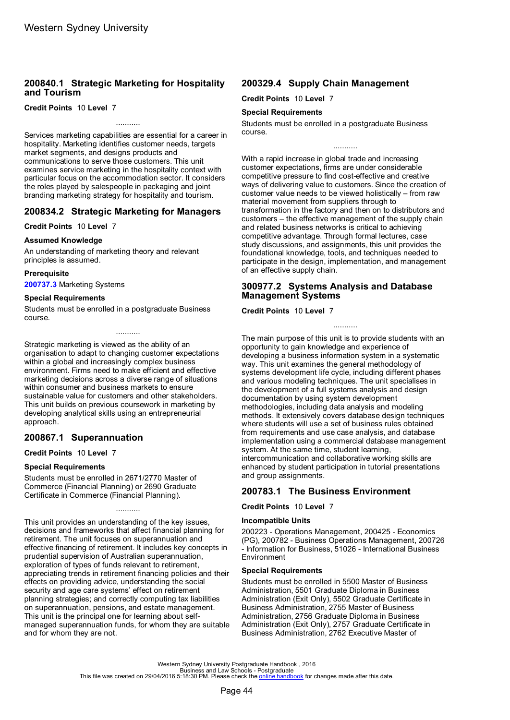### <span id="page-47-0"></span>**200840.1 Strategic Marketing for Hospitality and Tourism**

**Credit Points** 10 **Level** 7

Services marketing capabilities are essential for a career in hospitality. Marketing identifies customer needs, targets market segments, and designs products and communications to serve those customers. This unit examines service marketing in the hospitality context with particular focus on the accommodation sector. It considers the roles played by salespeople in packaging and joint branding marketing strategy for hospitality and tourism.

### **200834.2 Strategic Marketing for Managers**

**Credit Points** 10 **Level** 7

### **Assumed Knowledge**

An understanding of marketing theory and relevant principles is assumed.

#### **Prerequisite**

**[200737.3](#page-41-0)** Marketing Systems

#### **Special Requirements**

Students must be enrolled in a postgraduate Business course.

...........

Strategic marketing is viewed as the ability of an organisation to adapt to changing customer expectations within a global and increasingly complex business environment. Firms need to make efficient and effective marketing decisions across a diverse range of situations within consumer and business markets to ensure sustainable value for customers and other stakeholders. This unit builds on previous coursework in marketing by developing analytical skills using an entrepreneurial approach.

## **200867.1 Superannuation**

**Credit Points** 10 **Level** 7

#### **Special Requirements**

Students must be enrolled in 2671/2770 Master of Commerce (Financial Planning) or 2690 Graduate Certificate in Commerce (Financial Planning).

This unit provides an understanding of the key issues, decisions and frameworks that affect financial planning for retirement. The unit focuses on superannuation and effective financing of retirement. It includes key concepts in prudential supervision of Australian superannuation, exploration of types of funds relevant to retirement, appreciating trends in retirement financing policies and their effects on providing advice, understanding the social security and age care systems' effect on retirement planning strategies; and correctly computing tax liabilities on superannuation, pensions, and estate management. This unit is the principal one for learning about selfmanaged superannuation funds, for whom they are suitable and for whom they are not.

...........

## **200329.4 Supply Chain Management**

**Credit Points** 10 **Level** 7

#### **Special Requirements**

Students must be enrolled in a postgraduate Business course.

...........

With a rapid increase in global trade and increasing customer expectations, firms are under considerable competitive pressure to find cost-effective and creative ways of delivering value to customers. Since the creation of customer value needs to be viewed holistically – from raw material movement from suppliers through to transformation in the factory and then on to distributors and customers – the effective management of the supply chain and related business networks is critical to achieving competitive advantage. Through formal lectures, case study discussions, and assignments, this unit provides the foundational knowledge, tools, and techniques needed to participate in the design, implementation, and management of an effective supply chain.

### **300977.2 Systems Analysis and Database Management Systems**

...........

#### **Credit Points** 10 **Level** 7

The main purpose of this unit is to provide students with an opportunity to gain knowledge and experience of developing a business information system in a systematic way. This unit examines the general methodology of systems development life cycle, including different phases and various modeling techniques. The unit specialises in the development of a full systems analysis and design documentation by using system development methodologies, including data analysis and modeling methods. It extensively covers database design techniques where students will use a set of business rules obtained from requirements and use case analysis, and database implementation using a commercial database management system. At the same time, student learning, intercommunication and collaborative working skills are enhanced by student participation in tutorial presentations and group assignments.

### **200783.1 The Business Environment**

**Credit Points** 10 **Level** 7

#### **Incompatible Units**

200223 - Operations Management, 200425 - Economics (PG), 200782 - Business Operations Management, 200726 - Information for Business, 51026 - International Business Environment

### **Special Requirements**

Students must be enrolled in 5500 Master of Business Administration, 5501 Graduate Diploma in Business Administration (Exit Only), 5502 Graduate Certificate in Business Administration, 2755 Master of Business Administration, 2756 Graduate Diploma in Business Administration (Exit Only), 2757 Graduate Certificate in Business Administration, 2762 Executive Master of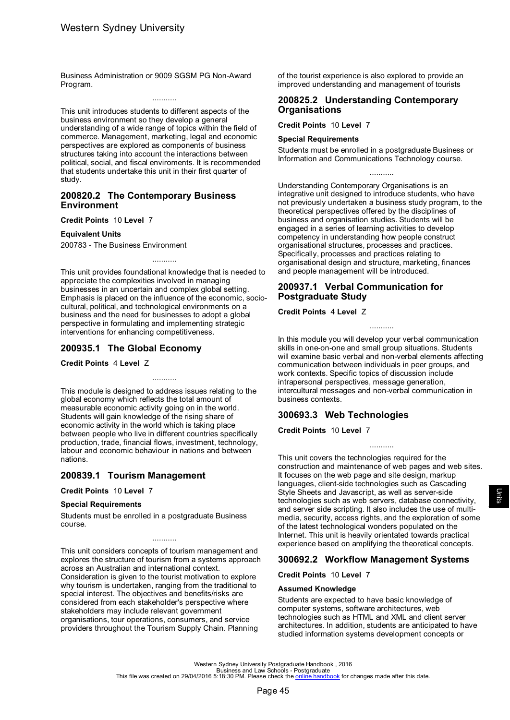<span id="page-48-0"></span>Business Administration or 9009 SGSM PG Non-Award Program.

#### ...........

This unit introduces students to different aspects of the business environment so they develop a general understanding of a wide range of topics within the field of commerce. Management, marketing, legal and economic perspectives are explored as components of business structures taking into account the interactions between political, social, and fiscal enviroments. It is recommended that students undertake this unit in their first quarter of study.

#### **200820.2 The Contemporary Business Environment**

**Credit Points** 10 **Level** 7

#### **Equivalent Units**

200783 - The Business Environment

...........

This unit provides foundational knowledge that is needed to appreciate the complexities involved in managing businesses in an uncertain and complex global setting. Emphasis is placed on the influence of the economic, sociocultural, political, and technological environments on a business and the need for businesses to adopt a global perspective in formulating and implementing strategic interventions for enhancing competitiveness.

## **200935.1 The Global Economy**

**Credit Points** 4 **Level** Z

This module is designed to address issues relating to the global economy which reflects the total amount of measurable economic activity going on in the world. Students will gain knowledge of the rising share of economic activity in the world which is taking place between people who live in different countries specifically production, trade, financial flows, investment, technology, labour and economic behaviour in nations and between nations.

...........

### **200839.1 Tourism Management**

**Credit Points** 10 **Level** 7

#### **Special Requirements**

Students must be enrolled in a postgraduate Business course.

...........

This unit considers concepts of tourism management and explores the structure of tourism from a systems approach across an Australian and international context. Consideration is given to the tourist motivation to explore why tourism is undertaken, ranging from the traditional to special interest. The objectives and benefits/risks are considered from each stakeholder's perspective where stakeholders may include relevant government organisations, tour operations, consumers, and service providers throughout the Tourism Supply Chain. Planning

of the tourist experience is also explored to provide an improved understanding and management of tourists

### **200825.2 Understanding Contemporary Organisations**

#### **Credit Points** 10 **Level** 7

#### **Special Requirements**

Students must be enrolled in a postgraduate Business or Information and Communications Technology course.

...........

Understanding Contemporary Organisations is an integrative unit designed to introduce students, who have not previously undertaken a business study program, to the theoretical perspectives offered by the disciplines of business and organisation studies. Students will be engaged in a series of learning activities to develop competency in understanding how people construct organisational structures, processes and practices. Specifically, processes and practices relating to organisational design and structure, marketing, finances and people management will be introduced.

### **200937.1 Verbal Communication for Postgraduate Study**

**Credit Points** 4 **Level** Z

In this module you will develop your verbal communication skills in one-on-one and small group situations. Students will examine basic verbal and non-verbal elements affecting communication between individuals in peer groups, and work contexts. Specific topics of discussion include intrapersonal perspectives, message generation, intercultural messages and non-verbal communication in business contexts.

...........

## **300693.3 Web Technologies**

**Credit Points** 10 **Level** 7

This unit covers the technologies required for the construction and maintenance of web pages and web sites. It focuses on the web page and site design, markup languages, client-side technologies such as Cascading Style Sheets and Javascript, as well as server-side technologies such as web servers, database connectivity, and server side scripting. It also includes the use of multimedia, security, access rights, and the exploration of some of the latest technological wonders populated on the Internet. This unit is heavily orientated towards practical experience based on amplifying the theoretical concepts.

### **300692.2 Workflow Management Systems**

**Credit Points** 10 **Level** 7

#### **Assumed Knowledge**

Students are expected to have basic knowledge of computer systems, software architectures, web technologies such as HTML and XML and client server architectures. In addition, students are anticipated to have studied information systems development concepts or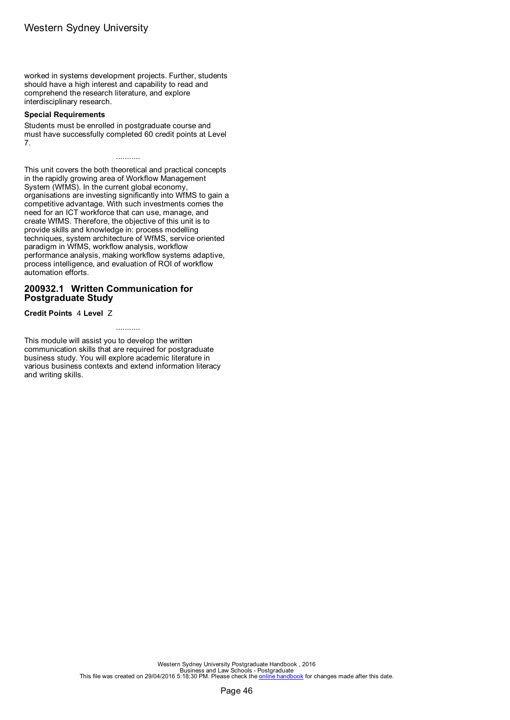<span id="page-49-0"></span>worked in systems development projects. Further, students should have a high interest and capability to read and comprehend the research literature, and explore interdisciplinary research.

#### **Special Requirements**

Students must be enrolled in postgraduate course and must have successfully completed 60 credit points at Level 7.

This unit covers the both theoretical and practical concepts in the rapidly growing area of Workflow Management System (WfMS). In the current global economy, organisations are investing significantly into WfMS to gain a competitive advantage. With such investments comes the need for an ICT workforce that can use, manage, and create WfMS. Therefore, the objective of this unit is to provide skills and knowledge in: process modelling techniques, system architecture of WfMS, service oriented paradigm in WfMS, workflow analysis, workflow performance analysis, making workflow systems adaptive, process intelligence, and evaluation of ROI of workflow automation efforts.

### **200932.1 Written Communication for Postgraduate Study**

**Credit Points** 4 **Level** Z

This module will assist you to develop the written communication skills that are required for postgraduate business study. You will explore academic literature in various business contexts and extend information literacy and writing skills.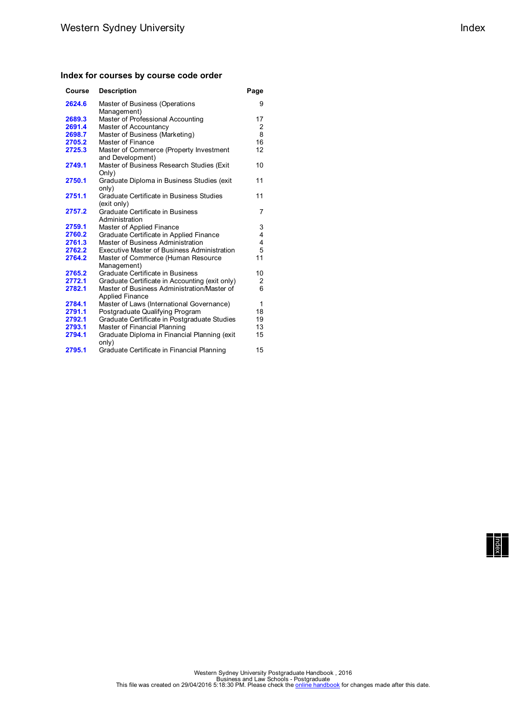### **Index for courses by course code order**

| Course | <b>Description</b>                                                    | Page           |
|--------|-----------------------------------------------------------------------|----------------|
| 2624.6 | Master of Business (Operations<br>Management)                         | 9              |
| 2689.3 | Master of Professional Accounting                                     | 17             |
| 2691.4 | Master of Accountancy                                                 | $\overline{2}$ |
| 2698.7 | Master of Business (Marketing)                                        | 8              |
| 2705.2 | Master of Finance                                                     | 16             |
| 2725.3 | Master of Commerce (Property Investment<br>and Development)           | 12             |
| 2749.1 | Master of Business Research Studies (Exit<br>Only)                    | 10             |
| 2750.1 | Graduate Diploma in Business Studies (exit<br>only)                   | 11             |
| 2751.1 | Graduate Certificate in Business Studies<br>(exit only)               | 11             |
| 2757.2 | Graduate Certificate in Business<br>Administration                    | 7              |
| 2759.1 | Master of Applied Finance                                             | 3              |
| 2760.2 | Graduate Certificate in Applied Finance                               | 4              |
| 2761.3 | Master of Business Administration                                     | 4              |
| 2762.2 | <b>Executive Master of Business Administration</b>                    | 5              |
| 2764.2 | Master of Commerce (Human Resource<br>Management)                     | 11             |
| 2765.2 | Graduate Certificate in Business                                      | 10             |
| 2772.1 | Graduate Certificate in Accounting (exit only)                        | 2              |
| 2782.1 | Master of Business Administration/Master of<br><b>Applied Finance</b> | 6              |
| 2784.1 | Master of Laws (International Governance)                             | 1              |
| 2791.1 | Postgraduate Qualifying Program                                       | 18             |
| 2792.1 | Graduate Certificate in Postgraduate Studies                          | 19             |
| 2793.1 | Master of Financial Planning                                          | 13             |
| 2794.1 | Graduate Diploma in Financial Planning (exit<br>only)                 | 15             |
| 2795.1 | Graduate Certificate in Financial Planning                            | 15             |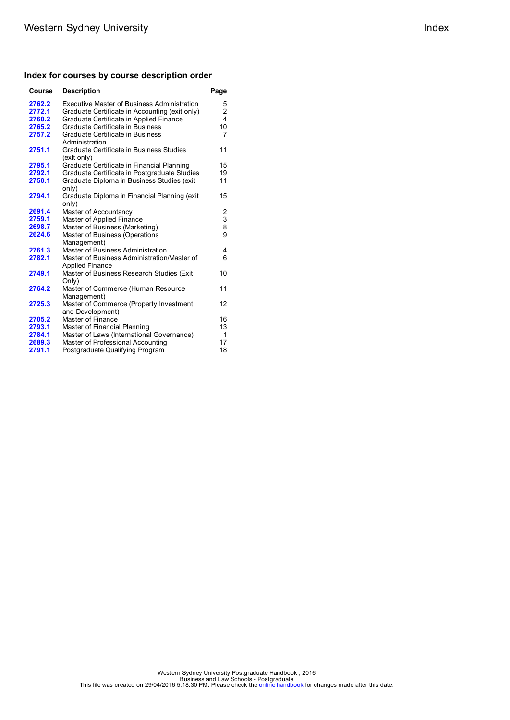### **Index for courses by course description order**

| Course | <b>Description</b>                             | Page           |
|--------|------------------------------------------------|----------------|
| 2762.2 | Executive Master of Business Administration    | 5              |
| 2772.1 | Graduate Certificate in Accounting (exit only) | $\overline{2}$ |
| 2760.2 | Graduate Certificate in Applied Finance        | 4              |
| 2765.2 | Graduate Certificate in Business               | 10             |
| 2757.2 | Graduate Certificate in Business               | 7              |
|        | Administration                                 |                |
| 2751.1 | Graduate Certificate in Business Studies       | 11             |
|        | (exit only)                                    |                |
| 2795.1 | Graduate Certificate in Financial Planning     | 15             |
| 2792.1 | Graduate Certificate in Postgraduate Studies   | 19             |
| 2750.1 | Graduate Diploma in Business Studies (exit     | 11             |
|        | only)                                          |                |
| 2794.1 | Graduate Diploma in Financial Planning (exit   | 15             |
|        | only)                                          |                |
| 2691.4 | Master of Accountancy                          | 2              |
| 2759.1 | Master of Applied Finance                      | 3              |
| 2698.7 | Master of Business (Marketing)                 | 8              |
| 2624.6 | Master of Business (Operations                 | 9              |
|        | Management)                                    |                |
| 2761.3 | Master of Business Administration              | 4              |
| 2782.1 | Master of Business Administration/Master of    | 6              |
|        | <b>Applied Finance</b>                         |                |
| 2749.1 | Master of Business Research Studies (Exit      | 10             |
|        | Only)                                          |                |
| 2764.2 | Master of Commerce (Human Resource             | 11             |
|        | Management)                                    |                |
| 2725.3 | Master of Commerce (Property Investment        | 12             |
|        | and Development)                               |                |
| 2705.2 | Master of Finance                              | 16             |
| 2793.1 | Master of Financial Planning                   | 13             |
| 2784.1 | Master of Laws (International Governance)      | 1              |
| 2689.3 | Master of Professional Accounting              | 17             |
| 2791.1 | Postgraduate Qualifying Program                | 18             |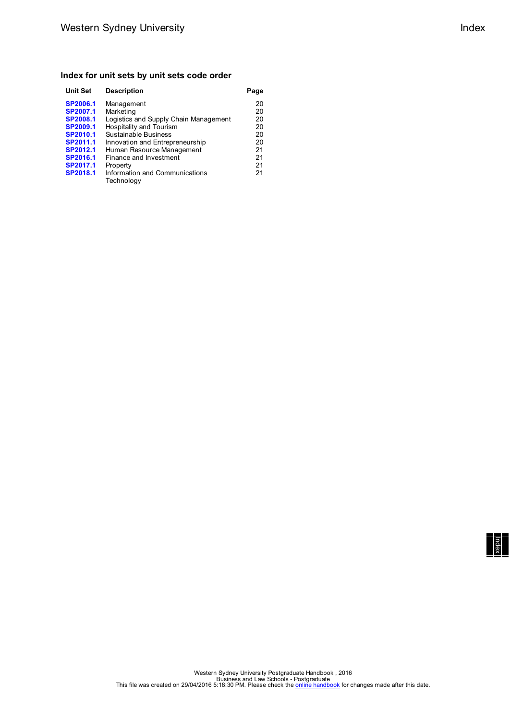### **Index for unit sets by unit sets code order**

| <b>Unit Set</b> | <b>Description</b>                           | Page |
|-----------------|----------------------------------------------|------|
| SP2006.1        | Management                                   | 20   |
| SP2007.1        | Marketing                                    | 20   |
| <b>SP2008.1</b> | Logistics and Supply Chain Management        | 20   |
| SP2009.1        | Hospitality and Tourism                      | 20   |
| SP2010.1        | Sustainable Business                         | 20   |
| SP2011.1        | Innovation and Entrepreneurship              | 20   |
| SP2012.1        | Human Resource Management                    | 21   |
| SP2016.1        | Finance and Investment                       | 21   |
| SP2017.1        | Property                                     | 21   |
| SP2018.1        | Information and Communications<br>Technology | 21   |

| Index | Index | Index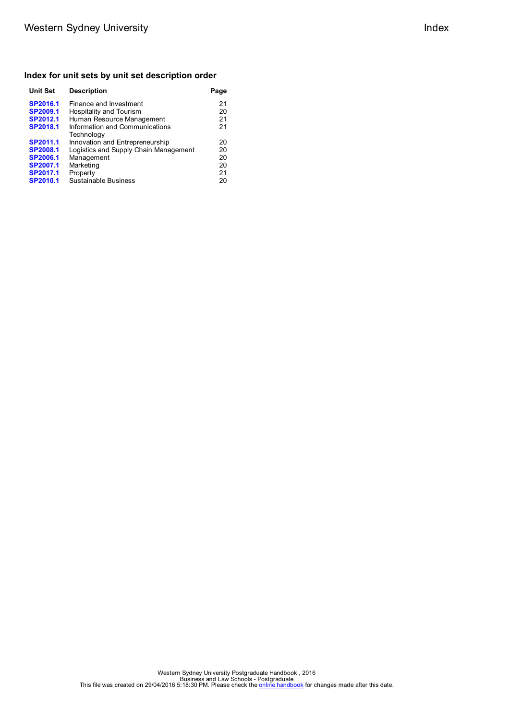### **Index for unit sets by unit set description order**

| <b>Unit Set</b> | <b>Description</b>                           | Page |
|-----------------|----------------------------------------------|------|
| SP2016.1        | Finance and Investment                       | 21   |
| SP2009.1        | Hospitality and Tourism                      | 20   |
| SP2012.1        | Human Resource Management                    | 21   |
| SP2018.1        | Information and Communications<br>Technology | 21   |
| SP2011.1        | Innovation and Entrepreneurship              | 20   |
| <b>SP2008.1</b> | Logistics and Supply Chain Management        | 20   |
| SP2006.1        | Management                                   | 20   |
| SP2007.1        | Marketing                                    | 20   |
| SP2017.1        | Property                                     | 21   |
| SP2010.1        | Sustainable Business                         | 20   |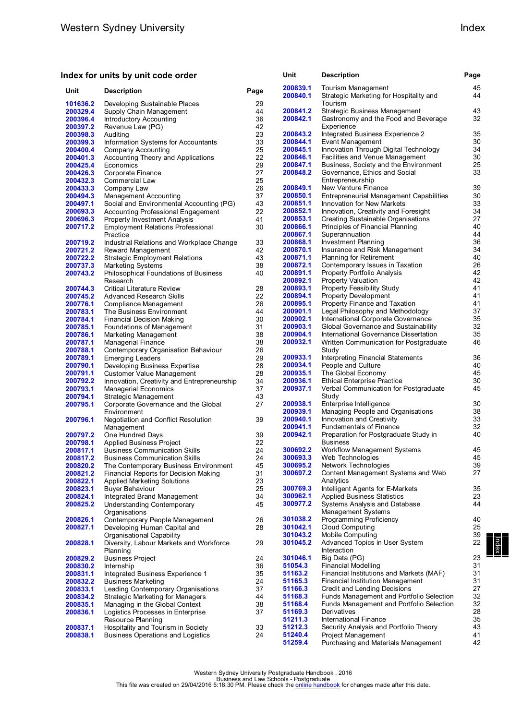### **Index for units by unit code order**

|                      | ndex for units by unit code order                                         |          | Unit                 | <b>Description</b>                                                           | Page     |
|----------------------|---------------------------------------------------------------------------|----------|----------------------|------------------------------------------------------------------------------|----------|
| Unit                 | <b>Description</b>                                                        | Page     | 200839.1<br>200840.1 | Tourism Management<br>Strategic Marketing for Hospitality and                | 45<br>44 |
| 101636.2             | Developing Sustainable Places                                             | 29       |                      | Tourism                                                                      |          |
| 200329.4             | Supply Chain Management                                                   | 44       | 200841.2             | Strategic Business Management                                                | 43       |
| 200396.4             | Introductory Accounting                                                   | 36       | 200842.1             | Gastronomy and the Food and Beverage                                         | 32       |
| 200397.2             | Revenue Law (PG)                                                          | 42       |                      | Experience                                                                   |          |
| 200398.3             | Auditing                                                                  | 23       | 200843.2             | Integrated Business Experience 2                                             | 35       |
| 200399.3             | Information Systems for Accountants                                       | 33       | 200844.1             | Event Management                                                             | 30       |
| 200400.4             | Company Accounting                                                        | 25       | 200845.1             | Innovation Through Digital Technology                                        | 34       |
| 200401.3             | Accounting Theory and Applications                                        | 22       | 200846.1             | Facilities and Venue Management                                              | 30       |
| 200425.4             | Economics                                                                 | 29       | 200847.1             | Business, Society and the Environment                                        | 25       |
| 200426.3             | Corporate Finance                                                         | 27       | 200848.2             | Governance, Ethics and Social                                                | 33       |
| 200432.3             | Commercial Law                                                            | 25       |                      | Entrepreneurship                                                             |          |
| 200433.3             | Company Law                                                               | 26       | 200849.1<br>200850.1 | New Venture Finance                                                          | 39       |
| 200494.3             | Management Accounting                                                     | 37<br>43 | 200851.1             | Entrepreneurial Management Capabilities<br><b>Innovation for New Markets</b> | 30<br>33 |
| 200497.1<br>200693.3 | Social and Environmental Accounting (PG)                                  | 22       | 200852.1             | Innovation, Creativity and Foresight                                         | 34       |
| 200696.3             | Accounting Professional Engagement<br><b>Property Investment Analysis</b> | 41       | 200853.1             | Creating Sustainable Organisations                                           | 27       |
| 200717.2             | <b>Employment Relations Professional</b>                                  | 30       | 200866.1             | Principles of Financial Planning                                             | 40       |
|                      | Practice                                                                  |          | 200867.1             | Superannuation                                                               | 44       |
| 200719.2             | Industrial Relations and Workplace Change                                 | 33       | 200868.1             | Investment Planning                                                          | 36       |
| 200721.2             | Reward Management                                                         | 42       | 200870.1             | Insurance and Risk Management                                                | 34       |
| 200722.2             | <b>Strategic Employment Relations</b>                                     | 43       | 200871.1             | Planning for Retirement                                                      | 40       |
| 200737.3             | Marketing Systems                                                         | 38       | 200872.1             | Contemporary Issues in Taxation                                              | 26       |
| 200743.2             | Philosophical Foundations of Business                                     | 40       | 200891.1             | Property Portfolio Analysis                                                  | 42       |
|                      | Research                                                                  |          | 200892.1             | <b>Property Valuation</b>                                                    | 42       |
| 200744.3             | <b>Critical Literature Review</b>                                         | 28       | 200893.1             | Property Feasibility Study                                                   | 41       |
| 200745.2             | <b>Advanced Research Skills</b>                                           | 22       | 200894.1             | <b>Property Development</b>                                                  | 41       |
| 200776.1             | Compliance Management                                                     | 26       | 200895.1             | Property Finance and Taxation                                                | 41       |
| 200783.1             | The Business Environment                                                  | 44       | 200901.1             | Legal Philosophy and Methodology                                             | 37       |
| 200784.1             | Financial Decision Making                                                 | 30       | 200902.1             | International Corporate Governance                                           | 35       |
| 200785.1             | Foundations of Management                                                 | 31       | 200903.1             | Global Governance and Sustainability                                         | 32       |
| 200786.1             | Marketing Management                                                      | 38       | 200904.1             | International Governance Dissertation                                        | 35       |
| 200787.1             | Managerial Finance                                                        | 38       | 200932.1             | Written Communication for Postgraduate                                       | 46       |
| 200788.1             | Contemporary Organisation Behaviour                                       | 26       |                      | Study                                                                        |          |
| 200789.1             | <b>Emerging Leaders</b>                                                   | 29       | 200933.1             | Interpreting Financial Statements                                            | 36       |
| 200790.1             | Developing Business Expertise                                             | 28       | 200934.1             | People and Culture                                                           | 40       |
| 200791.1             | Customer Value Management                                                 | 28       | 200935.1             | The Global Economy                                                           | 45       |
| 200792.2             | Innovation, Creativity and Entrepreneurship                               | 34       | 200936.1             | <b>Ethical Enterprise Practice</b>                                           | 30       |
| 200793.1             | <b>Managerial Economics</b>                                               | 37       | 200937.1             | Verbal Communication for Postgraduate                                        | 45       |
| 200794.1             | Strategic Management                                                      | 43       |                      | Study                                                                        |          |
| 200795.1             | Corporate Governance and the Global                                       | 27       | 200938.1             | Enterprise Intelligence                                                      | 30       |
|                      | Environment                                                               |          | 200939.1<br>200940.1 | Managing People and Organisations                                            | 38       |
| 200796.1             | Negotiation and Conflict Resolution                                       | 39       | 200941.1             | Innovation and Creativity                                                    | 33<br>32 |
|                      | Management                                                                |          | 200942.1             | <b>Fundamentals of Finance</b><br>Preparation for Postgraduate Study in      | 40       |
| 200797.2<br>200798.1 | One Hundred Days<br><b>Applied Business Project</b>                       | 39<br>22 |                      | <b>Business</b>                                                              |          |
| 200817.1             | <b>Business Communication Skills</b>                                      | 24       | 300692.2             | Workflow Management Systems                                                  | 45       |
| 200817.2             | <b>Business Communication Skills</b>                                      | 24       | 300693.3             | Web Technologies                                                             | 45       |
| 200820.2             | The Contemporary Business Environment                                     | 45       | 300695.2             | Network Technologies                                                         | 39       |
| 200821.2             | Financial Reports for Decision Making                                     | 31       | 300697.2             | Content Management Systems and Web                                           | 27       |
| 200822.1             | Applied Marketing Solutions                                               | 23       |                      | Analytics                                                                    |          |
| 200823.1             | <b>Buyer Behaviour</b>                                                    | 25       | 300769.3             | Intelligent Agents for E-Markets                                             | 35       |
| 200824.1             | Integrated Brand Management                                               | 34       | 300962.1             | <b>Applied Business Statistics</b>                                           | 23       |
| 200825.2             | Understanding Contemporary                                                | 45       | 300977.2             | Systems Analysis and Database                                                | 44       |
|                      | Organisations                                                             |          |                      | Management Systems                                                           |          |
| 200826.1             | Contemporary People Management                                            | 26       | 301038.2             | Programming Proficiency                                                      | 40       |
| 200827.1             | Developing Human Capital and                                              | 28       | 301042.1             | Cloud Computing                                                              | 25       |
|                      | Organisational Capability                                                 |          | 301043.2             | Mobile Computing                                                             | 39       |
| 200828.1             | Diversity, Labour Markets and Workforce                                   | 29       | 301045.2             | Advanced Topics in User System                                               | 22       |
|                      | Planning                                                                  |          |                      | Interaction                                                                  |          |
| 200829.2             | <b>Business Project</b>                                                   | 24       | 301046.1             | Big Data (PG)                                                                | 23       |
| 200830.2             | Internship                                                                | 36       | 51054.3              | Financial Modelling                                                          | 31       |
| 200831.1             | Integrated Business Experience 1                                          | 35       | 51163.2              | Financial Institutions and Markets (MAF)                                     | 31       |
| 200832.2             | <b>Business Marketing</b>                                                 | 24       | 51165.3              | Financial Institution Management                                             | 31       |
| 200833.1             | Leading Contemporary Organisations                                        | 37       | 51166.3              | Credit and Lending Decisions                                                 | 27       |
| 200834.2             | Strategic Marketing for Managers                                          | 44       | 51168.3              | Funds Management and Portfolio Selection                                     | 32       |
| 200835.1             | Managing in the Global Context                                            | 38       | 51168.4              | Funds Management and Portfolio Selection                                     | 32       |
| 200836.1             | Logistics Processes in Enterprise                                         | 37       | 51169.3              | Derivatives                                                                  | 28       |
|                      | Resource Planning                                                         |          | 51211.3              | International Finance                                                        | 35       |
| 200837.1             | Hospitality and Tourism in Society                                        | 33       | 51212.3              | Security Analysis and Portfolio Theory                                       | 43       |
| 200838.1             | <b>Business Operations and Logistics</b>                                  | 24       | 51240.4              | Project Management                                                           | 41       |
|                      |                                                                           |          | 51259.4              | Purchasing and Materials Management                                          | 42       |